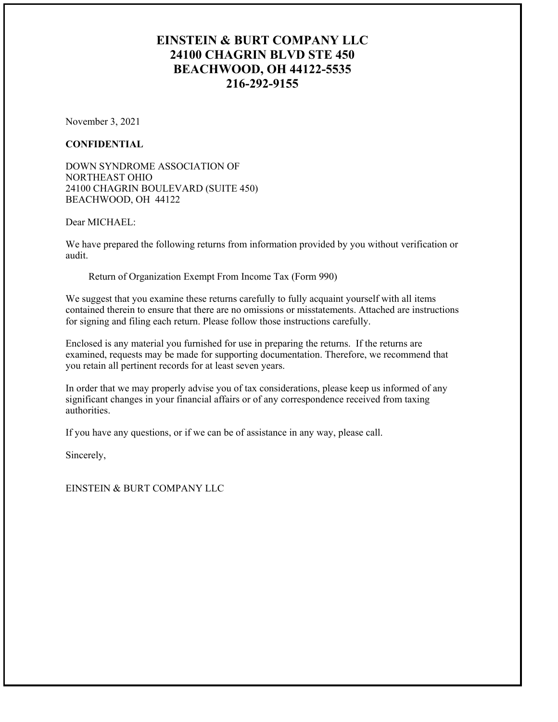# **EINSTEIN & BURT COMPANY LLC 24100 CHAGRIN BLVD STE 450 BEACHWOOD, OH 44122-5535 216-292-9155**

November 3, 2021

### **CONFIDENTIAL**

DOWN SYNDROME ASSOCIATION OF NORTHEAST OHIO 24100 CHAGRIN BOULEVARD (SUITE 450) BEACHWOOD, OH 44122

Dear MICHAEL:

We have prepared the following returns from information provided by you without verification or audit.

Return of Organization Exempt From Income Tax (Form 990)

We suggest that you examine these returns carefully to fully acquaint yourself with all items contained therein to ensure that there are no omissions or misstatements. Attached are instructions for signing and filing each return. Please follow those instructions carefully.

Enclosed is any material you furnished for use in preparing the returns. If the returns are examined, requests may be made for supporting documentation. Therefore, we recommend that you retain all pertinent records for at least seven years.

In order that we may properly advise you of tax considerations, please keep us informed of any significant changes in your financial affairs or of any correspondence received from taxing authorities.

If you have any questions, or if we can be of assistance in any way, please call.

Sincerely,

EINSTEIN & BURT COMPANY LLC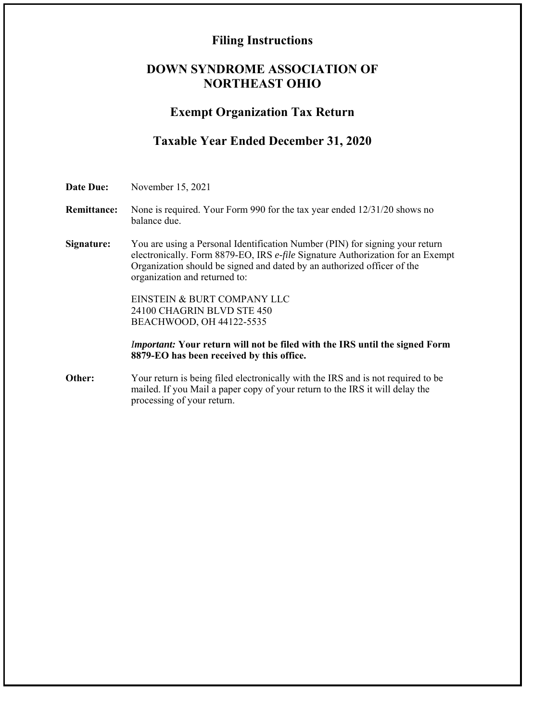# **Filing Instructions**

# **DOWN SYNDROME ASSOCIATION OF NORTHEAST OHIO**

# **Exempt Organization Tax Return**

# **Taxable Year Ended December 31, 2020**

- **Date Due:** November 15, 2021
- **Remittance:** None is required. Your Form 990 for the tax year ended 12/31/20 shows no balance due.
- **Signature:** You are using a Personal Identification Number (PIN) for signing your return electronically. Form 8879-EO, IRS *e-file* Signature Authorization for an Exempt Organization should be signed and dated by an authorized officer of the organization and returned to:

EINSTEIN & BURT COMPANY LLC 24100 CHAGRIN BLVD STE 450 BEACHWOOD, OH 44122-5535

*Important:* **Your return will not be filed with the IRS until the signed Form 8879-EO has been received by this office.**

**Other:** Your return is being filed electronically with the IRS and is not required to be mailed. If you Mail a paper copy of your return to the IRS it will delay the processing of your return.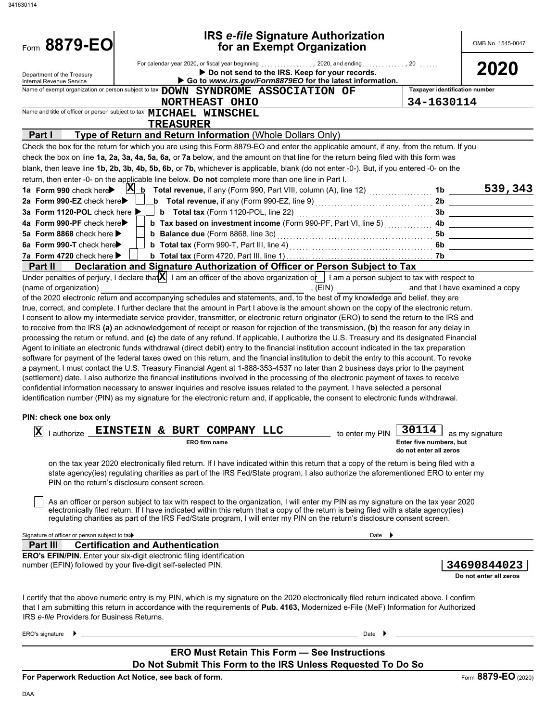| Form 8879-EO                                                  | <b>IRS e-file Signature Authorization</b><br>for an Exempt Organization                                                                                                                                                                                                                   | OMB No. 1545-0047                                 |                                 |
|---------------------------------------------------------------|-------------------------------------------------------------------------------------------------------------------------------------------------------------------------------------------------------------------------------------------------------------------------------------------|---------------------------------------------------|---------------------------------|
| Department of the Treasury<br><b>Internal Revenue Service</b> | Do not send to the IRS. Keep for your records.<br>Go to www.irs.gov/Form8879EO for the latest information.                                                                                                                                                                                |                                                   | 2020                            |
|                                                               | Name of exempt organization or person subject to tax DOWN SYNDROME ASSOCIATION OF<br><b>NORTHEAST OHIO</b>                                                                                                                                                                                | Taxpayer identification number<br>34-1630114      |                                 |
|                                                               | Name and title of officer or person subject to tax MICHAEL WINSCHEL                                                                                                                                                                                                                       |                                                   |                                 |
|                                                               | <b>TREASURER</b>                                                                                                                                                                                                                                                                          |                                                   |                                 |
| Part I                                                        | Type of Return and Return Information (Whole Dollars Only)                                                                                                                                                                                                                                |                                                   |                                 |
|                                                               | Check the box for the return for which you are using this Form 8879-EO and enter the applicable amount, if any, from the return. If you                                                                                                                                                   |                                                   |                                 |
|                                                               | check the box on line 1a, 2a, 3a, 4a, 5a, 6a, or 7a below, and the amount on that line for the return being filed with this form was<br>blank, then leave line 1b, 2b, 3b, 4b, 5b, 6b, or 7b, whichever is applicable, blank (do not enter -0-). But, if you entered -0- on the           |                                                   |                                 |
|                                                               | return, then enter -0- on the applicable line below. Do not complete more than one line in Part I.                                                                                                                                                                                        |                                                   |                                 |
| 1a Form 990 check here                                        | $ {\bf X} $<br>Total revenue, if any (Form 990, Part VIII, column (A), line 12)<br>b                                                                                                                                                                                                      | 1 <sub>b</sub>                                    | 539,343                         |
| 2a Form 990-EZ check here                                     |                                                                                                                                                                                                                                                                                           | 2b                                                |                                 |
| 3a Form 1120-POL check here ▶                                 |                                                                                                                                                                                                                                                                                           | 3b                                                |                                 |
| 4a Form 990-PF check here▶                                    | b Tax based on investment income (Form 990-PF, Part VI, line 5)                                                                                                                                                                                                                           | 4b                                                |                                 |
| 5a Form 8868 check here $\blacktriangleright$                 |                                                                                                                                                                                                                                                                                           | 5b                                                |                                 |
| 6a Form 990-T check here                                      |                                                                                                                                                                                                                                                                                           | 6b                                                |                                 |
| 7a Form 4720 check here ▶<br>Part II                          | Declaration and Signature Authorization of Officer or Person Subject to Tax                                                                                                                                                                                                               | 7b                                                |                                 |
|                                                               | Under penalties of perjury, I declare that $X$ I am an officer of the above organization of I am a person subject to tax with respect to                                                                                                                                                  |                                                   |                                 |
| (name of organization)                                        | , $(EIN)$                                                                                                                                                                                                                                                                                 |                                                   | and that I have examined a copy |
|                                                               | of the 2020 electronic return and accompanying schedules and statements, and, to the best of my knowledge and belief, they are                                                                                                                                                            |                                                   |                                 |
|                                                               | true, correct, and complete. I further declare that the amount in Part I above is the amount shown on the copy of the electronic return.                                                                                                                                                  |                                                   |                                 |
|                                                               | I consent to allow my intermediate service provider, transmitter, or electronic return originator (ERO) to send the return to the IRS and                                                                                                                                                 |                                                   |                                 |
|                                                               | to receive from the IRS (a) an acknowledgement of receipt or reason for rejection of the transmission, (b) the reason for any delay in                                                                                                                                                    |                                                   |                                 |
|                                                               | processing the return or refund, and (c) the date of any refund. If applicable, I authorize the U.S. Treasury and its designated Financial<br>Agent to initiate an electronic funds withdrawal (direct debit) entry to the financial institution account indicated in the tax preparation |                                                   |                                 |
|                                                               | software for payment of the federal taxes owed on this return, and the financial institution to debit the entry to this account. To revoke                                                                                                                                                |                                                   |                                 |
|                                                               | a payment, I must contact the U.S. Treasury Financial Agent at 1-888-353-4537 no later than 2 business days prior to the payment                                                                                                                                                          |                                                   |                                 |
|                                                               | (settlement) date. I also authorize the financial institutions involved in the processing of the electronic payment of taxes to receive                                                                                                                                                   |                                                   |                                 |
|                                                               | confidential information necessary to answer inquiries and resolve issues related to the payment. I have selected a personal                                                                                                                                                              |                                                   |                                 |
|                                                               | identification number (PIN) as my signature for the electronic return and, if applicable, the consent to electronic funds withdrawal.                                                                                                                                                     |                                                   |                                 |
| PIN: check one box only                                       |                                                                                                                                                                                                                                                                                           |                                                   |                                 |
|                                                               | $\frac{1}{2}$ to enter my PIN $\left[\frac{30114}{30114}\right]$ as my signature<br>X lauthorize EINSTEIN & BURT COMPANY LLC                                                                                                                                                              |                                                   |                                 |
|                                                               | ERO firm name                                                                                                                                                                                                                                                                             | Enter five numbers, but<br>do not enter all zeros |                                 |
|                                                               | on the tax year 2020 electronically filed return. If I have indicated within this return that a copy of the return is being filed with a                                                                                                                                                  |                                                   |                                 |
|                                                               | state agency(ies) regulating charities as part of the IRS Fed/State program, I also authorize the aforementioned ERO to enter my                                                                                                                                                          |                                                   |                                 |
|                                                               | PIN on the return's disclosure consent screen.                                                                                                                                                                                                                                            |                                                   |                                 |
|                                                               | As an officer or person subject to tax with respect to the organization, I will enter my PIN as my signature on the tax year 2020                                                                                                                                                         |                                                   |                                 |
|                                                               | electronically filed return. If I have indicated within this return that a copy of the return is being filed with a state agency(ies)                                                                                                                                                     |                                                   |                                 |
|                                                               | regulating charities as part of the IRS Fed/State program, I will enter my PIN on the return's disclosure consent screen.                                                                                                                                                                 |                                                   |                                 |
| Signature of officer or person subject to tax                 | Date $\rightarrow$                                                                                                                                                                                                                                                                        |                                                   |                                 |
| Part II                                                       | <b>Certification and Authentication</b>                                                                                                                                                                                                                                                   |                                                   |                                 |
|                                                               | <b>ERO's EFIN/PIN.</b> Enter your six-digit electronic filing identification                                                                                                                                                                                                              |                                                   |                                 |
|                                                               | number (EFIN) followed by your five-digit self-selected PIN.                                                                                                                                                                                                                              |                                                   | 34690844023                     |
|                                                               |                                                                                                                                                                                                                                                                                           |                                                   | Do not enter all zeros          |
|                                                               |                                                                                                                                                                                                                                                                                           |                                                   |                                 |
| IRS e-file Providers for Business Returns.                    | I certify that the above numeric entry is my PIN, which is my signature on the 2020 electronically filed return indicated above. I confirm<br>that I am submitting this return in accordance with the requirements of Pub. 4163, Modernized e-File (MeF) Information for Authorized       |                                                   |                                 |
|                                                               |                                                                                                                                                                                                                                                                                           |                                                   |                                 |
| ERO's signature $\blacktriangleright$                         | Date $\rightarrow$                                                                                                                                                                                                                                                                        |                                                   |                                 |
|                                                               | <b>ERO Must Retain This Form - See Instructions</b>                                                                                                                                                                                                                                       |                                                   |                                 |
|                                                               | Do Not Submit This Form to the IRS Unless Requested To Do So                                                                                                                                                                                                                              |                                                   |                                 |
|                                                               | For Paperwork Reduction Act Notice, see back of form.                                                                                                                                                                                                                                     |                                                   | Form 8879-EO (2020)             |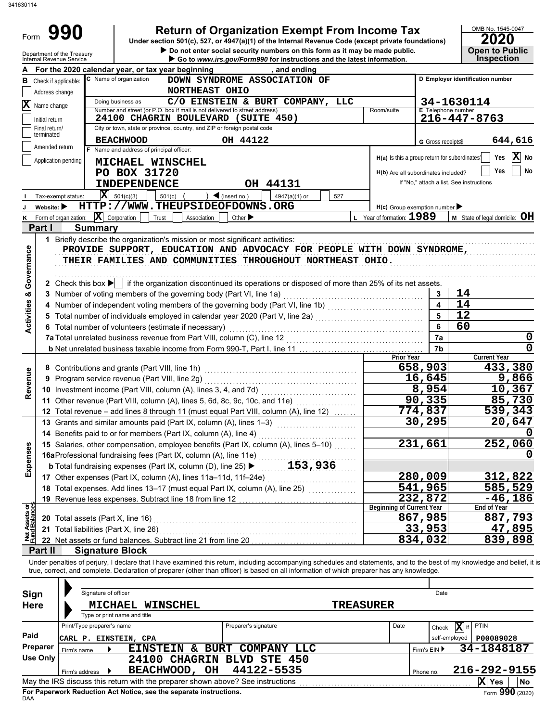| 30114                          |                                |                                                     |                                                                                                                                                                           |                                   |                                                                             |                  |                                                           |                                 |                                                    |                         |
|--------------------------------|--------------------------------|-----------------------------------------------------|---------------------------------------------------------------------------------------------------------------------------------------------------------------------------|-----------------------------------|-----------------------------------------------------------------------------|------------------|-----------------------------------------------------------|---------------------------------|----------------------------------------------------|-------------------------|
| Form                           |                                | 990<br>Department of the Treasury                   | <b>Return of Organization Exempt From Income Tax</b><br>Under section 501(c), 527, or 4947(a)(1) of the Internal Revenue Code (except private foundations)                |                                   | Do not enter social security numbers on this form as it may be made public. |                  |                                                           |                                 | OMB No. 1545-0047<br>2020<br><b>Open to Public</b> |                         |
|                                |                                | Internal Revenue Service                            |                                                                                                                                                                           |                                   | Go to www.irs.gov/Form990 for instructions and the latest information.      |                  |                                                           |                                 | <b>Inspection</b>                                  |                         |
|                                |                                |                                                     | For the 2020 calendar year, or tax year beginning<br>C Name of organization                                                                                               |                                   | and ending<br>DOWN SYNDROME ASSOCIATION OF                                  |                  |                                                           |                                 | D Employer identification number                   |                         |
|                                |                                | <b>B</b> Check if applicable:                       | NORTHEAST OHIO                                                                                                                                                            |                                   |                                                                             |                  |                                                           |                                 |                                                    |                         |
|                                | Address change                 |                                                     | Doing business as                                                                                                                                                         |                                   | C/O EINSTEIN & BURT COMPANY, LLC                                            |                  |                                                           |                                 | 34-1630114                                         |                         |
|                                | $ \mathbf{X} $ Name change     |                                                     | Number and street (or P.O. box if mail is not delivered to street address)                                                                                                |                                   |                                                                             |                  | Room/suite                                                | <b>E</b> Telephone number       |                                                    |                         |
|                                | Initial return                 |                                                     | 24100 CHAGRIN BOULEVARD (SUITE 450)                                                                                                                                       |                                   |                                                                             |                  |                                                           |                                 | 216-447-8763                                       |                         |
|                                | Final return/<br>terminated    |                                                     | City or town, state or province, country, and ZIP or foreign postal code                                                                                                  |                                   |                                                                             |                  |                                                           |                                 |                                                    |                         |
|                                | Amended return                 |                                                     | <b>BEACHWOOD</b>                                                                                                                                                          | OH 44122                          |                                                                             |                  |                                                           | G Gross receipts\$              |                                                    | 644,616                 |
|                                |                                |                                                     | F Name and address of principal officer:                                                                                                                                  |                                   |                                                                             |                  | H(a) Is this a group return for subordinates <sup>1</sup> |                                 | Yes                                                | $\boxed{\mathbf{X}}$ No |
|                                |                                | Application pending                                 | MICHAEL WINSCHEL                                                                                                                                                          |                                   |                                                                             |                  |                                                           |                                 |                                                    |                         |
|                                |                                |                                                     | PO BOX 31720                                                                                                                                                              |                                   |                                                                             |                  | H(b) Are all subordinates included?                       |                                 | Yes                                                | No                      |
|                                |                                |                                                     | <b>INDEPENDENCE</b>                                                                                                                                                       |                                   | OH 44131                                                                    |                  |                                                           |                                 | If "No," attach a list. See instructions           |                         |
|                                |                                | Tax-exempt status:                                  | $ \mathbf{X} $ 501(c)(3)<br>501(c)                                                                                                                                        | $\blacktriangleleft$ (insert no.) | 4947(a)(1) or                                                               | 527              |                                                           |                                 |                                                    |                         |
|                                | Website: $\blacktriangleright$ |                                                     | HTTP://WWW.THEUPSIDEOFDOWNS.ORG                                                                                                                                           |                                   |                                                                             |                  | $H(c)$ Group exemption number                             |                                 |                                                    |                         |
| κ                              |                                | $ \mathbf{X} $ Corporation<br>Form of organization: | Trust<br>Association                                                                                                                                                      | Other $\blacktriangleright$       |                                                                             |                  | L Year of formation: 1989                                 |                                 | M State of legal domicile: OH                      |                         |
|                                | Part I                         | <b>Summary</b>                                      |                                                                                                                                                                           |                                   |                                                                             |                  |                                                           |                                 |                                                    |                         |
|                                |                                |                                                     | 1 Briefly describe the organization's mission or most significant activities:                                                                                             |                                   |                                                                             |                  |                                                           |                                 |                                                    |                         |
|                                |                                |                                                     | PROVIDE SUPPORT, EDUCATION AND ADVOCACY FOR PEOPLE WITH DOWN SYNDROME,                                                                                                    |                                   |                                                                             |                  |                                                           |                                 |                                                    |                         |
|                                |                                |                                                     | THEIR FAMILIES AND COMMUNITIES THROUGHOUT NORTHEAST OHIO.                                                                                                                 |                                   |                                                                             |                  |                                                           |                                 |                                                    |                         |
|                                |                                |                                                     |                                                                                                                                                                           |                                   |                                                                             |                  |                                                           |                                 |                                                    |                         |
| Governance                     |                                |                                                     | 2 Check this box $\blacktriangleright$ if the organization discontinued its operations or disposed of more than 25% of its net assets.                                    |                                   |                                                                             |                  |                                                           |                                 |                                                    |                         |
|                                |                                |                                                     | 3 Number of voting members of the governing body (Part VI, line 1a)                                                                                                       |                                   |                                                                             |                  |                                                           | 3                               | 14                                                 |                         |
|                                |                                |                                                     | 4 Number of independent voting members of the governing body (Part VI, line 1b) [11] [11] Number of independent voting                                                    |                                   |                                                                             |                  |                                                           | $\overline{\mathbf{A}}$         | $\overline{14}$                                    |                         |
|                                |                                |                                                     |                                                                                                                                                                           |                                   |                                                                             |                  |                                                           | $\overline{\mathbf{5}}$         | $\overline{12}$                                    |                         |
| <b>Activities &amp;</b>        |                                |                                                     | 6 Total number of volunteers (estimate if necessary)                                                                                                                      |                                   |                                                                             |                  |                                                           | 6                               | 60                                                 |                         |
|                                |                                |                                                     |                                                                                                                                                                           |                                   |                                                                             |                  |                                                           | 7a                              |                                                    | 0                       |
|                                |                                |                                                     |                                                                                                                                                                           |                                   |                                                                             |                  |                                                           | 7b                              |                                                    | 0                       |
|                                |                                |                                                     |                                                                                                                                                                           |                                   |                                                                             |                  | <b>Prior Year</b>                                         |                                 | <b>Current Year</b>                                |                         |
|                                |                                |                                                     | 8 Contributions and grants (Part VIII, line 1h)                                                                                                                           |                                   |                                                                             |                  |                                                           | 658,903                         | 433,380                                            |                         |
| Revenue                        |                                |                                                     | 9 Program service revenue (Part VIII, line 2g)                                                                                                                            |                                   |                                                                             |                  |                                                           | 16,645                          |                                                    | 9,866                   |
|                                |                                |                                                     | 10 Investment income (Part VIII, column (A), lines 3, 4, and 7d)                                                                                                          |                                   |                                                                             |                  |                                                           | 8,954                           | 10,367                                             |                         |
|                                |                                |                                                     | 11 Other revenue (Part VIII, column (A), lines 5, 6d, 8c, 9c, 10c, and 11e)                                                                                               |                                   |                                                                             |                  |                                                           | $\overline{90,335}$             | 85,730                                             |                         |
|                                |                                |                                                     | 12 Total revenue - add lines 8 through 11 (must equal Part VIII, column (A), line 12)                                                                                     |                                   |                                                                             |                  |                                                           | 774,837                         | 539,343                                            |                         |
|                                |                                |                                                     | 13 Grants and similar amounts paid (Part IX, column (A), lines 1-3)                                                                                                       |                                   |                                                                             |                  |                                                           | 30,295                          | 20,647                                             |                         |
|                                |                                |                                                     | 14 Benefits paid to or for members (Part IX, column (A), line 4)                                                                                                          |                                   |                                                                             |                  |                                                           |                                 |                                                    |                         |
|                                |                                |                                                     | 15 Salaries, other compensation, employee benefits (Part IX, column (A), lines 5-10)                                                                                      |                                   |                                                                             |                  |                                                           | 231,661                         | 252,060                                            |                         |
|                                |                                |                                                     | 16aProfessional fundraising fees (Part IX, column (A), line 11e)                                                                                                          |                                   | 153,936                                                                     |                  |                                                           |                                 |                                                    |                         |
| Expenses                       |                                |                                                     | <b>b</b> Total fundraising expenses (Part IX, column (D), line 25) ▶                                                                                                      |                                   |                                                                             |                  |                                                           |                                 |                                                    |                         |
|                                |                                |                                                     |                                                                                                                                                                           |                                   |                                                                             |                  |                                                           | 280,009                         | 312,822                                            |                         |
|                                |                                |                                                     | 18 Total expenses. Add lines 13-17 (must equal Part IX, column (A), line 25)                                                                                              |                                   |                                                                             |                  |                                                           | 541,965<br>$\overline{232,872}$ | 585,529                                            |                         |
|                                |                                |                                                     | 19 Revenue less expenses. Subtract line 18 from line 12 [11] [11] Revenue less expenses. Subtract line 18 from line 12                                                    |                                   |                                                                             |                  | <b>Beginning of Current Year</b>                          |                                 | $-46,186$<br>End of Year                           |                         |
| Net Assets or<br>Fund Balances |                                | <b>20</b> Total assets (Part X, line 16)            |                                                                                                                                                                           |                                   |                                                                             |                  |                                                           | 867,985                         | 887,793                                            |                         |
|                                |                                | 21 Total liabilities (Part X, line 26)              |                                                                                                                                                                           |                                   |                                                                             |                  |                                                           | 33,953                          | 47,895                                             |                         |
|                                |                                |                                                     | 22 Net assets or fund balances. Subtract line 21 from line 20 [1, [1, [1, [1, [1, [1, [1]]]                                                                               |                                   |                                                                             |                  |                                                           | 834,032                         | 839,898                                            |                         |
|                                | Part II                        | <b>Signature Block</b>                              |                                                                                                                                                                           |                                   |                                                                             |                  |                                                           |                                 |                                                    |                         |
|                                |                                |                                                     | Under penalties of perjury, I declare that I have examined this return, including accompanying schedules and statements, and to the best of my knowledge and belief, it i |                                   |                                                                             |                  |                                                           |                                 |                                                    |                         |
|                                |                                |                                                     | true, correct, and complete. Declaration of preparer (other than officer) is based on all information of which preparer has any knowledge.                                |                                   |                                                                             |                  |                                                           |                                 |                                                    |                         |
|                                |                                |                                                     |                                                                                                                                                                           |                                   |                                                                             |                  |                                                           |                                 |                                                    |                         |
| Sign                           |                                | Signature of officer                                |                                                                                                                                                                           |                                   |                                                                             |                  |                                                           | Date                            |                                                    |                         |
| <b>Here</b>                    |                                |                                                     | MICHAEL WINSCHEL                                                                                                                                                          |                                   |                                                                             | <b>TREASURER</b> |                                                           |                                 |                                                    |                         |
|                                |                                |                                                     | Type or print name and title                                                                                                                                              |                                   |                                                                             |                  |                                                           |                                 |                                                    |                         |
|                                |                                | Print/Type preparer's name                          |                                                                                                                                                                           | Preparer's signature              |                                                                             |                  | Date                                                      | Check                           | X if<br><b>PTIN</b>                                |                         |
| Paid                           |                                | CARL P. EINSTEIN, CPA                               |                                                                                                                                                                           |                                   |                                                                             |                  |                                                           |                                 | self-employed<br>P00089028                         |                         |
|                                | Preparer                       | Firm's name                                         | EINSTEIN & BURT COMPANY LLC                                                                                                                                               |                                   |                                                                             |                  |                                                           | Firm's EIN ▶                    | 34-1848187                                         |                         |
|                                | <b>Use Only</b>                |                                                     | 24100 CHAGRIN BLVD STE 450                                                                                                                                                |                                   |                                                                             |                  |                                                           |                                 |                                                    |                         |
|                                |                                | Firm's address $\blacktriangleright$                | BEACHWOOD, OH                                                                                                                                                             |                                   | 44122-5535                                                                  |                  |                                                           | Phone no.                       | 216-292-9155                                       |                         |
|                                |                                |                                                     |                                                                                                                                                                           |                                   |                                                                             |                  |                                                           |                                 | X Yes                                              | No.                     |
|                                |                                |                                                     |                                                                                                                                                                           |                                   |                                                                             |                  |                                                           |                                 |                                                    |                         |

| Sign<br><b>Here</b>  | Signature of officer                                | <b>MICHAEL</b><br><b>WINSCHEL</b><br>Type or print name and title  |                  |                                                                                 | <b>TREASURER</b> |      |                           | Date                        |                                          |
|----------------------|-----------------------------------------------------|--------------------------------------------------------------------|------------------|---------------------------------------------------------------------------------|------------------|------|---------------------------|-----------------------------|------------------------------------------|
| Paid                 | Print/Type preparer's name<br>CARL P. EINSTEIN, CPA |                                                                    |                  | Preparer's signature                                                            |                  | Date |                           | х<br>Check<br>self-employed | PTIN<br>P00089028                        |
| Preparer<br>Use Only | Firm's name<br>Firm's address                       | <b>EINSTEIN</b><br>24100<br>BEACHWOOD,                             | BURT<br>&.<br>OH | COMPANY LLC<br><b>CHAGRIN BLVD STE 450</b><br>44122-5535                        |                  |      | Firm's $EIN$<br>Phone no. |                             | 34-1848187<br>216-292-9155               |
| <b>DAA</b>           |                                                     | For Paperwork Reduction Act Notice, see the separate instructions. |                  | May the IRS discuss this return with the preparer shown above? See instructions |                  |      |                           |                             | x<br>No<br><b>Yes</b><br>Form 990 (2020) |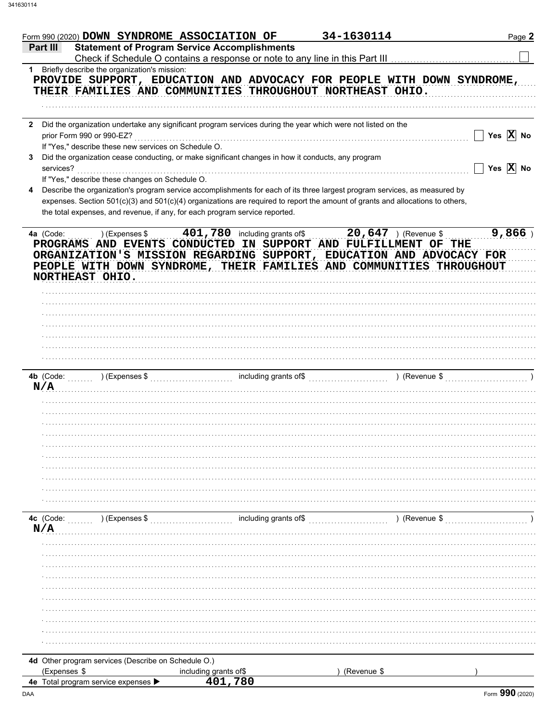|   |                                                      | Form 990 (2020) DOWN SYNDROME ASSOCIATION OF                                                                   | 34-1630114                                                                                                                     | Page 2                |
|---|------------------------------------------------------|----------------------------------------------------------------------------------------------------------------|--------------------------------------------------------------------------------------------------------------------------------|-----------------------|
|   | Part III                                             | <b>Statement of Program Service Accomplishments</b>                                                            |                                                                                                                                |                       |
|   |                                                      |                                                                                                                |                                                                                                                                |                       |
|   | 1 Briefly describe the organization's mission:       |                                                                                                                |                                                                                                                                |                       |
|   |                                                      |                                                                                                                | PROVIDE SUPPORT, EDUCATION AND ADVOCACY FOR PEOPLE WITH DOWN SYNDROME,                                                         |                       |
|   |                                                      | THEIR FAMILIES AND COMMUNITIES THROUGHOUT NORTHEAST OHIO.                                                      |                                                                                                                                |                       |
|   |                                                      |                                                                                                                |                                                                                                                                |                       |
|   |                                                      |                                                                                                                |                                                                                                                                |                       |
|   |                                                      | 2 Did the organization undertake any significant program services during the year which were not listed on the |                                                                                                                                |                       |
|   | prior Form 990 or 990-EZ?                            |                                                                                                                |                                                                                                                                | Yes $\overline{X}$ No |
|   | If "Yes," describe these new services on Schedule O. |                                                                                                                |                                                                                                                                |                       |
| 3 |                                                      | Did the organization cease conducting, or make significant changes in how it conducts, any program             |                                                                                                                                |                       |
|   | services?                                            |                                                                                                                |                                                                                                                                | Yes $\overline{X}$ No |
|   | If "Yes," describe these changes on Schedule O.      |                                                                                                                |                                                                                                                                |                       |
| 4 |                                                      |                                                                                                                | Describe the organization's program service accomplishments for each of its three largest program services, as measured by     |                       |
|   |                                                      |                                                                                                                | expenses. Section 501(c)(3) and 501(c)(4) organizations are required to report the amount of grants and allocations to others, |                       |
|   |                                                      | the total expenses, and revenue, if any, for each program service reported.                                    |                                                                                                                                |                       |
|   |                                                      |                                                                                                                |                                                                                                                                |                       |
|   | 4a (Code:<br>) (Expenses \$                          |                                                                                                                | 401,780 including grants of \$ 20,647 ) (Revenue \$                                                                            | 9,866                 |
|   |                                                      |                                                                                                                | PROGRAMS AND EVENTS CONDUCTED IN SUPPORT AND FULFILLMENT OF THE                                                                |                       |
|   |                                                      |                                                                                                                | ORGANIZATION'S MISSION REGARDING SUPPORT, EDUCATION AND ADVOCACY FOR                                                           |                       |
|   |                                                      |                                                                                                                | PEOPLE WITH DOWN SYNDROME, THEIR FAMILIES AND COMMUNITIES THROUGHOUT                                                           |                       |
|   | NORTHEAST OHIO.                                      |                                                                                                                |                                                                                                                                |                       |
|   |                                                      |                                                                                                                |                                                                                                                                |                       |
|   |                                                      |                                                                                                                |                                                                                                                                |                       |
|   |                                                      |                                                                                                                |                                                                                                                                |                       |
|   |                                                      |                                                                                                                |                                                                                                                                |                       |
|   |                                                      |                                                                                                                |                                                                                                                                |                       |
|   |                                                      |                                                                                                                |                                                                                                                                |                       |
|   |                                                      |                                                                                                                |                                                                                                                                |                       |
|   |                                                      |                                                                                                                |                                                                                                                                |                       |
|   |                                                      |                                                                                                                |                                                                                                                                |                       |
|   | 4b (Code:                                            |                                                                                                                | $(\textsf{Expenses $ }$                                                                                                        |                       |
|   | N/A                                                  |                                                                                                                |                                                                                                                                |                       |
|   |                                                      |                                                                                                                |                                                                                                                                |                       |
|   |                                                      |                                                                                                                |                                                                                                                                |                       |
|   |                                                      |                                                                                                                |                                                                                                                                |                       |
|   |                                                      |                                                                                                                |                                                                                                                                |                       |
|   |                                                      |                                                                                                                |                                                                                                                                |                       |
|   |                                                      |                                                                                                                |                                                                                                                                |                       |
|   |                                                      |                                                                                                                |                                                                                                                                |                       |
|   |                                                      |                                                                                                                |                                                                                                                                |                       |
|   |                                                      |                                                                                                                |                                                                                                                                |                       |
|   |                                                      |                                                                                                                |                                                                                                                                |                       |
|   |                                                      |                                                                                                                |                                                                                                                                |                       |
|   | 4c (Code:<br>) (Expenses \$                          | including grants of\$                                                                                          | ) (Revenue \$                                                                                                                  |                       |
|   | N/A                                                  |                                                                                                                |                                                                                                                                |                       |
|   |                                                      |                                                                                                                |                                                                                                                                |                       |
|   |                                                      |                                                                                                                |                                                                                                                                |                       |
|   |                                                      |                                                                                                                |                                                                                                                                |                       |
|   |                                                      |                                                                                                                |                                                                                                                                |                       |
|   |                                                      |                                                                                                                |                                                                                                                                |                       |
|   |                                                      |                                                                                                                |                                                                                                                                |                       |
|   |                                                      |                                                                                                                |                                                                                                                                |                       |
|   |                                                      |                                                                                                                |                                                                                                                                |                       |
|   |                                                      |                                                                                                                |                                                                                                                                |                       |
|   |                                                      |                                                                                                                |                                                                                                                                |                       |
|   |                                                      |                                                                                                                |                                                                                                                                |                       |
|   |                                                      |                                                                                                                |                                                                                                                                |                       |
|   | 4d Other program services (Describe on Schedule O.)  |                                                                                                                |                                                                                                                                |                       |
|   | (Expenses \$                                         | including grants of\$<br>401,780                                                                               | (Revenue \$                                                                                                                    |                       |
|   | 4e Total program service expenses ▶                  |                                                                                                                |                                                                                                                                |                       |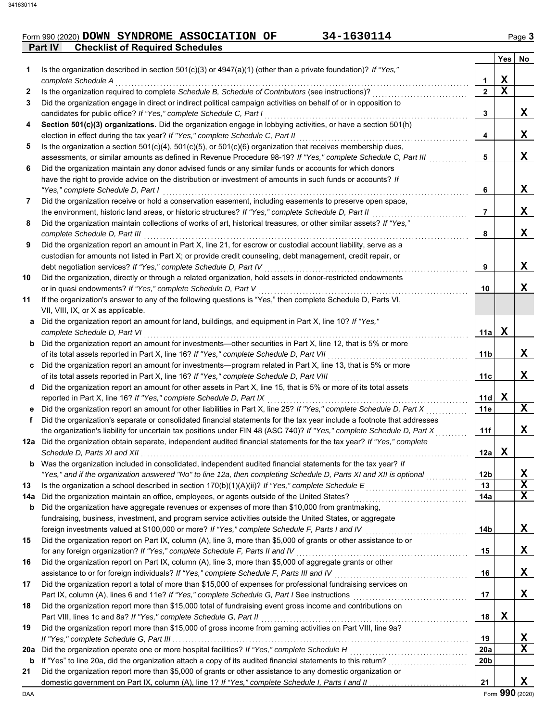### **Part IV Checklist of Required Schedules** Form 990 (2020) DOWN SYNDROME ASSOCIATION OF 34-1630114 Page 3

|     |                                                                                                                                                                                                   |                 | <b>Yes</b>  | No          |
|-----|---------------------------------------------------------------------------------------------------------------------------------------------------------------------------------------------------|-----------------|-------------|-------------|
| 1   | Is the organization described in section $501(c)(3)$ or $4947(a)(1)$ (other than a private foundation)? If "Yes,"                                                                                 |                 |             |             |
|     | complete Schedule A                                                                                                                                                                               | 1               | $\mathbf X$ |             |
| 2   | Is the organization required to complete Schedule B, Schedule of Contributors (see instructions)?                                                                                                 | $\mathbf{2}$    | $\mathbf X$ |             |
| 3   | Did the organization engage in direct or indirect political campaign activities on behalf of or in opposition to                                                                                  |                 |             |             |
|     | candidates for public office? If "Yes," complete Schedule C, Part I                                                                                                                               | 3               |             | X           |
| 4   | Section 501(c)(3) organizations. Did the organization engage in lobbying activities, or have a section 501(h)                                                                                     |                 |             |             |
|     | election in effect during the tax year? If "Yes," complete Schedule C, Part II                                                                                                                    | 4               |             | X           |
| 5   | Is the organization a section $501(c)(4)$ , $501(c)(5)$ , or $501(c)(6)$ organization that receives membership dues,                                                                              |                 |             |             |
|     | assessments, or similar amounts as defined in Revenue Procedure 98-19? If "Yes," complete Schedule C, Part III                                                                                    | 5               |             | X           |
| 6   | Did the organization maintain any donor advised funds or any similar funds or accounts for which donors                                                                                           |                 |             |             |
|     | have the right to provide advice on the distribution or investment of amounts in such funds or accounts? If                                                                                       |                 |             |             |
|     | "Yes," complete Schedule D, Part I                                                                                                                                                                | 6               |             | X           |
| 7   | Did the organization receive or hold a conservation easement, including easements to preserve open space,                                                                                         |                 |             |             |
|     | the environment, historic land areas, or historic structures? If "Yes," complete Schedule D, Part II                                                                                              | 7               |             | X           |
| 8   | Did the organization maintain collections of works of art, historical treasures, or other similar assets? If "Yes,"                                                                               | 8               |             | X           |
|     | complete Schedule D, Part III<br>Did the organization report an amount in Part X, line 21, for escrow or custodial account liability, serve as a                                                  |                 |             |             |
| 9   | custodian for amounts not listed in Part X; or provide credit counseling, debt management, credit repair, or                                                                                      |                 |             |             |
|     | debt negotiation services? If "Yes," complete Schedule D, Part IV                                                                                                                                 | 9               |             | X           |
| 10  | Did the organization, directly or through a related organization, hold assets in donor-restricted endowments                                                                                      |                 |             |             |
|     | or in quasi endowments? If "Yes," complete Schedule D, Part V                                                                                                                                     | 10              |             | X           |
| 11  | If the organization's answer to any of the following questions is "Yes," then complete Schedule D, Parts VI,                                                                                      |                 |             |             |
|     | VII, VIII, IX, or X as applicable.                                                                                                                                                                |                 |             |             |
|     | a Did the organization report an amount for land, buildings, and equipment in Part X, line 10? If "Yes,"                                                                                          |                 |             |             |
|     | complete Schedule D, Part VI                                                                                                                                                                      | 11a             | $\mathbf X$ |             |
|     | <b>b</b> Did the organization report an amount for investments-other securities in Part X, line 12, that is 5% or more                                                                            |                 |             |             |
|     | of its total assets reported in Part X, line 16? If "Yes," complete Schedule D, Part VII                                                                                                          | 11b             |             | X           |
|     | c Did the organization report an amount for investments—program related in Part X, line 13, that is 5% or more                                                                                    |                 |             |             |
|     | of its total assets reported in Part X, line 16? If "Yes," complete Schedule D, Part VIII                                                                                                         | 11c             |             | X           |
|     | d Did the organization report an amount for other assets in Part X, line 15, that is 5% or more of its total assets                                                                               |                 |             |             |
|     | reported in Part X, line 16? If "Yes," complete Schedule D, Part IX                                                                                                                               | 11d             | $\mathbf X$ |             |
|     | e Did the organization report an amount for other liabilities in Part X, line 25? If "Yes," complete Schedule D, Part X                                                                           | 11e             |             | X           |
| f   | Did the organization's separate or consolidated financial statements for the tax year include a footnote that addresses                                                                           |                 |             |             |
|     | the organization's liability for uncertain tax positions under FIN 48 (ASC 740)? If "Yes," complete Schedule D, Part X                                                                            | 11f             |             | X           |
|     | 12a Did the organization obtain separate, independent audited financial statements for the tax year? If "Yes," complete                                                                           |                 |             |             |
|     |                                                                                                                                                                                                   | 12a             | X           |             |
|     | Was the organization included in consolidated, independent audited financial statements for the tax year? If                                                                                      |                 |             |             |
|     | "Yes," and if the organization answered "No" to line 12a, then completing Schedule D, Parts XI and XII is optional                                                                                | 12 <sub>b</sub> |             | X           |
| 13  | Is the organization a school described in section 170(b)(1)(A)(ii)? If "Yes," complete Schedule E                                                                                                 | 13              |             | X           |
| 14a | Did the organization maintain an office, employees, or agents outside of the United States?                                                                                                       | 14a             |             | $\mathbf x$ |
| b   | Did the organization have aggregate revenues or expenses of more than \$10,000 from grantmaking,                                                                                                  |                 |             |             |
|     | fundraising, business, investment, and program service activities outside the United States, or aggregate                                                                                         |                 |             |             |
|     | foreign investments valued at \$100,000 or more? If "Yes," complete Schedule F, Parts I and IV                                                                                                    | 14 <sub>b</sub> |             | X           |
| 15  | Did the organization report on Part IX, column (A), line 3, more than \$5,000 of grants or other assistance to or<br>for any foreign organization? If "Yes," complete Schedule F, Parts II and IV | 15              |             | X           |
| 16  | Did the organization report on Part IX, column (A), line 3, more than \$5,000 of aggregate grants or other                                                                                        |                 |             |             |
|     | assistance to or for foreign individuals? If "Yes," complete Schedule F, Parts III and IV                                                                                                         | 16              |             | X           |
| 17  | Did the organization report a total of more than \$15,000 of expenses for professional fundraising services on                                                                                    |                 |             |             |
|     | Part IX, column (A), lines 6 and 11e? If "Yes," complete Schedule G, Part I See instructions [[[[[[[[[[[[[[[[                                                                                     | 17              |             | X           |
| 18  | Did the organization report more than \$15,000 total of fundraising event gross income and contributions on                                                                                       |                 |             |             |
|     | Part VIII, lines 1c and 8a? If "Yes," complete Schedule G, Part II                                                                                                                                | 18              | X           |             |
| 19  | Did the organization report more than \$15,000 of gross income from gaming activities on Part VIII, line 9a?                                                                                      |                 |             |             |
|     |                                                                                                                                                                                                   | 19              |             | X           |
| 20a | Did the organization operate one or more hospital facilities? If "Yes," complete Schedule H                                                                                                       | 20a             |             | $\mathbf x$ |
| b   |                                                                                                                                                                                                   | 20 <sub>b</sub> |             |             |
| 21  | Did the organization report more than \$5,000 of grants or other assistance to any domestic organization or                                                                                       |                 |             |             |
|     |                                                                                                                                                                                                   | 21              |             | X           |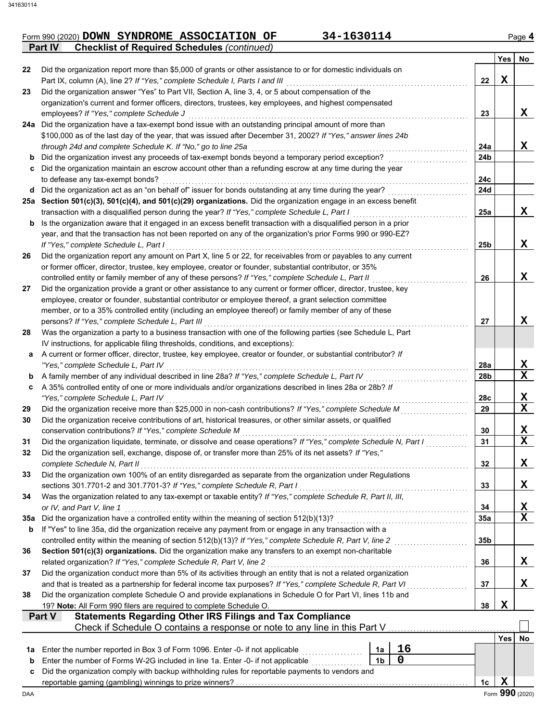|                |  | Form 990 (2020) DOWN SYNDROME ASSOCIATION OF       | 34-1630114 | Page 4 |
|----------------|--|----------------------------------------------------|------------|--------|
| <b>Part IV</b> |  | <b>Checklist of Required Schedules (continued)</b> |            |        |

|        |                                                                                                                                                                                                              |    |    |                        | <b>Yes</b>  | No              |
|--------|--------------------------------------------------------------------------------------------------------------------------------------------------------------------------------------------------------------|----|----|------------------------|-------------|-----------------|
| 22     | Did the organization report more than \$5,000 of grants or other assistance to or for domestic individuals on                                                                                                |    |    |                        |             |                 |
|        | Part IX, column (A), line 2? If "Yes," complete Schedule I, Parts I and III                                                                                                                                  |    |    | 22                     | $\mathbf X$ |                 |
| 23     | Did the organization answer "Yes" to Part VII, Section A, line 3, 4, or 5 about compensation of the                                                                                                          |    |    |                        |             |                 |
|        | organization's current and former officers, directors, trustees, key employees, and highest compensated                                                                                                      |    |    |                        |             |                 |
|        | employees? If "Yes," complete Schedule J<br>24a Did the organization have a tax-exempt bond issue with an outstanding principal amount of more than                                                          |    |    | 23                     |             | X               |
|        | \$100,000 as of the last day of the year, that was issued after December 31, 2002? If "Yes," answer lines 24b                                                                                                |    |    |                        |             |                 |
|        | through 24d and complete Schedule K. If "No," go to line 25a                                                                                                                                                 |    |    | 24a                    |             | X.              |
| b      | Did the organization invest any proceeds of tax-exempt bonds beyond a temporary period exception?                                                                                                            |    |    | 24b                    |             |                 |
| c      | Did the organization maintain an escrow account other than a refunding escrow at any time during the year                                                                                                    |    |    |                        |             |                 |
|        | to defease any tax-exempt bonds?                                                                                                                                                                             |    |    | 24c                    |             |                 |
| d      | Did the organization act as an "on behalf of" issuer for bonds outstanding at any time during the year?                                                                                                      |    |    | 24d                    |             |                 |
|        | 25a Section 501(c)(3), 501(c)(4), and 501(c)(29) organizations. Did the organization engage in an excess benefit                                                                                             |    |    |                        |             |                 |
|        | transaction with a disqualified person during the year? If "Yes," complete Schedule L, Part I                                                                                                                |    |    | 25a                    |             | X               |
| b      | Is the organization aware that it engaged in an excess benefit transaction with a disqualified person in a prior                                                                                             |    |    |                        |             |                 |
|        | year, and that the transaction has not been reported on any of the organization's prior Forms 990 or 990-EZ?                                                                                                 |    |    |                        |             |                 |
| 26     | If "Yes," complete Schedule L, Part I<br>Did the organization report any amount on Part X, line 5 or 22, for receivables from or payables to any current                                                     |    |    | 25b                    |             | X               |
|        | or former officer, director, trustee, key employee, creator or founder, substantial contributor, or 35%                                                                                                      |    |    |                        |             |                 |
|        | controlled entity or family member of any of these persons? If "Yes," complete Schedule L, Part II                                                                                                           |    |    | 26                     |             | X               |
| 27     | Did the organization provide a grant or other assistance to any current or former officer, director, trustee, key                                                                                            |    |    |                        |             |                 |
|        | employee, creator or founder, substantial contributor or employee thereof, a grant selection committee                                                                                                       |    |    |                        |             |                 |
|        | member, or to a 35% controlled entity (including an employee thereof) or family member of any of these                                                                                                       |    |    |                        |             |                 |
|        | persons? If "Yes," complete Schedule L, Part III                                                                                                                                                             |    |    | 27                     |             | X               |
| 28     | Was the organization a party to a business transaction with one of the following parties (see Schedule L, Part                                                                                               |    |    |                        |             |                 |
|        | IV instructions, for applicable filing thresholds, conditions, and exceptions):                                                                                                                              |    |    |                        |             |                 |
| a      | A current or former officer, director, trustee, key employee, creator or founder, or substantial contributor? If                                                                                             |    |    |                        |             |                 |
|        | "Yes," complete Schedule L, Part IV                                                                                                                                                                          |    |    | 28a<br>28 <sub>b</sub> |             | X<br>X          |
| b<br>c | A family member of any individual described in line 28a? If "Yes," complete Schedule L, Part IV<br>A 35% controlled entity of one or more individuals and/or organizations described in lines 28a or 28b? If |    |    |                        |             |                 |
|        | "Yes," complete Schedule L, Part IV                                                                                                                                                                          |    |    | 28c                    |             | x               |
| 29     | Did the organization receive more than \$25,000 in non-cash contributions? If "Yes," complete Schedule M                                                                                                     |    |    | 29                     |             | X               |
| 30     | Did the organization receive contributions of art, historical treasures, or other similar assets, or qualified                                                                                               |    |    |                        |             |                 |
|        | conservation contributions? If "Yes," complete Schedule M                                                                                                                                                    |    |    | 30                     |             | x               |
| 31     | Did the organization liquidate, terminate, or dissolve and cease operations? If "Yes," complete Schedule N, Part I                                                                                           |    |    | 31                     |             | X               |
| 32     | Did the organization sell, exchange, dispose of, or transfer more than 25% of its net assets? If "Yes,"                                                                                                      |    |    |                        |             |                 |
|        | complete Schedule N, Part II                                                                                                                                                                                 |    |    | 32                     |             | X               |
| 33     | Did the organization own 100% of an entity disregarded as separate from the organization under Regulations                                                                                                   |    |    |                        |             |                 |
|        | sections 301.7701-2 and 301.7701-3? If "Yes," complete Schedule R, Part I<br>Was the organization related to any tax-exempt or taxable entity? If "Yes," complete Schedule R, Part II, III,                  |    |    | 33                     |             | X.              |
| 34     | or IV, and Part V, line 1                                                                                                                                                                                    |    |    | 34                     |             | X               |
| 35a    |                                                                                                                                                                                                              |    |    | 35a                    |             | X               |
| b      | If "Yes" to line 35a, did the organization receive any payment from or engage in any transaction with a                                                                                                      |    |    |                        |             |                 |
|        | controlled entity within the meaning of section 512(b)(13)? If "Yes," complete Schedule R, Part V, line 2                                                                                                    |    |    | 35 <sub>b</sub>        |             |                 |
| 36     | Section 501(c)(3) organizations. Did the organization make any transfers to an exempt non-charitable                                                                                                         |    |    |                        |             |                 |
|        | related organization? If "Yes," complete Schedule R, Part V, line 2                                                                                                                                          |    |    | 36                     |             | X               |
| 37     | Did the organization conduct more than 5% of its activities through an entity that is not a related organization                                                                                             |    |    |                        |             |                 |
|        | and that is treated as a partnership for federal income tax purposes? If "Yes," complete Schedule R, Part VI                                                                                                 |    |    | 37                     |             | X.              |
| 38     | Did the organization complete Schedule O and provide explanations in Schedule O for Part VI, lines 11b and                                                                                                   |    |    |                        |             |                 |
|        | 19? Note: All Form 990 filers are required to complete Schedule O.                                                                                                                                           |    |    | 38                     | X           |                 |
|        | <b>Statements Regarding Other IRS Filings and Tax Compliance</b><br><b>Part V</b><br>Check if Schedule O contains a response or note to any line in this Part V                                              |    |    |                        |             |                 |
|        |                                                                                                                                                                                                              |    |    |                        | Yes         | No              |
| 1a     | Enter the number reported in Box 3 of Form 1096. Enter -0- if not applicable                                                                                                                                 | 1a | 16 |                        |             |                 |
| b      | Enter the number of Forms W-2G included in line 1a. Enter -0- if not applicable                                                                                                                              | 1b | 0  |                        |             |                 |
| c      | Did the organization comply with backup withholding rules for reportable payments to vendors and                                                                                                             |    |    |                        |             |                 |
|        |                                                                                                                                                                                                              |    |    | 1c                     | X           |                 |
| DAA    |                                                                                                                                                                                                              |    |    |                        |             | Form 990 (2020) |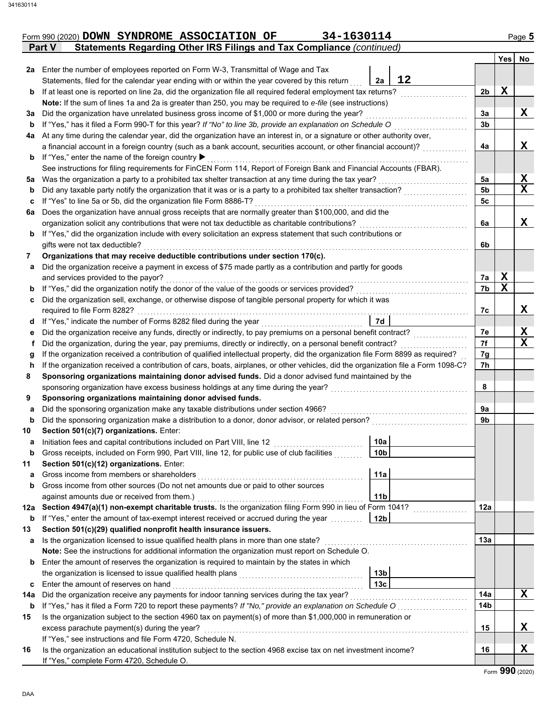|             | 34-1630114<br>Form 990 (2020) DOWN SYNDROME ASSOCIATION OF                                                                                                              |                 |           |             | Page 5 |
|-------------|-------------------------------------------------------------------------------------------------------------------------------------------------------------------------|-----------------|-----------|-------------|--------|
|             | Statements Regarding Other IRS Filings and Tax Compliance (continued)<br><b>Part V</b>                                                                                  |                 |           |             |        |
|             |                                                                                                                                                                         |                 |           | Yes No      |        |
| 2a          | Enter the number of employees reported on Form W-3, Transmittal of Wage and Tax                                                                                         |                 |           |             |        |
|             | Statements, filed for the calendar year ending with or within the year covered by this return                                                                           | 12<br>2a        |           |             |        |
| b           | If at least one is reported on line 2a, did the organization file all required federal employment tax returns?                                                          |                 | 2b        | X           |        |
|             | Note: If the sum of lines 1a and 2a is greater than 250, you may be required to e-file (see instructions)                                                               |                 |           |             |        |
| За          | Did the organization have unrelated business gross income of \$1,000 or more during the year?                                                                           |                 | За        |             | X      |
| b           | If "Yes," has it filed a Form 990-T for this year? If "No" to line 3b, provide an explanation on Schedule O                                                             |                 | 3b        |             |        |
| 4a          | At any time during the calendar year, did the organization have an interest in, or a signature or other authority over,                                                 |                 |           |             | x      |
|             | a financial account in a foreign country (such as a bank account, securities account, or other financial account)?<br>If "Yes," enter the name of the foreign country ▶ |                 | 4a        |             |        |
| b           | See instructions for filing requirements for FinCEN Form 114, Report of Foreign Bank and Financial Accounts (FBAR).                                                     |                 |           |             |        |
|             | Was the organization a party to a prohibited tax shelter transaction at any time during the tax year?                                                                   |                 | 5a        |             | X      |
| 5a          | Did any taxable party notify the organization that it was or is a party to a prohibited tax shelter transaction?                                                        | .               | <b>5b</b> |             | x      |
| $\mathbf b$ | If "Yes" to line 5a or 5b, did the organization file Form 8886-T?                                                                                                       |                 | 5c        |             |        |
| с           | Does the organization have annual gross receipts that are normally greater than \$100,000, and did the                                                                  |                 |           |             |        |
| 6a          | organization solicit any contributions that were not tax deductible as charitable contributions?                                                                        |                 | 6a        |             | x      |
|             | If "Yes," did the organization include with every solicitation an express statement that such contributions or                                                          |                 |           |             |        |
| b           | gifts were not tax deductible?                                                                                                                                          |                 | 6b        |             |        |
| 7           | Organizations that may receive deductible contributions under section 170(c).                                                                                           |                 |           |             |        |
|             | Did the organization receive a payment in excess of \$75 made partly as a contribution and partly for goods                                                             |                 |           |             |        |
| а           | and services provided to the payor?                                                                                                                                     |                 | 7a        | X           |        |
|             | If "Yes," did the organization notify the donor of the value of the goods or services provided?                                                                         |                 | 7b        | $\mathbf X$ |        |
| b           | Did the organization sell, exchange, or otherwise dispose of tangible personal property for which it was                                                                |                 |           |             |        |
| c           | required to file Form 8282?                                                                                                                                             |                 | 7с        |             | x      |
|             | If "Yes," indicate the number of Forms 8282 filed during the year                                                                                                       | 7d              |           |             |        |
| a           | Did the organization receive any funds, directly or indirectly, to pay premiums on a personal benefit contract?                                                         |                 | 7e        |             | X      |
| е           | Did the organization, during the year, pay premiums, directly or indirectly, on a personal benefit contract?                                                            |                 | 7f        |             | X      |
| Ť           | If the organization received a contribution of qualified intellectual property, did the organization file Form 8899 as required?                                        |                 | 7g        |             |        |
| g<br>h      | If the organization received a contribution of cars, boats, airplanes, or other vehicles, did the organization file a Form 1098-C?                                      |                 | 7h        |             |        |
| 8           | Sponsoring organizations maintaining donor advised funds. Did a donor advised fund maintained by the                                                                    |                 |           |             |        |
|             | sponsoring organization have excess business holdings at any time during the year?                                                                                      |                 | 8         |             |        |
| 9           | Sponsoring organizations maintaining donor advised funds.                                                                                                               |                 |           |             |        |
| а           | Did the sponsoring organization make any taxable distributions under section 4966?                                                                                      |                 | 9a        |             |        |
| $\mathbf b$ | Did the sponsoring organization make a distribution to a donor, donor advisor, or related person?                                                                       |                 | 9b        |             |        |
| 10          | Section 501(c)(7) organizations. Enter:                                                                                                                                 |                 |           |             |        |
| а           | Initiation fees and capital contributions included on Part VIII, line 12                                                                                                | 10a             |           |             |        |
| $\mathbf b$ | Gross receipts, included on Form 990, Part VIII, line 12, for public use of club facilities                                                                             | 10b             |           |             |        |
|             | Section 501(c)(12) organizations. Enter:                                                                                                                                |                 |           |             |        |
| 11<br>a     | Gross income from members or shareholders                                                                                                                               | 11a             |           |             |        |
| b           | Gross income from other sources (Do not net amounts due or paid to other sources                                                                                        |                 |           |             |        |
|             | against amounts due or received from them.)                                                                                                                             | 11 <sub>b</sub> |           |             |        |
| 12a         | Section 4947(a)(1) non-exempt charitable trusts. Is the organization filing Form 990 in lieu of Form 1041?                                                              |                 | 12a       |             |        |
| b           | If "Yes," enter the amount of tax-exempt interest received or accrued during the year                                                                                   | 12 <sub>b</sub> |           |             |        |
| 13          | Section 501(c)(29) qualified nonprofit health insurance issuers.                                                                                                        |                 |           |             |        |
|             | Is the organization licensed to issue qualified health plans in more than one state?                                                                                    |                 | 13а       |             |        |
| а           | Note: See the instructions for additional information the organization must report on Schedule O.                                                                       |                 |           |             |        |
| b           | Enter the amount of reserves the organization is required to maintain by the states in which                                                                            |                 |           |             |        |
|             | the organization is licensed to issue qualified health plans                                                                                                            | 13b             |           |             |        |
|             | Enter the amount of reserves on hand                                                                                                                                    | 13 <sub>c</sub> |           |             |        |
| c<br>14a    | Did the organization receive any payments for indoor tanning services during the tax year?                                                                              |                 | 14a       |             | X      |
| b           | If "Yes," has it filed a Form 720 to report these payments? If "No," provide an explanation on Schedule O                                                               |                 | 14b       |             |        |
| 15          | Is the organization subject to the section 4960 tax on payment(s) of more than \$1,000,000 in remuneration or                                                           |                 |           |             |        |
|             | excess parachute payment(s) during the year?                                                                                                                            |                 | 15        |             | X.     |
|             | If "Yes," see instructions and file Form 4720, Schedule N.                                                                                                              |                 |           |             |        |
| 16          | Is the organization an educational institution subject to the section 4968 excise tax on net investment income?                                                         |                 | 16        |             | X.     |
|             |                                                                                                                                                                         |                 |           |             |        |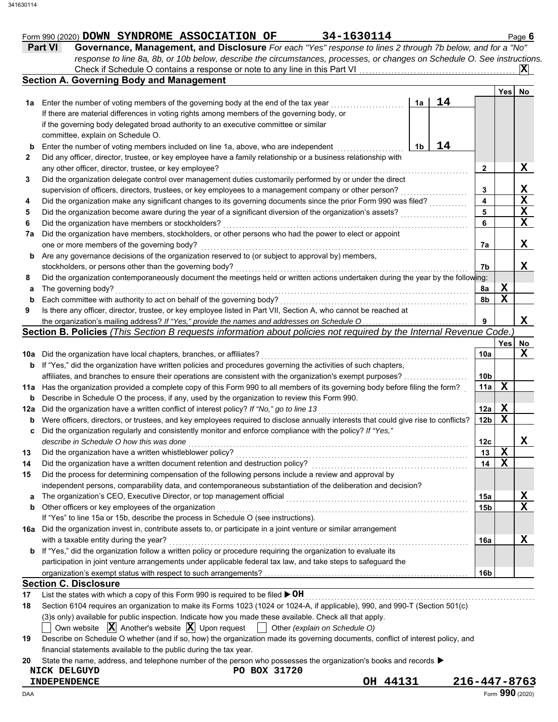|          | <b>Section A. Governing Body and Management</b>                                                                                                                                                      |                |    |                 |             |                         |
|----------|------------------------------------------------------------------------------------------------------------------------------------------------------------------------------------------------------|----------------|----|-----------------|-------------|-------------------------|
|          |                                                                                                                                                                                                      |                |    |                 | Yes         | No                      |
|          | 1a Enter the number of voting members of the governing body at the end of the tax year                                                                                                               | 1a             | 14 |                 |             |                         |
|          | If there are material differences in voting rights among members of the governing body, or                                                                                                           |                |    |                 |             |                         |
|          | if the governing body delegated broad authority to an executive committee or similar                                                                                                                 |                |    |                 |             |                         |
|          | committee, explain on Schedule O.                                                                                                                                                                    |                |    |                 |             |                         |
| b        | Enter the number of voting members included on line 1a, above, who are independent                                                                                                                   | 1 <sub>b</sub> | 14 |                 |             |                         |
| 2        | Did any officer, director, trustee, or key employee have a family relationship or a business relationship with                                                                                       |                |    |                 |             |                         |
|          | any other officer, director, trustee, or key employee?                                                                                                                                               |                |    | $\mathbf{2}$    |             | X                       |
| 3        | Did the organization delegate control over management duties customarily performed by or under the direct                                                                                            |                |    |                 |             |                         |
|          | supervision of officers, directors, trustees, or key employees to a management company or other person?                                                                                              |                |    | 3               |             | <u>x</u>                |
| 4        | Did the organization make any significant changes to its governing documents since the prior Form 990 was filed?                                                                                     |                |    | 4               |             | $\overline{\mathbf{X}}$ |
| 5        | Did the organization become aware during the year of a significant diversion of the organization's assets?                                                                                           |                |    | 5               |             | $\overline{\mathbf{x}}$ |
| 6        | Did the organization have members or stockholders?                                                                                                                                                   |                |    | 6               |             | $\mathbf x$             |
| 7a       | Did the organization have members, stockholders, or other persons who had the power to elect or appoint                                                                                              |                |    |                 |             |                         |
|          | one or more members of the governing body?                                                                                                                                                           |                |    | 7a              |             | X                       |
| b        | Are any governance decisions of the organization reserved to (or subject to approval by) members,                                                                                                    |                |    |                 |             |                         |
|          | stockholders, or persons other than the governing body?                                                                                                                                              |                |    | 7b              |             | x                       |
| 8        | Did the organization contemporaneously document the meetings held or written actions undertaken during the year by the following:                                                                    |                |    |                 |             |                         |
| a        | The governing body?                                                                                                                                                                                  |                |    | 8a              | X           |                         |
| b        | Each committee with authority to act on behalf of the governing body?                                                                                                                                |                |    | 8b              | $\mathbf X$ |                         |
| 9        | Is there any officer, director, trustee, or key employee listed in Part VII, Section A, who cannot be reached at                                                                                     |                |    |                 |             |                         |
|          | the organization's mailing address? If "Yes," provide the names and addresses on Schedule O                                                                                                          |                |    | 9               |             | X                       |
|          | Section B. Policies (This Section B requests information about policies not required by the Internal Revenue Code.)                                                                                  |                |    |                 |             |                         |
|          |                                                                                                                                                                                                      |                |    |                 | Yes         | No                      |
| 10a      | Did the organization have local chapters, branches, or affiliates?                                                                                                                                   |                |    | 10a             |             | X                       |
| b        | If "Yes," did the organization have written policies and procedures governing the activities of such chapters,                                                                                       |                |    |                 |             |                         |
|          | affiliates, and branches to ensure their operations are consistent with the organization's exempt purposes?                                                                                          |                |    | 10b             |             |                         |
|          | 11a Has the organization provided a complete copy of this Form 990 to all members of its governing body before filing the form?                                                                      |                |    | 11a             | X           |                         |
| b        | Describe in Schedule O the process, if any, used by the organization to review this Form 990.                                                                                                        |                |    |                 |             |                         |
| 12a      | Did the organization have a written conflict of interest policy? If "No," go to line 13                                                                                                              |                |    | 12a             | X           |                         |
| b        | Were officers, directors, or trustees, and key employees required to disclose annually interests that could give rise to conflicts?                                                                  |                |    | 12 <sub>b</sub> | X           |                         |
| c        | Did the organization regularly and consistently monitor and enforce compliance with the policy? If "Yes,"                                                                                            |                |    |                 |             |                         |
|          | describe in Schedule O how this was done                                                                                                                                                             |                |    | 12 <sub>c</sub> |             | x                       |
|          | Did the organization have a written whistleblower policy?                                                                                                                                            |                |    | 13              | X           |                         |
| 14       | Did the organization have a written document retention and destruction policy?                                                                                                                       |                |    | 14              | X           |                         |
| 15       | Did the process for determining compensation of the following persons include a review and approval by                                                                                               |                |    |                 |             |                         |
|          | independent persons, comparability data, and contemporaneous substantiation of the deliberation and decision?                                                                                        |                |    |                 |             |                         |
| a        | The organization's CEO, Executive Director, or top management official                                                                                                                               |                |    | 15a             |             | X                       |
| b        | Other officers or key employees of the organization                                                                                                                                                  |                |    | 15b             |             | $\mathbf X$             |
|          | If "Yes" to line 15a or 15b, describe the process in Schedule O (see instructions).                                                                                                                  |                |    |                 |             |                         |
|          | 16a Did the organization invest in, contribute assets to, or participate in a joint venture or similar arrangement                                                                                   |                |    |                 |             |                         |
|          | with a taxable entity during the year?                                                                                                                                                               |                |    | 16a             |             | X                       |
|          | If "Yes," did the organization follow a written policy or procedure requiring the organization to evaluate its                                                                                       |                |    |                 |             |                         |
| b        | participation in joint venture arrangements under applicable federal tax law, and take steps to safeguard the                                                                                        |                |    |                 |             |                         |
|          |                                                                                                                                                                                                      |                |    | 16b             |             |                         |
|          |                                                                                                                                                                                                      |                |    |                 |             |                         |
|          | <b>Section C. Disclosure</b>                                                                                                                                                                         |                |    |                 |             |                         |
|          | List the states with which a copy of this Form 990 is required to be filed $\blacktriangleright$ OH                                                                                                  |                |    |                 |             |                         |
| 17<br>18 | Section 6104 requires an organization to make its Forms 1023 (1024 or 1024-A, if applicable), 990, and 990-T (Section 501(c)                                                                         |                |    |                 |             |                         |
|          |                                                                                                                                                                                                      |                |    |                 |             |                         |
|          | (3)s only) available for public inspection. Indicate how you made these available. Check all that apply.<br>Other (explain on Schedule O)<br>$\pm$                                                   |                |    |                 |             |                         |
| 19       | Own website $ \mathbf{X} $ Another's website $ \mathbf{X} $ Upon request                                                                                                                             |                |    |                 |             |                         |
|          | Describe on Schedule O whether (and if so, how) the organization made its governing documents, conflict of interest policy, and<br>financial statements available to the public during the tax year. |                |    |                 |             |                         |

**INDEPENDENCE**<br>AA **CH 44131** 216-447-8763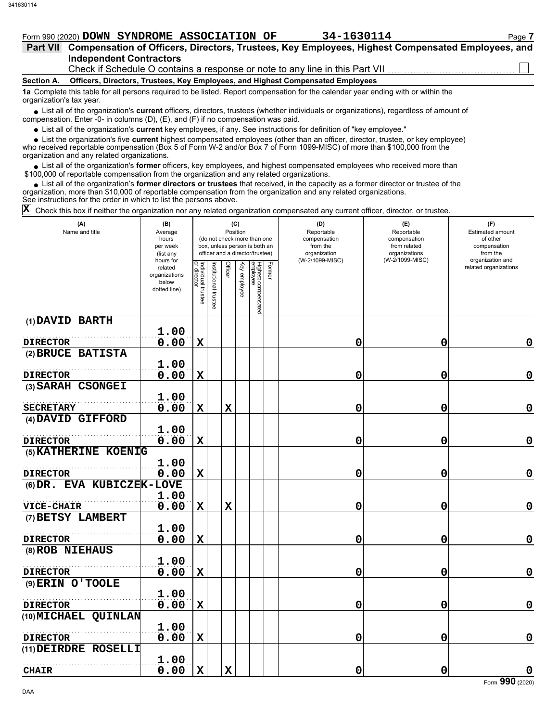## Form 990 (2020) DOWN SYNDROME ASSOCIATION OF 34-1630114 Page 7

|                   | Part VII Compensation of Officers, Directors, Trustees, Key Employees, Highest Compensated Employees, and |
|-------------------|-----------------------------------------------------------------------------------------------------------|
|                   | <b>Independent Contractors</b>                                                                            |
|                   | Check if Schedule O contains a response or note to any line in this Part VII                              |
| <b>Section A.</b> | Officers, Directors, Trustees, Key Employees, and Highest Compensated Employees                           |

**1a** Complete this table for all persons required to be listed. Report compensation for the calendar year ending with or within the organization's tax year.

■ List all of the organization's **current** officers, directors, trustees (whether individuals or organizations), regardless of amount of compensation. Enter -0- in columns (D), (E), and (F) if no compensation was paid.

List all of the organization's **current** key employees, if any. See instructions for definition of "key employee."

■ List all of the organization's **current** key employees, if any. See instructions for definition of "key employee."<br>■ List the organization's five **current** highest compensated employees (other than an officer, director,

who received reportable compensation (Box 5 of Form W-2 and/or Box 7 of Form 1099-MISC) of more than \$100,000 from the organization and any related organizations.

• List all of the organization's **former** officers, key employees, and highest compensated employees who received more than<br>00,000 of reportable compensation from the organization and any related erganizations. \$100,000 of reportable compensation from the organization and any related organizations.

• List all of the organization's **former directors or trustees** that received, in the capacity as a former director or trustee of the anization more than \$10,000 of reportable compensation from the organization and any rel organization, more than \$10,000 of reportable compensation from the organization and any related organizations. See instructions for the order in which to list the persons above.

 $\bar{\bm{\mathrm{X}}}$  Check this box if neither the organization nor any related organization compensated any current officer, director, or trustee.

| Name and title            | (B)<br>Average<br>hours<br>per week<br>(list any               |                                   |                      | (C)<br>Position |              | (do not check more than one<br>box, unless person is both an<br>officer and a director/trustee) | (D)<br>Reportable<br>compensation<br>from the<br>organization<br>(W-2/1099-MISC) | (E)<br>Reportable<br>compensation<br>from related<br>organizations<br>(W-2/1099-MISC) | (F)<br>Estimated amount<br>of other<br>compensation<br>from the<br>organization and |
|---------------------------|----------------------------------------------------------------|-----------------------------------|----------------------|-----------------|--------------|-------------------------------------------------------------------------------------------------|----------------------------------------------------------------------------------|---------------------------------------------------------------------------------------|-------------------------------------------------------------------------------------|
|                           | hours for<br>related<br>organizations<br>below<br>dotted line) | Individual trustee<br>or director | nstitutional trustee | Officer         | Key employee | Former<br>Highest compensated<br>employee                                                       |                                                                                  |                                                                                       | related organizations                                                               |
| (1) DAVID BARTH           |                                                                |                                   |                      |                 |              |                                                                                                 |                                                                                  |                                                                                       |                                                                                     |
| <b>DIRECTOR</b>           | 1.00<br>0.00                                                   | $\mathbf X$                       |                      |                 |              |                                                                                                 | 0                                                                                | $\mathbf 0$                                                                           | 0                                                                                   |
| (2) BRUCE BATISTA         |                                                                |                                   |                      |                 |              |                                                                                                 |                                                                                  |                                                                                       |                                                                                     |
| <b>DIRECTOR</b>           | 1.00<br>0.00                                                   | $\mathbf X$                       |                      |                 |              |                                                                                                 | 0                                                                                | 0                                                                                     | 0                                                                                   |
| (3) SARAH CSONGEI         |                                                                |                                   |                      |                 |              |                                                                                                 |                                                                                  |                                                                                       |                                                                                     |
| <b>SECRETARY</b>          | 1.00<br>0.00                                                   | $\mathbf X$                       |                      | $\mathbf x$     |              |                                                                                                 | 0                                                                                | 0                                                                                     | $\mathbf 0$                                                                         |
| (4) DAVID GIFFORD         |                                                                |                                   |                      |                 |              |                                                                                                 |                                                                                  |                                                                                       |                                                                                     |
|                           | 1.00                                                           |                                   |                      |                 |              |                                                                                                 |                                                                                  |                                                                                       |                                                                                     |
| <b>DIRECTOR</b>           | 0.00                                                           | $\mathbf X$                       |                      |                 |              |                                                                                                 | 0                                                                                | 0                                                                                     | $\mathbf 0$                                                                         |
| (5) KATHERINE KOENIG      |                                                                |                                   |                      |                 |              |                                                                                                 |                                                                                  |                                                                                       |                                                                                     |
| <b>DIRECTOR</b>           | 1.00<br>0.00                                                   | $\mathbf x$                       |                      |                 |              |                                                                                                 | 0                                                                                | 0                                                                                     | $\mathbf 0$                                                                         |
| (6) DR. EVA KUBICZEK-LOVE |                                                                |                                   |                      |                 |              |                                                                                                 |                                                                                  |                                                                                       |                                                                                     |
|                           | 1.00                                                           |                                   |                      |                 |              |                                                                                                 |                                                                                  |                                                                                       |                                                                                     |
| VICE-CHAIR                | 0.00                                                           | $\mathbf X$                       |                      | $\mathbf x$     |              |                                                                                                 | 0                                                                                | $\mathbf 0$                                                                           | $\pmb{0}$                                                                           |
| (7) BETSY LAMBERT         | 1.00                                                           |                                   |                      |                 |              |                                                                                                 |                                                                                  |                                                                                       |                                                                                     |
| <b>DIRECTOR</b>           | 0.00                                                           | $\mathbf X$                       |                      |                 |              |                                                                                                 | 0                                                                                | 0                                                                                     | $\mathbf 0$                                                                         |
| (8) ROB NIEHAUS           |                                                                |                                   |                      |                 |              |                                                                                                 |                                                                                  |                                                                                       |                                                                                     |
|                           | 1.00                                                           |                                   |                      |                 |              |                                                                                                 |                                                                                  |                                                                                       |                                                                                     |
| <b>DIRECTOR</b>           | 0.00                                                           | $\mathbf X$                       |                      |                 |              |                                                                                                 | 0                                                                                | 0                                                                                     | $\mathbf 0$                                                                         |
| (9) ERIN O'TOOLE          | 1.00                                                           |                                   |                      |                 |              |                                                                                                 |                                                                                  |                                                                                       |                                                                                     |
| <b>DIRECTOR</b>           | 0.00                                                           | $\mathbf X$                       |                      |                 |              |                                                                                                 | 0                                                                                | $\mathbf 0$                                                                           | $\pmb{0}$                                                                           |
| (10) MICHAEL QUINLAN      |                                                                |                                   |                      |                 |              |                                                                                                 |                                                                                  |                                                                                       |                                                                                     |
|                           | 1.00                                                           |                                   |                      |                 |              |                                                                                                 |                                                                                  |                                                                                       |                                                                                     |
| <b>DIRECTOR</b>           | 0.00                                                           | $\mathbf x$                       |                      |                 |              |                                                                                                 | 0                                                                                | 0                                                                                     | $\mathbf 0$                                                                         |
| (11) DEIRDRE ROSELLI      |                                                                |                                   |                      |                 |              |                                                                                                 |                                                                                  |                                                                                       |                                                                                     |
| <b>CHAIR</b>              | 1.00<br>0.00                                                   | $\mathbf X$                       |                      | $\mathbf x$     |              |                                                                                                 | 0                                                                                | $\mathbf 0$                                                                           | $\mathbf 0$                                                                         |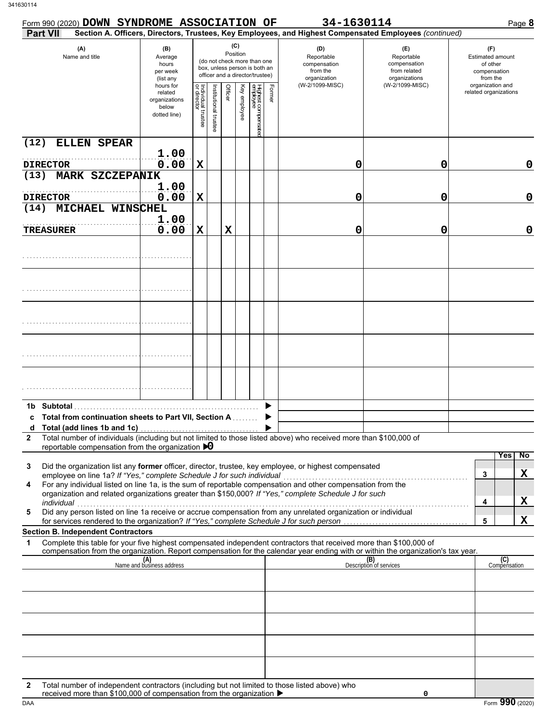| Form 990 (2020) DOWN SYNDROME ASSOCIATION OF                                |                                                                |                                   |                       |             |                 |                                                                                                 |        | 34-1630114                                                                                                                                                                                                                                             |                                                                    | Page 8                                                                 |
|-----------------------------------------------------------------------------|----------------------------------------------------------------|-----------------------------------|-----------------------|-------------|-----------------|-------------------------------------------------------------------------------------------------|--------|--------------------------------------------------------------------------------------------------------------------------------------------------------------------------------------------------------------------------------------------------------|--------------------------------------------------------------------|------------------------------------------------------------------------|
| <b>Part VII</b>                                                             |                                                                |                                   |                       |             |                 |                                                                                                 |        | Section A. Officers, Directors, Trustees, Key Employees, and Highest Compensated Employees (continued)                                                                                                                                                 |                                                                    |                                                                        |
| (A)<br>Name and title                                                       | (B)<br>Average<br>hours<br>per week<br>(list any               |                                   |                       |             | (C)<br>Position | (do not check more than one<br>box, unless person is both an<br>officer and a director/trustee) |        | (D)<br>Reportable<br>compensation<br>from the<br>organization                                                                                                                                                                                          | (E)<br>Reportable<br>compensation<br>from related<br>organizations | (F)<br><b>Estimated amount</b><br>of other<br>compensation<br>from the |
|                                                                             | hours for<br>related<br>organizations<br>below<br>dotted line) | Individual trustee<br>or director | Institutional trustee | Officer     | Key employee    | Highest compensatec<br>employee                                                                 | Former | (W-2/1099-MISC)                                                                                                                                                                                                                                        | (W-2/1099-MISC)                                                    | organization and<br>related organizations                              |
| (12)<br><b>ELLEN SPEAR</b>                                                  | 1.00                                                           |                                   |                       |             |                 |                                                                                                 |        |                                                                                                                                                                                                                                                        |                                                                    |                                                                        |
| <b>DIRECTOR</b>                                                             | 0.00                                                           | $\mathbf x$                       |                       |             |                 |                                                                                                 |        | 0                                                                                                                                                                                                                                                      | $\mathbf 0$                                                        | 0                                                                      |
| MARK SZCZEPANIK<br>(13)                                                     |                                                                |                                   |                       |             |                 |                                                                                                 |        |                                                                                                                                                                                                                                                        |                                                                    |                                                                        |
| <b>DIRECTOR</b>                                                             | 1.00<br>0.00                                                   | $\mathbf x$                       |                       |             |                 |                                                                                                 |        | 0                                                                                                                                                                                                                                                      | $\mathbf 0$                                                        | 0                                                                      |
| MICHAEL WINSCHEL<br>(14)                                                    |                                                                |                                   |                       |             |                 |                                                                                                 |        |                                                                                                                                                                                                                                                        |                                                                    |                                                                        |
| <b>TREASURER</b>                                                            | 1.00<br>0.00                                                   | $\mathbf x$                       |                       | $\mathbf X$ |                 |                                                                                                 |        | 0                                                                                                                                                                                                                                                      | 0                                                                  | $\mathbf 0$                                                            |
|                                                                             |                                                                |                                   |                       |             |                 |                                                                                                 |        |                                                                                                                                                                                                                                                        |                                                                    |                                                                        |
|                                                                             |                                                                |                                   |                       |             |                 |                                                                                                 |        |                                                                                                                                                                                                                                                        |                                                                    |                                                                        |
|                                                                             |                                                                |                                   |                       |             |                 |                                                                                                 |        |                                                                                                                                                                                                                                                        |                                                                    |                                                                        |
|                                                                             |                                                                |                                   |                       |             |                 |                                                                                                 |        |                                                                                                                                                                                                                                                        |                                                                    |                                                                        |
|                                                                             |                                                                |                                   |                       |             |                 |                                                                                                 |        |                                                                                                                                                                                                                                                        |                                                                    |                                                                        |
|                                                                             |                                                                |                                   |                       |             |                 |                                                                                                 |        |                                                                                                                                                                                                                                                        |                                                                    |                                                                        |
|                                                                             |                                                                |                                   |                       |             |                 |                                                                                                 |        |                                                                                                                                                                                                                                                        |                                                                    |                                                                        |
| c Total from continuation sheets to Part VII, Section A                     |                                                                |                                   |                       |             |                 |                                                                                                 |        |                                                                                                                                                                                                                                                        |                                                                    |                                                                        |
| 2<br>reportable compensation from the organization $\bigtriangledown 0$     |                                                                |                                   |                       |             |                 |                                                                                                 |        | Total number of individuals (including but not limited to those listed above) who received more than \$100,000 of                                                                                                                                      |                                                                    |                                                                        |
| 3                                                                           |                                                                |                                   |                       |             |                 |                                                                                                 |        | Did the organization list any former officer, director, trustee, key employee, or highest compensated                                                                                                                                                  |                                                                    | Yes<br>$\overline{N}$                                                  |
| employee on line 1a? If "Yes," complete Schedule J for such individual<br>4 |                                                                |                                   |                       |             |                 |                                                                                                 |        | For any individual listed on line 1a, is the sum of reportable compensation and other compensation from the<br>organization and related organizations greater than \$150,000? If "Yes," complete Schedule J for such                                   |                                                                    | X<br>3                                                                 |
| individual<br>5                                                             |                                                                |                                   |                       |             |                 |                                                                                                 |        | marviouar<br>Did any person listed on line 1a receive or accrue compensation from any unrelated organization or individual                                                                                                                             |                                                                    | X<br>4                                                                 |
|                                                                             |                                                                |                                   |                       |             |                 |                                                                                                 |        | for services rendered to the organization? If "Yes," complete Schedule J for such person                                                                                                                                                               |                                                                    | X<br>5                                                                 |
| <b>Section B. Independent Contractors</b>                                   |                                                                |                                   |                       |             |                 |                                                                                                 |        |                                                                                                                                                                                                                                                        |                                                                    |                                                                        |
| 1                                                                           |                                                                |                                   |                       |             |                 |                                                                                                 |        | Complete this table for your five highest compensated independent contractors that received more than \$100,000 of<br>compensation from the organization. Report compensation for the calendar year ending with or within the organization's tax year. |                                                                    |                                                                        |
|                                                                             | (A)<br>Name and business address                               |                                   |                       |             |                 |                                                                                                 |        |                                                                                                                                                                                                                                                        | (B)<br>Description of services                                     | (C)<br>Compensation                                                    |
|                                                                             |                                                                |                                   |                       |             |                 |                                                                                                 |        |                                                                                                                                                                                                                                                        |                                                                    |                                                                        |
|                                                                             |                                                                |                                   |                       |             |                 |                                                                                                 |        |                                                                                                                                                                                                                                                        |                                                                    |                                                                        |
|                                                                             |                                                                |                                   |                       |             |                 |                                                                                                 |        |                                                                                                                                                                                                                                                        |                                                                    |                                                                        |
|                                                                             |                                                                |                                   |                       |             |                 |                                                                                                 |        |                                                                                                                                                                                                                                                        |                                                                    |                                                                        |
|                                                                             |                                                                |                                   |                       |             |                 |                                                                                                 |        |                                                                                                                                                                                                                                                        |                                                                    |                                                                        |
| 2<br>received more than \$100,000 of compensation from the organization ▶   |                                                                |                                   |                       |             |                 |                                                                                                 |        | Total number of independent contractors (including but not limited to those listed above) who                                                                                                                                                          | 0                                                                  |                                                                        |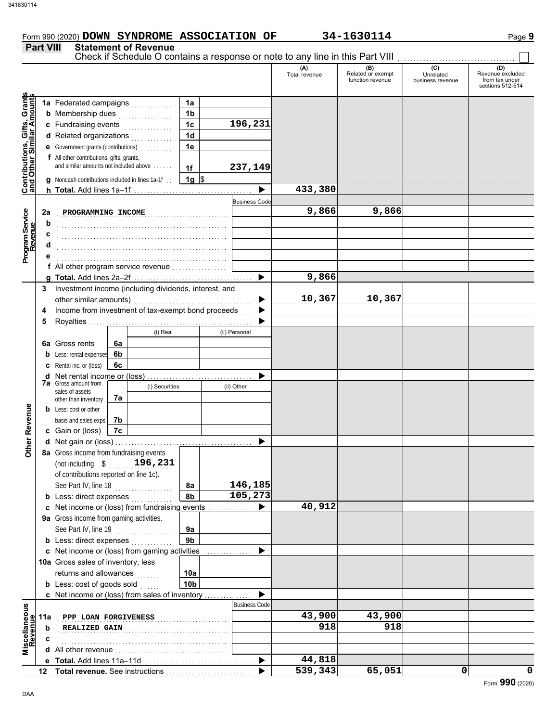# Form 990 (2020) DOWN SYNDROME ASSOCIATION OF 34-1630114 Page 9

## **Part VIII Statement of Revenue**

|                                                           |          |                                                        |                |                |                 |                      | Check if Schedule O contains a response or note to any line in this Part VIII |                                              |                                      |                                                               |
|-----------------------------------------------------------|----------|--------------------------------------------------------|----------------|----------------|-----------------|----------------------|-------------------------------------------------------------------------------|----------------------------------------------|--------------------------------------|---------------------------------------------------------------|
|                                                           |          |                                                        |                |                |                 |                      | (A)<br>Total revenue                                                          | (B)<br>Related or exempt<br>function revenue | (C)<br>Unrelated<br>business revenue | (D)<br>Revenue excluded<br>from tax under<br>sections 512-514 |
|                                                           |          |                                                        |                |                | 1a              |                      |                                                                               |                                              |                                      |                                                               |
| Contributions, Gifts, Grants<br>and Other Similar Amounts |          | <b>b</b> Membership dues <i></i>                       |                |                | 1 <sub>b</sub>  |                      |                                                                               |                                              |                                      |                                                               |
|                                                           |          | c Fundraising events                                   |                |                | 1 <sub>c</sub>  | 196,231              |                                                                               |                                              |                                      |                                                               |
|                                                           |          | d Related organizations                                |                |                | 1 <sub>d</sub>  |                      |                                                                               |                                              |                                      |                                                               |
|                                                           |          | e Government grants (contributions)<br>                |                | 1e             |                 |                      |                                                                               |                                              |                                      |                                                               |
|                                                           |          | f All other contributions, gifts, grants,              |                |                |                 |                      |                                                                               |                                              |                                      |                                                               |
|                                                           |          | and similar amounts not included above                 |                |                | 1f              | 237,149              |                                                                               |                                              |                                      |                                                               |
|                                                           |          | <b>g</b> Noncash contributions included in lines 1a-1f |                |                | $1g$ \$         |                      |                                                                               |                                              |                                      |                                                               |
|                                                           |          |                                                        |                |                |                 |                      | 433,380                                                                       |                                              |                                      |                                                               |
|                                                           |          |                                                        |                |                |                 | <b>Business Code</b> |                                                                               |                                              |                                      |                                                               |
|                                                           | 2a       | PROGRAMMING INCOME                                     |                |                |                 |                      | 9,866                                                                         | 9,866                                        |                                      |                                                               |
| Program Service<br>Revenue                                | b        |                                                        |                |                |                 |                      |                                                                               |                                              |                                      |                                                               |
|                                                           | c        |                                                        |                |                |                 |                      |                                                                               |                                              |                                      |                                                               |
|                                                           | d        |                                                        |                |                |                 |                      |                                                                               |                                              |                                      |                                                               |
|                                                           |          |                                                        |                |                |                 |                      |                                                                               |                                              |                                      |                                                               |
|                                                           |          | f All other program service revenue                    |                |                |                 |                      |                                                                               |                                              |                                      |                                                               |
|                                                           |          |                                                        |                |                |                 | ▶                    | 9,866                                                                         |                                              |                                      |                                                               |
|                                                           | 3        | Investment income (including dividends, interest, and  |                |                |                 |                      |                                                                               |                                              |                                      |                                                               |
|                                                           |          | other similar amounts)                                 |                |                |                 |                      | 10,367                                                                        | 10,367                                       |                                      |                                                               |
|                                                           | 4        | Income from investment of tax-exempt bond proceeds     |                |                |                 |                      |                                                                               |                                              |                                      |                                                               |
|                                                           | 5        |                                                        |                |                |                 |                      |                                                                               |                                              |                                      |                                                               |
|                                                           |          |                                                        |                | (i) Real       |                 | (ii) Personal        |                                                                               |                                              |                                      |                                                               |
|                                                           |          | 6a Gross rents                                         | 6a             |                |                 |                      |                                                                               |                                              |                                      |                                                               |
|                                                           |          | $\mathbf b$ Less: rental expenses                      | 6 <sub>b</sub> |                |                 |                      |                                                                               |                                              |                                      |                                                               |
|                                                           |          | <b>c</b> Rental inc. or (loss)                         | 6c             |                |                 |                      |                                                                               |                                              |                                      |                                                               |
|                                                           |          | <b>d</b> Net rental income or (loss)                   |                |                |                 |                      |                                                                               |                                              |                                      |                                                               |
|                                                           |          | <b>7a</b> Gross amount from<br>sales of assets         |                | (i) Securities |                 | (ii) Other           |                                                                               |                                              |                                      |                                                               |
|                                                           |          | other than inventory                                   | 7а             |                |                 |                      |                                                                               |                                              |                                      |                                                               |
|                                                           |          | <b>b</b> Less: cost or other                           |                |                |                 |                      |                                                                               |                                              |                                      |                                                               |
|                                                           |          | basis and sales exps                                   | 7b             |                |                 |                      |                                                                               |                                              |                                      |                                                               |
| Other Revenue                                             |          | c Gain or (loss)                                       | 7c             |                |                 |                      |                                                                               |                                              |                                      |                                                               |
|                                                           |          |                                                        |                |                |                 | ▶                    |                                                                               |                                              |                                      |                                                               |
|                                                           |          | 8a Gross income from fundraising events                |                |                |                 |                      |                                                                               |                                              |                                      |                                                               |
|                                                           |          | (not including $$$ 196, 231                            |                |                |                 |                      |                                                                               |                                              |                                      |                                                               |
|                                                           |          | of contributions reported on line 1c).                 |                |                |                 |                      |                                                                               |                                              |                                      |                                                               |
|                                                           |          | See Part IV, line 18                                   |                | .              | 8а              | 146,185              |                                                                               |                                              |                                      |                                                               |
|                                                           |          | <b>b</b> Less: direct expenses                         |                |                | 8b              | 105,273              |                                                                               |                                              |                                      |                                                               |
|                                                           |          | c Net income or (loss) from fundraising events         |                |                |                 |                      | 40,912                                                                        |                                              |                                      |                                                               |
|                                                           |          | 9a Gross income from gaming activities.                |                |                |                 |                      |                                                                               |                                              |                                      |                                                               |
|                                                           |          | See Part IV, line 19                                   |                | .              | 9a              |                      |                                                                               |                                              |                                      |                                                               |
|                                                           |          | <b>b</b> Less: direct expenses <i>minimum</i>          |                |                | 9 <sub>b</sub>  |                      |                                                                               |                                              |                                      |                                                               |
|                                                           |          | c Net income or (loss) from gaming activities          |                |                |                 |                      |                                                                               |                                              |                                      |                                                               |
|                                                           |          | 10a Gross sales of inventory, less                     |                |                |                 |                      |                                                                               |                                              |                                      |                                                               |
|                                                           |          | returns and allowances                                 |                | .              | 10a             |                      |                                                                               |                                              |                                      |                                                               |
|                                                           |          | <b>b</b> Less: cost of goods sold                      |                |                | 10 <sub>b</sub> |                      |                                                                               |                                              |                                      |                                                               |
|                                                           |          | c Net income or (loss) from sales of inventory         |                |                |                 | <b>Business Code</b> |                                                                               |                                              |                                      |                                                               |
| Miscellaneous<br>Revenue                                  |          |                                                        |                |                |                 |                      | 43,900                                                                        | 43,900                                       |                                      |                                                               |
|                                                           | 11a<br>b | PPP LOAN FORGIVENESS                                   |                |                |                 |                      | 918                                                                           | 918                                          |                                      |                                                               |
|                                                           |          | <b>REALIZED GAIN</b>                                   |                |                |                 |                      |                                                                               |                                              |                                      |                                                               |
|                                                           |          |                                                        |                |                |                 |                      |                                                                               |                                              |                                      |                                                               |
|                                                           |          |                                                        |                |                |                 | ▶                    | 44,818                                                                        |                                              |                                      |                                                               |
|                                                           |          |                                                        |                |                |                 |                      | 539,343                                                                       | 65,051                                       | 0                                    | 0                                                             |
|                                                           |          |                                                        |                |                |                 |                      |                                                                               |                                              |                                      |                                                               |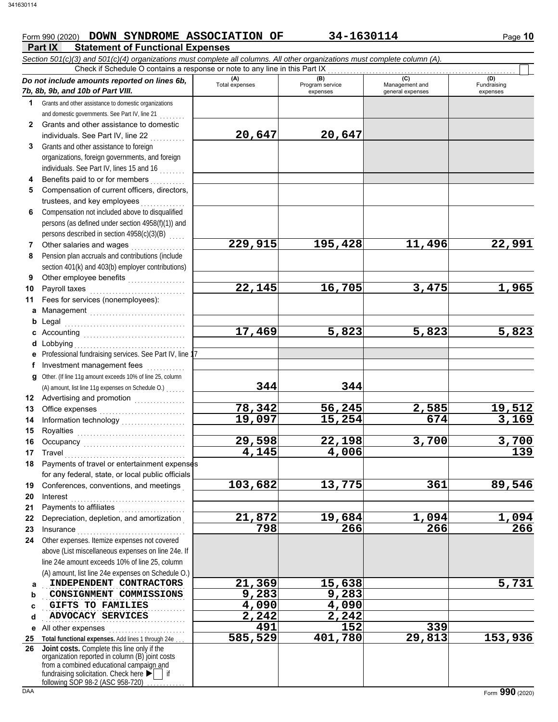**Part IX Statement of Functional Expenses** Form 990 (2020) **DOWN SYNDROME ASSOCIATION OF 34-1630114** Page 10 *Section 501(c)(3) and 501(c)(4) organizations must complete all columns. All other organizations must complete column (A). Do not include amounts reported on lines 6b, 7b, 8b, 9b, and 10b of Part VIII.* **1 2 3 4 5 6 7 8 9 10 11 a** Management .............................. **b** Legal **c** Accounting . . . . . . . . . . . . . . . . . . . . . . . . . . . . . . . . **d** Lobbying . . . . . . . . . . . . . . . . . . . . . . . . . . . . . . . . . . . **e f g** Other. (If line 11g amount exceeds 10% of line 25, column **12** Advertising and promotion **. . . . . . . . . . . .** . . **13 14 15 16 17 18 19 20 21 22 23 24 a b c d e** All other expenses . . . . . . . . . . . . . . . . . . . . . . . . **25 Total functional expenses.** Add lines 1 through 24e . . . **26** Grants and other assistance to domestic organizations and domestic governments. See Part IV, line 21 Grants and other assistance to domestic individuals. See Part IV, line 22 Grants and other assistance to foreign organizations, foreign governments, and foreign individuals. See Part IV, lines 15 and 16 . . . . . . . . Benefits paid to or for members . . . . . . . . . . Compensation of current officers, directors, trustees, and key employees Compensation not included above to disqualified persons (as defined under section 4958(f)(1)) and persons described in section 4958(c)(3)(B) Other salaries and wages .................. Pension plan accruals and contributions (include section 401(k) and 403(b) employer contributions) Other employee benefits ................... Payroll taxes . . . . . . . . . . . . . . . . . . . . . . . . . . . . . . Fees for services (nonemployees): Legal . . . . . . . . . . . . . . . . . . . . . . . . . . . . . . . . . . . . . . Professional fundraising services. See Part IV, line 1 Investment management fees ............. Office expenses . . . . . . . . . . . . . . . . . . . . . . . . . . . Information technology . . . . . . . . . . . . . . . . . . . . Royalties . . . . . . . . . . . . . . . . . . . . . . . . . . . . . . . . . . Occupancy . . . . . . . . . . . . . . . . . . . . . . . . . . . . . . . . Travel . . . . . . . . . . . . . . . . . . . . . . . . . . . . . . . . . . . . . . Payments of travel or entertainment expenses for any federal, state, or local public officials Conferences, conventions, and meetings . Interest . . . . . . . . . . . . . . . . . . . . . . . . . . . . . . . . . . . . Payments to affiliates . . . . . . . . . . . . . . . Depreciation, depletion, and amortization . Insurance . . . . . . . . . . . . . . . . . . . . . . . . . . . . . . . . . . Other expenses. Itemize expenses not covered above (List miscellaneous expenses on line 24e. If line 24e amount exceeds 10% of line 25, column (A) amount, list line 24e expenses on Schedule O.) fundraising solicitation. Check here  $\blacktriangleright$  | if organization reported in column (B) joint costs from a combined educational campaign and following SOP 98-2 (ASC 958-720) **(A) (B)** (B) (B) (C) (C) (A) (D)<br>Total expenses Program service Management and Fundrai expenses and general expenses (D)<br>Fundraising expenses **INDEPENDENT CONTRACTORS** 21,369 15,638 5,731 **CONSIGNMENT COMMISSIONS 9,283** 9,283 . . . . . . . . . . . . . . . . . . . . . . . . . . . . . . . . . . . . . . . . . . . . . **GIFTS TO FAMILIES 4,090 4,090** ADVOCACY SERVICES 2,242 2,242 Check if Schedule O contains a response or note to any line in this Part IX **Joint costs.** Complete this line only if the (A) amount, list line 11g expenses on Schedule O.) . . . . . . . **20,647 20,647 229,915 195,428 11,496 22,991 22,145 16,705 3,475 1,965 17,469 5,823 5,823 5,823 344 344 78,342 56,245 2,585 19,512 19,097 15,254 674 3,169 29,598 22,198 3,700 3,700 4,145 4,006 139 103,682 13,775 361 89,546 21,872 19,684 1,094 1,094 798 266 266 266 491 152 339 585,529 401,780 29,813 153,936**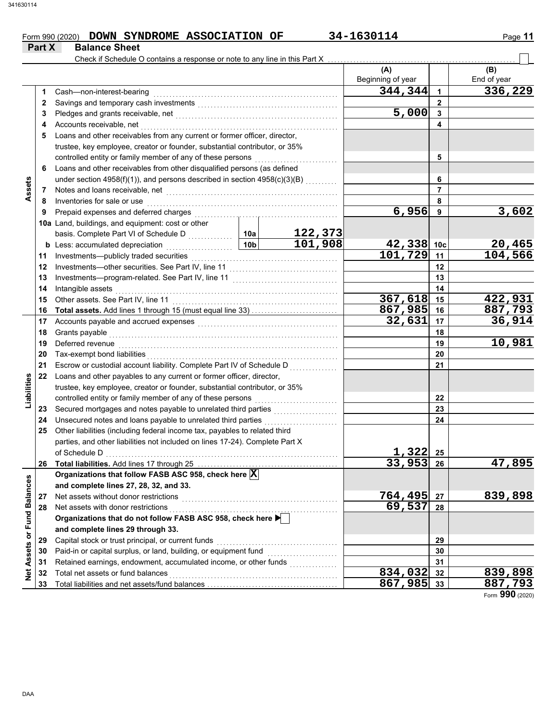**Part X** Balance Sheet

# Form 990 (2020) **DOWN SYNDROME ASSOCIATION OF 34-1630114** Page 11

|                             |    | Check if Schedule O contains a response or note to any line in this Part X                                                                                                                                                          |                     |              |                   |    |               |
|-----------------------------|----|-------------------------------------------------------------------------------------------------------------------------------------------------------------------------------------------------------------------------------------|---------------------|--------------|-------------------|----|---------------|
|                             |    |                                                                                                                                                                                                                                     |                     |              | (A)               |    | (B)           |
|                             |    |                                                                                                                                                                                                                                     |                     |              | Beginning of year |    | End of year   |
|                             | 1. | Cash-non-interest-bearing                                                                                                                                                                                                           |                     |              | 344,344           | 1  | 336,229       |
|                             | 2  |                                                                                                                                                                                                                                     |                     | $\mathbf{2}$ |                   |    |               |
|                             | 3  |                                                                                                                                                                                                                                     | $\overline{5}$ ,000 | 3            |                   |    |               |
|                             | 4  | Accounts receivable, net                                                                                                                                                                                                            |                     |              |                   | 4  |               |
|                             | 5  | Loans and other receivables from any current or former officer, director,                                                                                                                                                           |                     |              |                   |    |               |
|                             |    | trustee, key employee, creator or founder, substantial contributor, or 35%                                                                                                                                                          |                     |              |                   |    |               |
|                             |    | controlled entity or family member of any of these persons                                                                                                                                                                          |                     | 5            |                   |    |               |
|                             | 6  | Loans and other receivables from other disqualified persons (as defined                                                                                                                                                             |                     |              |                   |    |               |
|                             |    | under section $4958(f)(1)$ ), and persons described in section $4958(c)(3)(B)$                                                                                                                                                      |                     | 6            |                   |    |               |
| Assets                      | 7  | Notes and loans receivable, net <b>construction</b> and construction of the set of the set of the set of the set of the set of the set of the set of the set of the set of the set of the set of the set of the set of the set of t |                     |              |                   | 7  |               |
|                             | 8  | Inventories for sale or use                                                                                                                                                                                                         |                     |              |                   | 8  |               |
|                             | 9  | Prepaid expenses and deferred charges                                                                                                                                                                                               |                     |              | 6,956             | 9  | 3,602         |
|                             |    | 10a Land, buildings, and equipment: cost or other                                                                                                                                                                                   |                     |              |                   |    |               |
|                             |    | basis. Complete Part VI of Schedule D                                                                                                                                                                                               | 10a                 | 122,373      |                   |    |               |
|                             |    | <b>b</b> Less: accumulated depreciation<br>.                                                                                                                                                                                        | 10 <sub>b</sub>     | 101,908      | 42, 338 10c       |    | 20,465        |
|                             | 11 |                                                                                                                                                                                                                                     |                     |              | 101,729           | 11 | 104,566       |
|                             | 12 |                                                                                                                                                                                                                                     |                     |              |                   | 12 |               |
|                             | 13 |                                                                                                                                                                                                                                     |                     |              |                   | 13 |               |
|                             | 14 | Intangible assets                                                                                                                                                                                                                   |                     | 14           |                   |    |               |
|                             | 15 | Other assets. See Part IV, line 11                                                                                                                                                                                                  |                     |              | 367,618           | 15 | 422,931       |
|                             | 16 |                                                                                                                                                                                                                                     |                     |              | 867,985           | 16 | 887,793       |
|                             | 17 |                                                                                                                                                                                                                                     |                     |              | 32,631            | 17 | 36,914        |
|                             | 18 | Grants payable                                                                                                                                                                                                                      |                     |              |                   | 18 |               |
|                             | 19 | Deferred revenue                                                                                                                                                                                                                    |                     |              |                   | 19 | 10,981        |
|                             | 20 | Tax-exempt bond liabilities                                                                                                                                                                                                         |                     |              |                   | 20 |               |
|                             | 21 | Escrow or custodial account liability. Complete Part IV of Schedule D                                                                                                                                                               |                     |              |                   | 21 |               |
|                             | 22 | Loans and other payables to any current or former officer, director,                                                                                                                                                                |                     |              |                   |    |               |
| Liabilities                 |    | trustee, key employee, creator or founder, substantial contributor, or 35%                                                                                                                                                          |                     |              |                   |    |               |
|                             |    | controlled entity or family member of any of these persons                                                                                                                                                                          |                     |              |                   | 22 |               |
|                             | 23 |                                                                                                                                                                                                                                     |                     |              |                   | 23 |               |
|                             | 24 | Unsecured notes and loans payable to unrelated third parties                                                                                                                                                                        |                     |              |                   | 24 |               |
|                             | 25 | Other liabilities (including federal income tax, payables to related third                                                                                                                                                          |                     |              |                   |    |               |
|                             |    | parties, and other liabilities not included on lines 17-24). Complete Part X                                                                                                                                                        |                     |              |                   |    |               |
|                             |    | of Schedule D $\overline{D}$                                                                                                                                                                                                        |                     |              | 1,322             | 25 |               |
|                             | 26 | Total liabilities. Add lines 17 through 25                                                                                                                                                                                          |                     |              | <u>33,953</u>     | 26 | <u>47,895</u> |
|                             |    | Organizations that follow FASB ASC 958, check here X                                                                                                                                                                                |                     |              |                   |    |               |
|                             |    | and complete lines 27, 28, 32, and 33.                                                                                                                                                                                              |                     |              |                   |    |               |
|                             | 27 | Net assets without donor restrictions                                                                                                                                                                                               |                     |              | 764,495           | 27 | 839,898       |
|                             | 28 | Net assets with donor restrictions                                                                                                                                                                                                  |                     |              | 69,537            | 28 |               |
|                             |    | Net assets with donor restrictions<br>Organizations that do not follow FASB ASC 958, check here ▶                                                                                                                                   |                     |              |                   |    |               |
|                             |    | and complete lines 29 through 33.                                                                                                                                                                                                   |                     |              |                   |    |               |
|                             | 29 | Capital stock or trust principal, or current funds                                                                                                                                                                                  |                     |              |                   | 29 |               |
|                             | 30 | Paid-in or capital surplus, or land, building, or equipment fund                                                                                                                                                                    |                     |              |                   | 30 |               |
|                             | 31 | Retained earnings, endowment, accumulated income, or other funds                                                                                                                                                                    |                     | .            |                   | 31 |               |
| Net Assets or Fund Balances | 32 | Total net assets or fund balances                                                                                                                                                                                                   |                     |              | 834,032           | 32 | 839,898       |
|                             | 33 |                                                                                                                                                                                                                                     |                     |              | 867,985           | 33 | 887,793       |

Form **990** (2020)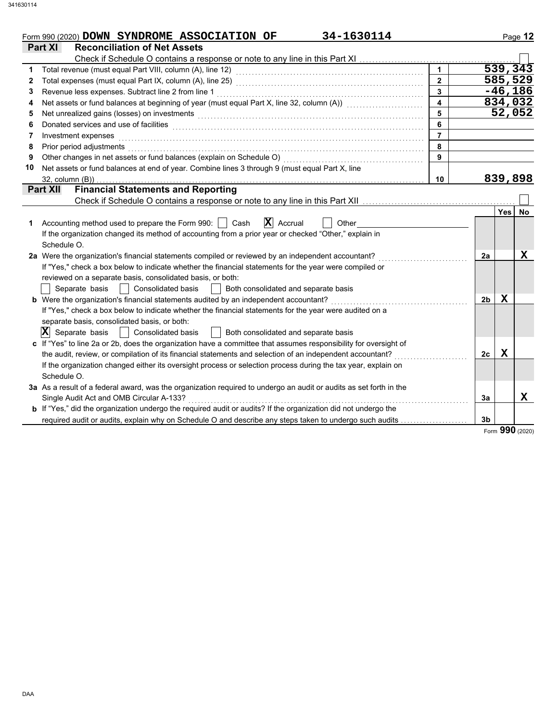|    | 34-1630114<br>Form 990 (2020) DOWN SYNDROME ASSOCIATION OF                                                                                                                                                                     |                         |                |             | Page 12   |
|----|--------------------------------------------------------------------------------------------------------------------------------------------------------------------------------------------------------------------------------|-------------------------|----------------|-------------|-----------|
|    | <b>Part XI</b><br><b>Reconciliation of Net Assets</b>                                                                                                                                                                          |                         |                |             |           |
|    |                                                                                                                                                                                                                                |                         |                |             |           |
| 1  | Total revenue (must equal Part VIII, column (A), line 12)                                                                                                                                                                      | $\mathbf{1}$            |                |             | 539, 343  |
| 2  |                                                                                                                                                                                                                                | $\overline{2}$          |                |             | 585,529   |
| 3  | Revenue less expenses. Subtract line 2 from line 1                                                                                                                                                                             | $\overline{3}$          |                |             | $-46,186$ |
| 4  | Net assets or fund balances at beginning of year (must equal Part X, line 32, column (A)) [[[[[[[[[[[[[[[[[[[                                                                                                                  | $\overline{\mathbf{4}}$ |                |             | 834,032   |
| 5  | Net unrealized gains (losses) on investments [11] with the content of the content of the content of the content of the content of the content of the content of the content of the content of the content of the content of th | 5                       |                |             | 52,052    |
| 6  |                                                                                                                                                                                                                                | 6                       |                |             |           |
| 7  | Investment expenses                                                                                                                                                                                                            | $\overline{7}$          |                |             |           |
| 8  | Prior period adjustments entertainments and a series of the contract of the contract of the contract of the contract of the contract of the contract of the contract of the contract of the contract of the contract of the co | 8                       |                |             |           |
| 9  | Other changes in net assets or fund balances (explain on Schedule O)                                                                                                                                                           | 9                       |                |             |           |
| 10 | Net assets or fund balances at end of year. Combine lines 3 through 9 (must equal Part X, line                                                                                                                                 |                         |                |             |           |
|    | $32$ , column $(B)$ )                                                                                                                                                                                                          | 10                      |                |             | 839,898   |
|    | <b>Financial Statements and Reporting</b><br><b>Part XII</b>                                                                                                                                                                   |                         |                |             |           |
|    |                                                                                                                                                                                                                                |                         |                |             |           |
|    |                                                                                                                                                                                                                                |                         |                | Yes         | <b>No</b> |
| 1  | $ \mathbf{X} $ Accrual<br>Accounting method used to prepare the Form 990:     Cash<br>Other                                                                                                                                    |                         |                |             |           |
|    | If the organization changed its method of accounting from a prior year or checked "Other," explain in                                                                                                                          |                         |                |             |           |
|    | Schedule O.                                                                                                                                                                                                                    |                         |                |             |           |
|    | 2a Were the organization's financial statements compiled or reviewed by an independent accountant?                                                                                                                             |                         | 2a             |             | x         |
|    | If "Yes," check a box below to indicate whether the financial statements for the year were compiled or                                                                                                                         |                         |                |             |           |
|    | reviewed on a separate basis, consolidated basis, or both:                                                                                                                                                                     |                         |                |             |           |
|    | Both consolidated and separate basis<br>Separate basis<br>Consolidated basis<br>$\mathcal{L}$                                                                                                                                  |                         |                |             |           |
|    | <b>b</b> Were the organization's financial statements audited by an independent accountant?                                                                                                                                    |                         | 2 <sub>b</sub> | $\mathbf X$ |           |
|    | If "Yes," check a box below to indicate whether the financial statements for the year were audited on a                                                                                                                        |                         |                |             |           |
|    | separate basis, consolidated basis, or both:                                                                                                                                                                                   |                         |                |             |           |
|    | $ \mathbf{X} $ Separate basis<br><b>Consolidated basis</b><br>Both consolidated and separate basis                                                                                                                             |                         |                |             |           |
|    | c If "Yes" to line 2a or 2b, does the organization have a committee that assumes responsibility for oversight of                                                                                                               |                         |                |             |           |
|    | the audit, review, or compilation of its financial statements and selection of an independent accountant?                                                                                                                      |                         | 2с             | $\mathbf x$ |           |
|    | If the organization changed either its oversight process or selection process during the tax year, explain on                                                                                                                  |                         |                |             |           |
|    | Schedule O.                                                                                                                                                                                                                    |                         |                |             |           |
|    | 3a As a result of a federal award, was the organization required to undergo an audit or audits as set forth in the                                                                                                             |                         |                |             |           |
|    | Single Audit Act and OMB Circular A-133?                                                                                                                                                                                       |                         | 3a             |             | X         |
|    | <b>b</b> If "Yes," did the organization undergo the required audit or audits? If the organization did not undergo the                                                                                                          |                         |                |             |           |
|    | required audit or audits, explain why on Schedule O and describe any steps taken to undergo such audits                                                                                                                        |                         | 3 <sub>b</sub> | nn n        |           |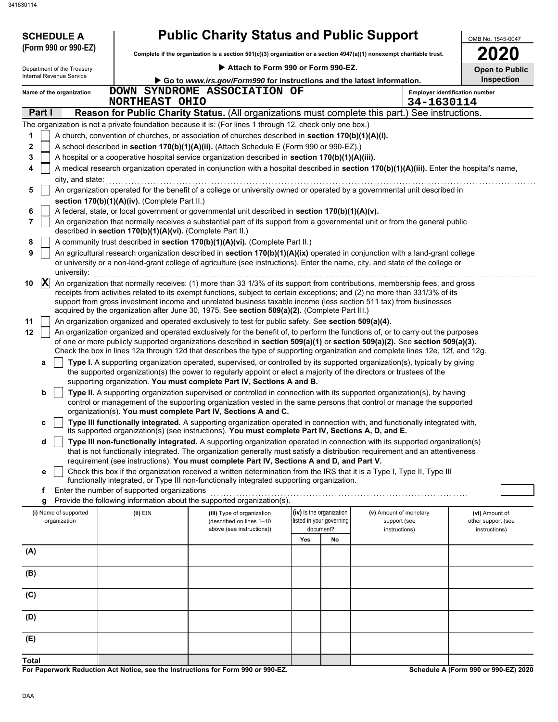| <b>SCHEDULE A</b><br>(Form 990 or 990-EZ)              |                                                            | <b>Public Charity Status and Public Support</b>                                                                                                                                                                                                                 |                                                                   |    |                                                         | OMB No. 1545-0047                                     |
|--------------------------------------------------------|------------------------------------------------------------|-----------------------------------------------------------------------------------------------------------------------------------------------------------------------------------------------------------------------------------------------------------------|-------------------------------------------------------------------|----|---------------------------------------------------------|-------------------------------------------------------|
|                                                        |                                                            | Complete if the organization is a section 501(c)(3) organization or a section 4947(a)(1) nonexempt charitable trust.                                                                                                                                            |                                                                   |    |                                                         | <b>2020</b>                                           |
| Department of the Treasury<br>Internal Revenue Service |                                                            | Attach to Form 990 or Form 990-EZ.                                                                                                                                                                                                                              |                                                                   |    |                                                         | <b>Open to Public</b>                                 |
|                                                        |                                                            | Go to www.irs.gov/Form990 for instructions and the latest information.                                                                                                                                                                                          |                                                                   |    |                                                         | Inspection                                            |
| Name of the organization                               | <b>NORTHEAST OHIO</b>                                      | DOWN SYNDROME ASSOCIATION OF                                                                                                                                                                                                                                    |                                                                   |    | 34-1630114                                              | <b>Employer identification number</b>                 |
| Part I                                                 |                                                            | Reason for Public Charity Status. (All organizations must complete this part.) See instructions.                                                                                                                                                                |                                                                   |    |                                                         |                                                       |
|                                                        |                                                            | The organization is not a private foundation because it is: (For lines 1 through 12, check only one box.)                                                                                                                                                       |                                                                   |    |                                                         |                                                       |
| 1                                                      |                                                            | A church, convention of churches, or association of churches described in section 170(b)(1)(A)(i).                                                                                                                                                              |                                                                   |    |                                                         |                                                       |
| 2                                                      |                                                            | A school described in section 170(b)(1)(A)(ii). (Attach Schedule E (Form 990 or 990-EZ).)                                                                                                                                                                       |                                                                   |    |                                                         |                                                       |
| 3                                                      |                                                            | A hospital or a cooperative hospital service organization described in section 170(b)(1)(A)(iii).                                                                                                                                                               |                                                                   |    |                                                         |                                                       |
| 4<br>city, and state:                                  |                                                            | A medical research organization operated in conjunction with a hospital described in section 170(b)(1)(A)(iii). Enter the hospital's name,                                                                                                                      |                                                                   |    |                                                         |                                                       |
| 5                                                      |                                                            | An organization operated for the benefit of a college or university owned or operated by a governmental unit described in                                                                                                                                       |                                                                   |    |                                                         |                                                       |
|                                                        | section 170(b)(1)(A)(iv). (Complete Part II.)              |                                                                                                                                                                                                                                                                 |                                                                   |    |                                                         |                                                       |
| 6<br>$\overline{7}$                                    |                                                            | A federal, state, or local government or governmental unit described in section 170(b)(1)(A)(v).<br>An organization that normally receives a substantial part of its support from a governmental unit or from the general public                                |                                                                   |    |                                                         |                                                       |
|                                                        | described in section 170(b)(1)(A)(vi). (Complete Part II.) |                                                                                                                                                                                                                                                                 |                                                                   |    |                                                         |                                                       |
| 8                                                      |                                                            | A community trust described in section 170(b)(1)(A)(vi). (Complete Part II.)                                                                                                                                                                                    |                                                                   |    |                                                         |                                                       |
| 9                                                      |                                                            | An agricultural research organization described in section 170(b)(1)(A)(ix) operated in conjunction with a land-grant college<br>or university or a non-land-grant college of agriculture (see instructions). Enter the name, city, and state of the college or |                                                                   |    |                                                         |                                                       |
| university:<br>$\vert \mathbf{x} \vert$<br>10          |                                                            | An organization that normally receives: (1) more than 33 1/3% of its support from contributions, membership fees, and gross                                                                                                                                     |                                                                   |    |                                                         |                                                       |
|                                                        |                                                            | receipts from activities related to its exempt functions, subject to certain exceptions; and (2) no more than 331/3% of its<br>support from gross investment income and unrelated business taxable income (less section 511 tax) from businesses                |                                                                   |    |                                                         |                                                       |
|                                                        |                                                            | acquired by the organization after June 30, 1975. See section 509(a)(2). (Complete Part III.)                                                                                                                                                                   |                                                                   |    |                                                         |                                                       |
| 11<br>12                                               |                                                            | An organization organized and operated exclusively to test for public safety. See section 509(a)(4).<br>An organization organized and operated exclusively for the benefit of, to perform the functions of, or to carry out the purposes                        |                                                                   |    |                                                         |                                                       |
|                                                        |                                                            | of one or more publicly supported organizations described in section 509(a)(1) or section 509(a)(2). See section 509(a)(3).<br>Check the box in lines 12a through 12d that describes the type of supporting organization and complete lines 12e, 12f, and 12g.  |                                                                   |    |                                                         |                                                       |
| а                                                      |                                                            | Type I. A supporting organization operated, supervised, or controlled by its supported organization(s), typically by giving<br>the supported organization(s) the power to regularly appoint or elect a majority of the directors or trustees of the             |                                                                   |    |                                                         |                                                       |
|                                                        |                                                            | supporting organization. You must complete Part IV, Sections A and B.                                                                                                                                                                                           |                                                                   |    |                                                         |                                                       |
| b                                                      |                                                            | Type II. A supporting organization supervised or controlled in connection with its supported organization(s), by having                                                                                                                                         |                                                                   |    |                                                         |                                                       |
|                                                        |                                                            | control or management of the supporting organization vested in the same persons that control or manage the supported<br>organization(s). You must complete Part IV, Sections A and C.                                                                           |                                                                   |    |                                                         |                                                       |
| c                                                      |                                                            | Type III functionally integrated. A supporting organization operated in connection with, and functionally integrated with,<br>its supported organization(s) (see instructions). You must complete Part IV, Sections A, D, and E.                                |                                                                   |    |                                                         |                                                       |
| d                                                      |                                                            | Type III non-functionally integrated. A supporting organization operated in connection with its supported organization(s)<br>that is not functionally integrated. The organization generally must satisfy a distribution requirement and an attentiveness       |                                                                   |    |                                                         |                                                       |
|                                                        |                                                            | requirement (see instructions). You must complete Part IV, Sections A and D, and Part V.                                                                                                                                                                        |                                                                   |    |                                                         |                                                       |
| е                                                      |                                                            | Check this box if the organization received a written determination from the IRS that it is a Type I, Type II, Type III<br>functionally integrated, or Type III non-functionally integrated supporting organization.                                            |                                                                   |    |                                                         |                                                       |
| f.                                                     | Enter the number of supported organizations                |                                                                                                                                                                                                                                                                 |                                                                   |    |                                                         |                                                       |
| g                                                      |                                                            | Provide the following information about the supported organization(s).                                                                                                                                                                                          |                                                                   |    |                                                         |                                                       |
| (i) Name of supported<br>organization                  | (ii) EIN                                                   | (iii) Type of organization<br>(described on lines 1-10<br>above (see instructions))                                                                                                                                                                             | (iv) Is the organization<br>listed in your governing<br>document? |    | (v) Amount of monetary<br>support (see<br>instructions) | (vi) Amount of<br>other support (see<br>instructions) |
|                                                        |                                                            |                                                                                                                                                                                                                                                                 | Yes                                                               | No |                                                         |                                                       |
| (A)                                                    |                                                            |                                                                                                                                                                                                                                                                 |                                                                   |    |                                                         |                                                       |
| (B)                                                    |                                                            |                                                                                                                                                                                                                                                                 |                                                                   |    |                                                         |                                                       |
| (C)                                                    |                                                            |                                                                                                                                                                                                                                                                 |                                                                   |    |                                                         |                                                       |
| (D)                                                    |                                                            |                                                                                                                                                                                                                                                                 |                                                                   |    |                                                         |                                                       |
| (E)                                                    |                                                            |                                                                                                                                                                                                                                                                 |                                                                   |    |                                                         |                                                       |
| Total                                                  |                                                            |                                                                                                                                                                                                                                                                 |                                                                   |    |                                                         |                                                       |
|                                                        |                                                            |                                                                                                                                                                                                                                                                 |                                                                   |    |                                                         |                                                       |

**For Paperwork Reduction Act Notice, see the Instructions for Form 990 or 990-EZ.**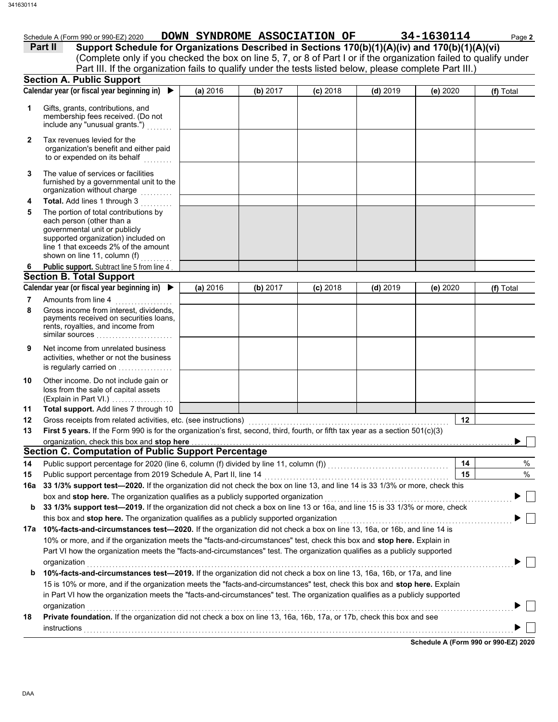| Schedule A (Form 990 or 990-EZ) 2020 |  | DOWN SYNDROME ASSOCIATION OF |  |
|--------------------------------------|--|------------------------------|--|

|              | Schedule A (Form 990 or 990-EZ) 2020<br>Support Schedule for Organizations Described in Sections 170(b)(1)(A)(iv) and 170(b)(1)(A)(vi)<br>Part II<br>(Complete only if you checked the box on line 5, 7, or 8 of Part I or if the organization failed to qualify under<br>Part III. If the organization fails to qualify under the tests listed below, please complete Part III.) |          |          | DOWN SYNDROME ASSOCIATION OF |            | 34-1630114 | Page 2    |
|--------------|-----------------------------------------------------------------------------------------------------------------------------------------------------------------------------------------------------------------------------------------------------------------------------------------------------------------------------------------------------------------------------------|----------|----------|------------------------------|------------|------------|-----------|
|              | <b>Section A. Public Support</b>                                                                                                                                                                                                                                                                                                                                                  |          |          |                              |            |            |           |
|              | Calendar year (or fiscal year beginning in) $\blacktriangleright$                                                                                                                                                                                                                                                                                                                 | (a) 2016 | (b) 2017 | $(c)$ 2018                   | $(d)$ 2019 | (e) 2020   | (f) Total |
| 1.           | Gifts, grants, contributions, and<br>membership fees received. (Do not<br>include any "unusual grants.")                                                                                                                                                                                                                                                                          |          |          |                              |            |            |           |
| $\mathbf{2}$ | Tax revenues levied for the<br>organization's benefit and either paid<br>to or expended on its behalf                                                                                                                                                                                                                                                                             |          |          |                              |            |            |           |
| 3            | The value of services or facilities<br>furnished by a governmental unit to the<br>organization without charge                                                                                                                                                                                                                                                                     |          |          |                              |            |            |           |
| 4            | Total. Add lines 1 through 3<br>.                                                                                                                                                                                                                                                                                                                                                 |          |          |                              |            |            |           |
| 5            | The portion of total contributions by<br>each person (other than a<br>governmental unit or publicly<br>supported organization) included on<br>line 1 that exceeds 2% of the amount<br>shown on line 11, column $(f)$                                                                                                                                                              |          |          |                              |            |            |           |
| 6            | Public support. Subtract line 5 from line 4                                                                                                                                                                                                                                                                                                                                       |          |          |                              |            |            |           |
|              | <b>Section B. Total Support</b>                                                                                                                                                                                                                                                                                                                                                   |          |          |                              |            |            |           |
|              | Calendar year (or fiscal year beginning in) $\blacktriangleright$                                                                                                                                                                                                                                                                                                                 | (a) 2016 | (b) 2017 | $(c)$ 2018                   | $(d)$ 2019 | (e) 2020   | (f) Total |
| 7            | Amounts from line 4<br>.                                                                                                                                                                                                                                                                                                                                                          |          |          |                              |            |            |           |
| 8            | Gross income from interest, dividends,<br>payments received on securities loans,<br>rents, royalties, and income from<br>similar sources                                                                                                                                                                                                                                          |          |          |                              |            |            |           |
| 9            | Net income from unrelated business<br>activities, whether or not the business<br>is regularly carried on                                                                                                                                                                                                                                                                          |          |          |                              |            |            |           |
| 10           | Other income. Do not include gain or<br>loss from the sale of capital assets<br>(Explain in Part VI.)                                                                                                                                                                                                                                                                             |          |          |                              |            |            |           |
| 11           | Total support. Add lines 7 through 10                                                                                                                                                                                                                                                                                                                                             |          |          |                              |            |            |           |
| 12           | Gross receipts from related activities, etc. (see instructions)                                                                                                                                                                                                                                                                                                                   |          |          |                              |            | 12         |           |
| 13           | First 5 years. If the Form 990 is for the organization's first, second, third, fourth, or fifth tax year as a section 501(c)(3)                                                                                                                                                                                                                                                   |          |          |                              |            |            |           |
|              | organization, check this box and stop here                                                                                                                                                                                                                                                                                                                                        |          |          |                              |            |            |           |
|              | <b>Section C. Computation of Public Support Percentage</b>                                                                                                                                                                                                                                                                                                                        |          |          |                              |            |            |           |
| 14           |                                                                                                                                                                                                                                                                                                                                                                                   |          |          |                              |            | 14         | $\%$      |
| 15           | Public support percentage from 2019 Schedule A, Part II, line 14<br>33 1/3% support test-2020. If the organization did not check the box on line 13, and line 14 is 33 1/3% or more, check this                                                                                                                                                                                   |          |          |                              |            | 15         | $\%$      |
| 16a          | box and stop here. The organization qualifies as a publicly supported organization                                                                                                                                                                                                                                                                                                |          |          |                              |            |            |           |
| b            | 33 1/3% support test-2019. If the organization did not check a box on line 13 or 16a, and line 15 is 33 1/3% or more, check                                                                                                                                                                                                                                                       |          |          |                              |            |            |           |
|              | this box and stop here. The organization qualifies as a publicly supported organization                                                                                                                                                                                                                                                                                           |          |          |                              |            |            |           |
| 17а          | 10%-facts-and-circumstances test-2020. If the organization did not check a box on line 13, 16a, or 16b, and line 14 is                                                                                                                                                                                                                                                            |          |          |                              |            |            |           |
|              | 10% or more, and if the organization meets the "facts-and-circumstances" test, check this box and stop here. Explain in                                                                                                                                                                                                                                                           |          |          |                              |            |            |           |
|              | Part VI how the organization meets the "facts-and-circumstances" test. The organization qualifies as a publicly supported                                                                                                                                                                                                                                                         |          |          |                              |            |            |           |
|              | organization                                                                                                                                                                                                                                                                                                                                                                      |          |          |                              |            |            |           |
| b            | 10%-facts-and-circumstances test-2019. If the organization did not check a box on line 13, 16a, 16b, or 17a, and line                                                                                                                                                                                                                                                             |          |          |                              |            |            |           |
|              | 15 is 10% or more, and if the organization meets the "facts-and-circumstances" test, check this box and stop here. Explain                                                                                                                                                                                                                                                        |          |          |                              |            |            |           |
|              | in Part VI how the organization meets the "facts-and-circumstances" test. The organization qualifies as a publicly supported                                                                                                                                                                                                                                                      |          |          |                              |            |            |           |
|              | organization                                                                                                                                                                                                                                                                                                                                                                      |          |          |                              |            |            |           |
| 18           | Private foundation. If the organization did not check a box on line 13, 16a, 16b, 17a, or 17b, check this box and see                                                                                                                                                                                                                                                             |          |          |                              |            |            |           |
|              |                                                                                                                                                                                                                                                                                                                                                                                   |          |          |                              |            |            |           |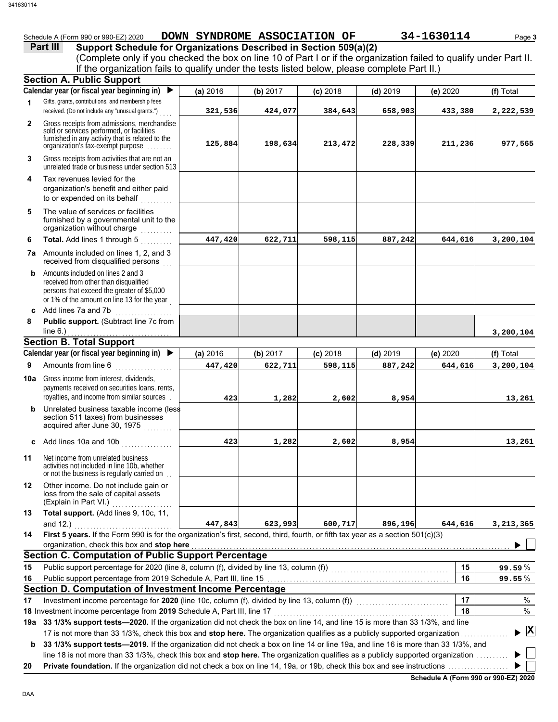|                |                                                                                                                                                                                                                                                                                                                                             | DOWN SYNDROME ASSOCIATION OF |          |            |            | 34-1630114 |                                               |
|----------------|---------------------------------------------------------------------------------------------------------------------------------------------------------------------------------------------------------------------------------------------------------------------------------------------------------------------------------------------|------------------------------|----------|------------|------------|------------|-----------------------------------------------|
|                | Schedule A (Form 990 or 990-EZ) 2020<br>Part III<br>Support Schedule for Organizations Described in Section 509(a)(2)<br>(Complete only if you checked the box on line 10 of Part I or if the organization failed to qualify under Part II.<br>If the organization fails to qualify under the tests listed below, please complete Part II.) |                              |          |            |            |            | Page 3                                        |
|                | <b>Section A. Public Support</b>                                                                                                                                                                                                                                                                                                            |                              |          |            |            |            |                                               |
|                | Calendar year (or fiscal year beginning in)                                                                                                                                                                                                                                                                                                 | (a) 2016                     | (b) 2017 | $(c)$ 2018 | $(d)$ 2019 | (e) 2020   | (f) Total                                     |
| 1              | Gifts, grants, contributions, and membership fees<br>received. (Do not include any "unusual grants.")                                                                                                                                                                                                                                       | 321,536                      | 424,077  | 384,643    | 658,903    | 433,380    | 2,222,539                                     |
| $\overline{2}$ | Gross receipts from admissions, merchandise<br>sold or services performed, or facilities<br>furnished in any activity that is related to the<br>organization's tax-exempt purpose                                                                                                                                                           | 125,884                      | 198,634  | 213,472    | 228,339    | 211,236    | 977,565                                       |
| 3              | Gross receipts from activities that are not an<br>unrelated trade or business under section 513                                                                                                                                                                                                                                             |                              |          |            |            |            |                                               |
| 4              | Tax revenues levied for the<br>organization's benefit and either paid<br>to or expended on its behalf                                                                                                                                                                                                                                       |                              |          |            |            |            |                                               |
| 5              | The value of services or facilities<br>furnished by a governmental unit to the<br>organization without charge                                                                                                                                                                                                                               |                              |          |            |            |            |                                               |
| 6              | Total. Add lines 1 through 5                                                                                                                                                                                                                                                                                                                | 447,420                      | 622,711  | 598,115    | 887,242    | 644,616    | 3,200,104                                     |
|                | <b>7a</b> Amounts included on lines 1, 2, and 3<br>received from disqualified persons                                                                                                                                                                                                                                                       |                              |          |            |            |            |                                               |
| b              | Amounts included on lines 2 and 3<br>received from other than disqualified<br>persons that exceed the greater of \$5,000<br>or 1% of the amount on line 13 for the year                                                                                                                                                                     |                              |          |            |            |            |                                               |
|                | c Add lines 7a and 7b<br>.                                                                                                                                                                                                                                                                                                                  |                              |          |            |            |            |                                               |
| 8              | Public support. (Subtract line 7c from<br>line $6.$ )                                                                                                                                                                                                                                                                                       |                              |          |            |            |            | 3,200,104                                     |
|                | <b>Section B. Total Support</b>                                                                                                                                                                                                                                                                                                             |                              |          |            |            |            |                                               |
|                | Calendar year (or fiscal year beginning in)                                                                                                                                                                                                                                                                                                 | (a) 2016                     | (b) 2017 | $(c)$ 2018 | $(d)$ 2019 | (e) 2020   | (f) Total                                     |
| 9              | Amounts from line 6<br>and the contract of the contract of the contract of the contract of the contract of the contract of the contract of the contract of the contract of the contract of the contract of the contract of the contract of the contra                                                                                       | 447,420                      | 622,711  | 598,115    | 887,242    | 644,616    | 3,200,104                                     |
|                | <b>10a</b> Gross income from interest, dividends,<br>payments received on securities loans, rents,<br>royalties, and income from similar sources.                                                                                                                                                                                           | 423                          | 1,282    | 2,602      | 8,954      |            | 13,261                                        |
|                | <b>b</b> Unrelated business taxable income (less<br>section 511 taxes) from businesses<br>acquired after June 30, 1975                                                                                                                                                                                                                      |                              |          |            |            |            |                                               |
| c              | Add lines 10a and 10b                                                                                                                                                                                                                                                                                                                       | 423                          | 1,282    | 2,602      | 8,954      |            | 13,261                                        |
| 11             | Net income from unrelated business<br>activities not included in line 10b, whether<br>or not the business is regularly carried on.                                                                                                                                                                                                          |                              |          |            |            |            |                                               |
| 12             | Other income. Do not include gain or<br>loss from the sale of capital assets<br>(Explain in Part VI.)                                                                                                                                                                                                                                       |                              |          |            |            |            |                                               |
| 13             | Total support. (Add lines 9, 10c, 11,                                                                                                                                                                                                                                                                                                       |                              |          |            |            |            |                                               |
|                | and $12.$ )                                                                                                                                                                                                                                                                                                                                 | 447,843                      | 623,993  | 600,717    | 896,196    | 644,616    | 3, 213, 365                                   |
| 14             | First 5 years. If the Form 990 is for the organization's first, second, third, fourth, or fifth tax year as a section 501(c)(3)<br>organization, check this box and stop here                                                                                                                                                               |                              |          |            |            |            |                                               |
|                | <b>Section C. Computation of Public Support Percentage</b>                                                                                                                                                                                                                                                                                  |                              |          |            |            |            |                                               |
| 15             | Public support percentage for 2020 (line 8, column (f), divided by line 13, column (f)) [[[[[[[[[[[[[[[[[[[[[                                                                                                                                                                                                                               |                              |          |            |            | 15         | 99.59%                                        |
| 16             |                                                                                                                                                                                                                                                                                                                                             |                              |          |            |            | 16         | 99.55%                                        |
|                | Section D. Computation of Investment Income Percentage                                                                                                                                                                                                                                                                                      |                              |          |            |            |            |                                               |
| 17             |                                                                                                                                                                                                                                                                                                                                             |                              |          |            |            | 17         | %                                             |
|                | 18 Investment income percentage from 2019 Schedule A, Part III, line 17                                                                                                                                                                                                                                                                     |                              |          |            |            | 18         | $\%$                                          |
|                | 19a 33 1/3% support tests-2020. If the organization did not check the box on line 14, and line 15 is more than 33 1/3%, and line<br>17 is not more than 33 1/3%, check this box and stop here. The organization qualifies as a publicly supported organization                                                                              |                              |          |            |            |            | $\blacktriangleright$ $\overline{\mathbf{X}}$ |
|                | b 33 1/3% support tests-2019. If the organization did not check a box on line 14 or line 19a, and line 16 is more than 33 1/3%, and                                                                                                                                                                                                         |                              |          |            |            |            |                                               |

line 18 is not more than 33 1/3%, check this box and **stop here.** The organization qualifies as a publicly supported organization . . . . . . . . . .

**20 Private foundation.** If the organization did not check a box on line 14, 19a, or 19b, check this box and see instructions . . . . . . . . . . . . . . . . . . .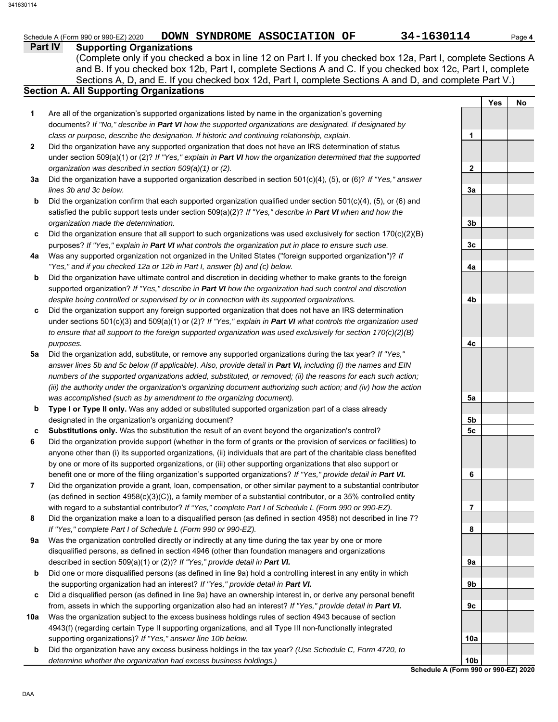#### **Part IV Supporting Organizations** Sections A, D, and E. If you checked box 12d, Part I, complete Sections A and D, and complete Part V.) Schedule A (Form 990 or 990-EZ) 2020 **DOWN SYNDROME ASSOCIATION OF 34-1630114** Page 4 **Section A. All Supporting Organizations** (Complete only if you checked a box in line 12 on Part I. If you checked box 12a, Part I, complete Sections A and B. If you checked box 12b, Part I, complete Sections A and C. If you checked box 12c, Part I, complete Are all of the organization's supported organizations listed by name in the organization's governing documents? *If "No," describe in Part VI how the supported organizations are designated. If designated by class or purpose, describe the designation. If historic and continuing relationship, explain.* Did the organization have any supported organization that does not have an IRS determination of status under section 509(a)(1) or (2)? *If "Yes," explain in Part VI how the organization determined that the supported organization was described in section 509(a)(1) or (2).* **1 2 3a** Did the organization have a supported organization described in section 501(c)(4), (5), or (6)? *If "Yes," answer* **b c** Did the organization ensure that all support to such organizations was used exclusively for section 170(c)(2)(B) **4a** Was any supported organization not organized in the United States ("foreign supported organization")? *If* **b c** Did the organization support any foreign supported organization that does not have an IRS determination **5a** Did the organization add, substitute, or remove any supported organizations during the tax year? *If "Yes," lines 3b and 3c below.* Did the organization confirm that each supported organization qualified under section 501(c)(4), (5), or (6) and satisfied the public support tests under section 509(a)(2)? *If "Yes," describe in Part VI when and how the organization made the determination.* purposes? *If "Yes," explain in Part VI what controls the organization put in place to ensure such use. "Yes," and if you checked 12a or 12b in Part I, answer (b) and (c) below.* Did the organization have ultimate control and discretion in deciding whether to make grants to the foreign supported organization? *If "Yes," describe in Part VI how the organization had such control and discretion despite being controlled or supervised by or in connection with its supported organizations.* under sections 501(c)(3) and 509(a)(1) or (2)? *If "Yes," explain in Part VI what controls the organization used to ensure that all support to the foreign supported organization was used exclusively for section 170(c)(2)(B) purposes. answer lines 5b and 5c below (if applicable). Also, provide detail in Part VI, including (i) the names and EIN numbers of the supported organizations added, substituted, or removed; (ii) the reasons for each such action; (iii) the authority under the organization's organizing document authorizing such action; and (iv) how the action* **Yes No 1 2 3a 3b 3c 4a 4b 4c** 341630114

**b Type I or Type II only.** Was any added or substituted supported organization part of a class already designated in the organization's organizing document?

*was accomplished (such as by amendment to the organizing document).*

- **c Substitutions only.** Was the substitution the result of an event beyond the organization's control?
- **6** Did the organization provide support (whether in the form of grants or the provision of services or facilities) to anyone other than (i) its supported organizations, (ii) individuals that are part of the charitable class benefited by one or more of its supported organizations, or (iii) other supporting organizations that also support or benefit one or more of the filing organization's supported organizations? *If "Yes," provide detail in Part VI.*
- **7** Did the organization provide a grant, loan, compensation, or other similar payment to a substantial contributor (as defined in section 4958(c)(3)(C)), a family member of a substantial contributor, or a 35% controlled entity with regard to a substantial contributor? *If "Yes," complete Part I of Schedule L (Form 990 or 990-EZ).*
- **8** Did the organization make a loan to a disqualified person (as defined in section 4958) not described in line 7? *If "Yes," complete Part I of Schedule L (Form 990 or 990-EZ).*
- **9a** Was the organization controlled directly or indirectly at any time during the tax year by one or more disqualified persons, as defined in section 4946 (other than foundation managers and organizations described in section 509(a)(1) or (2))? *If "Yes," provide detail in Part VI.*
- **b** Did one or more disqualified persons (as defined in line 9a) hold a controlling interest in any entity in which the supporting organization had an interest? *If "Yes," provide detail in Part VI.*
- **c** Did a disqualified person (as defined in line 9a) have an ownership interest in, or derive any personal benefit from, assets in which the supporting organization also had an interest? *If "Yes," provide detail in Part VI.*
- **10a** Was the organization subject to the excess business holdings rules of section 4943 because of section 4943(f) (regarding certain Type II supporting organizations, and all Type III non-functionally integrated supporting organizations)? *If "Yes," answer line 10b below.*
- **b** Did the organization have any excess business holdings in the tax year? *(Use Schedule C, Form 4720, to determine whether the organization had excess business holdings.)*

**5a 5b 5c 6 7 8 9a 9b 9c 10a 10b**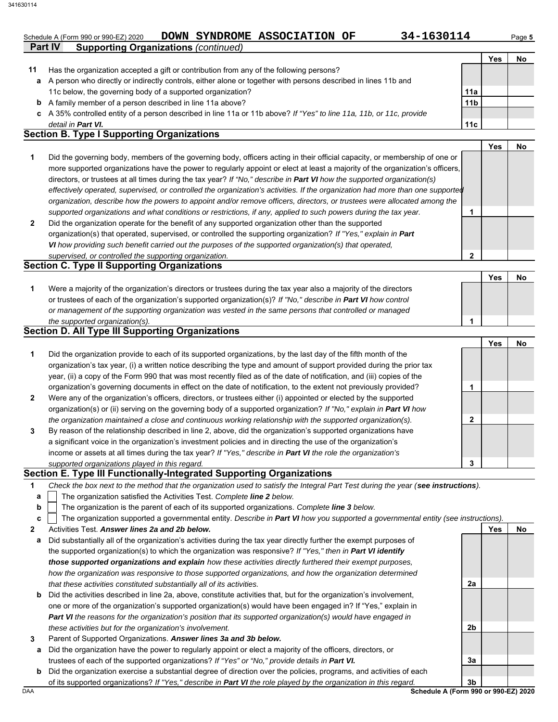| Yes<br>No<br>Has the organization accepted a gift or contribution from any of the following persons?<br>A person who directly or indirectly controls, either alone or together with persons described in lines 11b and<br>a<br>11c below, the governing body of a supported organization?<br>11a<br><b>b</b> A family member of a person described in line 11a above?<br>11 <sub>b</sub><br>c A 35% controlled entity of a person described in line 11a or 11b above? If "Yes" to line 11a, 11b, or 11c, provide<br>detail in Part VI.<br>11c<br><b>Section B. Type I Supporting Organizations</b><br>Yes<br><b>No</b><br>Did the governing body, members of the governing body, officers acting in their official capacity, or membership of one or<br>1<br>more supported organizations have the power to regularly appoint or elect at least a majority of the organization's officers,<br>directors, or trustees at all times during the tax year? If "No," describe in Part VI how the supported organization(s)<br>effectively operated, supervised, or controlled the organization's activities. If the organization had more than one supported<br>organization, describe how the powers to appoint and/or remove officers, directors, or trustees were allocated among the<br>supported organizations and what conditions or restrictions, if any, applied to such powers during the tax year.<br>1<br>Did the organization operate for the benefit of any supported organization other than the supported<br>$\mathbf{2}$<br>organization(s) that operated, supervised, or controlled the supporting organization? If "Yes," explain in Part<br>VI how providing such benefit carried out the purposes of the supported organization(s) that operated,<br>supervised, or controlled the supporting organization.<br>$\mathbf{2}$<br><b>Section C. Type II Supporting Organizations</b><br><b>Yes</b><br>No<br>Were a majority of the organization's directors or trustees during the tax year also a majority of the directors<br>1<br>or trustees of each of the organization's supported organization(s)? If "No," describe in Part VI how control<br>or management of the supporting organization was vested in the same persons that controlled or managed<br>the supported organization(s).<br>1<br><b>Section D. All Type III Supporting Organizations</b><br>Yes<br>No<br>Did the organization provide to each of its supported organizations, by the last day of the fifth month of the<br>1<br>organization's tax year, (i) a written notice describing the type and amount of support provided during the prior tax<br>year, (ii) a copy of the Form 990 that was most recently filed as of the date of notification, and (iii) copies of the<br>organization's governing documents in effect on the date of notification, to the extent not previously provided?<br>1 |    | <b>Part IV</b><br><b>Supporting Organizations (continued)</b> |  |  |
|--------------------------------------------------------------------------------------------------------------------------------------------------------------------------------------------------------------------------------------------------------------------------------------------------------------------------------------------------------------------------------------------------------------------------------------------------------------------------------------------------------------------------------------------------------------------------------------------------------------------------------------------------------------------------------------------------------------------------------------------------------------------------------------------------------------------------------------------------------------------------------------------------------------------------------------------------------------------------------------------------------------------------------------------------------------------------------------------------------------------------------------------------------------------------------------------------------------------------------------------------------------------------------------------------------------------------------------------------------------------------------------------------------------------------------------------------------------------------------------------------------------------------------------------------------------------------------------------------------------------------------------------------------------------------------------------------------------------------------------------------------------------------------------------------------------------------------------------------------------------------------------------------------------------------------------------------------------------------------------------------------------------------------------------------------------------------------------------------------------------------------------------------------------------------------------------------------------------------------------------------------------------------------------------------------------------------------------------------------------------------------------------------------------------------------------------------------------------------------------------------------------------------------------------------------------------------------------------------------------------------------------------------------------------------------------------------------------------------------------------------------------------------------------------------------------------------------------------------------------------------------------------|----|---------------------------------------------------------------|--|--|
|                                                                                                                                                                                                                                                                                                                                                                                                                                                                                                                                                                                                                                                                                                                                                                                                                                                                                                                                                                                                                                                                                                                                                                                                                                                                                                                                                                                                                                                                                                                                                                                                                                                                                                                                                                                                                                                                                                                                                                                                                                                                                                                                                                                                                                                                                                                                                                                                                                                                                                                                                                                                                                                                                                                                                                                                                                                                                            |    |                                                               |  |  |
|                                                                                                                                                                                                                                                                                                                                                                                                                                                                                                                                                                                                                                                                                                                                                                                                                                                                                                                                                                                                                                                                                                                                                                                                                                                                                                                                                                                                                                                                                                                                                                                                                                                                                                                                                                                                                                                                                                                                                                                                                                                                                                                                                                                                                                                                                                                                                                                                                                                                                                                                                                                                                                                                                                                                                                                                                                                                                            | 11 |                                                               |  |  |
|                                                                                                                                                                                                                                                                                                                                                                                                                                                                                                                                                                                                                                                                                                                                                                                                                                                                                                                                                                                                                                                                                                                                                                                                                                                                                                                                                                                                                                                                                                                                                                                                                                                                                                                                                                                                                                                                                                                                                                                                                                                                                                                                                                                                                                                                                                                                                                                                                                                                                                                                                                                                                                                                                                                                                                                                                                                                                            |    |                                                               |  |  |
|                                                                                                                                                                                                                                                                                                                                                                                                                                                                                                                                                                                                                                                                                                                                                                                                                                                                                                                                                                                                                                                                                                                                                                                                                                                                                                                                                                                                                                                                                                                                                                                                                                                                                                                                                                                                                                                                                                                                                                                                                                                                                                                                                                                                                                                                                                                                                                                                                                                                                                                                                                                                                                                                                                                                                                                                                                                                                            |    |                                                               |  |  |
|                                                                                                                                                                                                                                                                                                                                                                                                                                                                                                                                                                                                                                                                                                                                                                                                                                                                                                                                                                                                                                                                                                                                                                                                                                                                                                                                                                                                                                                                                                                                                                                                                                                                                                                                                                                                                                                                                                                                                                                                                                                                                                                                                                                                                                                                                                                                                                                                                                                                                                                                                                                                                                                                                                                                                                                                                                                                                            |    |                                                               |  |  |
|                                                                                                                                                                                                                                                                                                                                                                                                                                                                                                                                                                                                                                                                                                                                                                                                                                                                                                                                                                                                                                                                                                                                                                                                                                                                                                                                                                                                                                                                                                                                                                                                                                                                                                                                                                                                                                                                                                                                                                                                                                                                                                                                                                                                                                                                                                                                                                                                                                                                                                                                                                                                                                                                                                                                                                                                                                                                                            |    |                                                               |  |  |
|                                                                                                                                                                                                                                                                                                                                                                                                                                                                                                                                                                                                                                                                                                                                                                                                                                                                                                                                                                                                                                                                                                                                                                                                                                                                                                                                                                                                                                                                                                                                                                                                                                                                                                                                                                                                                                                                                                                                                                                                                                                                                                                                                                                                                                                                                                                                                                                                                                                                                                                                                                                                                                                                                                                                                                                                                                                                                            |    |                                                               |  |  |
|                                                                                                                                                                                                                                                                                                                                                                                                                                                                                                                                                                                                                                                                                                                                                                                                                                                                                                                                                                                                                                                                                                                                                                                                                                                                                                                                                                                                                                                                                                                                                                                                                                                                                                                                                                                                                                                                                                                                                                                                                                                                                                                                                                                                                                                                                                                                                                                                                                                                                                                                                                                                                                                                                                                                                                                                                                                                                            |    |                                                               |  |  |
|                                                                                                                                                                                                                                                                                                                                                                                                                                                                                                                                                                                                                                                                                                                                                                                                                                                                                                                                                                                                                                                                                                                                                                                                                                                                                                                                                                                                                                                                                                                                                                                                                                                                                                                                                                                                                                                                                                                                                                                                                                                                                                                                                                                                                                                                                                                                                                                                                                                                                                                                                                                                                                                                                                                                                                                                                                                                                            |    |                                                               |  |  |
|                                                                                                                                                                                                                                                                                                                                                                                                                                                                                                                                                                                                                                                                                                                                                                                                                                                                                                                                                                                                                                                                                                                                                                                                                                                                                                                                                                                                                                                                                                                                                                                                                                                                                                                                                                                                                                                                                                                                                                                                                                                                                                                                                                                                                                                                                                                                                                                                                                                                                                                                                                                                                                                                                                                                                                                                                                                                                            |    |                                                               |  |  |
|                                                                                                                                                                                                                                                                                                                                                                                                                                                                                                                                                                                                                                                                                                                                                                                                                                                                                                                                                                                                                                                                                                                                                                                                                                                                                                                                                                                                                                                                                                                                                                                                                                                                                                                                                                                                                                                                                                                                                                                                                                                                                                                                                                                                                                                                                                                                                                                                                                                                                                                                                                                                                                                                                                                                                                                                                                                                                            |    |                                                               |  |  |
|                                                                                                                                                                                                                                                                                                                                                                                                                                                                                                                                                                                                                                                                                                                                                                                                                                                                                                                                                                                                                                                                                                                                                                                                                                                                                                                                                                                                                                                                                                                                                                                                                                                                                                                                                                                                                                                                                                                                                                                                                                                                                                                                                                                                                                                                                                                                                                                                                                                                                                                                                                                                                                                                                                                                                                                                                                                                                            |    |                                                               |  |  |
|                                                                                                                                                                                                                                                                                                                                                                                                                                                                                                                                                                                                                                                                                                                                                                                                                                                                                                                                                                                                                                                                                                                                                                                                                                                                                                                                                                                                                                                                                                                                                                                                                                                                                                                                                                                                                                                                                                                                                                                                                                                                                                                                                                                                                                                                                                                                                                                                                                                                                                                                                                                                                                                                                                                                                                                                                                                                                            |    |                                                               |  |  |
|                                                                                                                                                                                                                                                                                                                                                                                                                                                                                                                                                                                                                                                                                                                                                                                                                                                                                                                                                                                                                                                                                                                                                                                                                                                                                                                                                                                                                                                                                                                                                                                                                                                                                                                                                                                                                                                                                                                                                                                                                                                                                                                                                                                                                                                                                                                                                                                                                                                                                                                                                                                                                                                                                                                                                                                                                                                                                            |    |                                                               |  |  |
|                                                                                                                                                                                                                                                                                                                                                                                                                                                                                                                                                                                                                                                                                                                                                                                                                                                                                                                                                                                                                                                                                                                                                                                                                                                                                                                                                                                                                                                                                                                                                                                                                                                                                                                                                                                                                                                                                                                                                                                                                                                                                                                                                                                                                                                                                                                                                                                                                                                                                                                                                                                                                                                                                                                                                                                                                                                                                            |    |                                                               |  |  |
|                                                                                                                                                                                                                                                                                                                                                                                                                                                                                                                                                                                                                                                                                                                                                                                                                                                                                                                                                                                                                                                                                                                                                                                                                                                                                                                                                                                                                                                                                                                                                                                                                                                                                                                                                                                                                                                                                                                                                                                                                                                                                                                                                                                                                                                                                                                                                                                                                                                                                                                                                                                                                                                                                                                                                                                                                                                                                            |    |                                                               |  |  |
|                                                                                                                                                                                                                                                                                                                                                                                                                                                                                                                                                                                                                                                                                                                                                                                                                                                                                                                                                                                                                                                                                                                                                                                                                                                                                                                                                                                                                                                                                                                                                                                                                                                                                                                                                                                                                                                                                                                                                                                                                                                                                                                                                                                                                                                                                                                                                                                                                                                                                                                                                                                                                                                                                                                                                                                                                                                                                            |    |                                                               |  |  |
|                                                                                                                                                                                                                                                                                                                                                                                                                                                                                                                                                                                                                                                                                                                                                                                                                                                                                                                                                                                                                                                                                                                                                                                                                                                                                                                                                                                                                                                                                                                                                                                                                                                                                                                                                                                                                                                                                                                                                                                                                                                                                                                                                                                                                                                                                                                                                                                                                                                                                                                                                                                                                                                                                                                                                                                                                                                                                            |    |                                                               |  |  |
|                                                                                                                                                                                                                                                                                                                                                                                                                                                                                                                                                                                                                                                                                                                                                                                                                                                                                                                                                                                                                                                                                                                                                                                                                                                                                                                                                                                                                                                                                                                                                                                                                                                                                                                                                                                                                                                                                                                                                                                                                                                                                                                                                                                                                                                                                                                                                                                                                                                                                                                                                                                                                                                                                                                                                                                                                                                                                            |    |                                                               |  |  |
|                                                                                                                                                                                                                                                                                                                                                                                                                                                                                                                                                                                                                                                                                                                                                                                                                                                                                                                                                                                                                                                                                                                                                                                                                                                                                                                                                                                                                                                                                                                                                                                                                                                                                                                                                                                                                                                                                                                                                                                                                                                                                                                                                                                                                                                                                                                                                                                                                                                                                                                                                                                                                                                                                                                                                                                                                                                                                            |    |                                                               |  |  |
|                                                                                                                                                                                                                                                                                                                                                                                                                                                                                                                                                                                                                                                                                                                                                                                                                                                                                                                                                                                                                                                                                                                                                                                                                                                                                                                                                                                                                                                                                                                                                                                                                                                                                                                                                                                                                                                                                                                                                                                                                                                                                                                                                                                                                                                                                                                                                                                                                                                                                                                                                                                                                                                                                                                                                                                                                                                                                            |    |                                                               |  |  |
|                                                                                                                                                                                                                                                                                                                                                                                                                                                                                                                                                                                                                                                                                                                                                                                                                                                                                                                                                                                                                                                                                                                                                                                                                                                                                                                                                                                                                                                                                                                                                                                                                                                                                                                                                                                                                                                                                                                                                                                                                                                                                                                                                                                                                                                                                                                                                                                                                                                                                                                                                                                                                                                                                                                                                                                                                                                                                            |    |                                                               |  |  |
|                                                                                                                                                                                                                                                                                                                                                                                                                                                                                                                                                                                                                                                                                                                                                                                                                                                                                                                                                                                                                                                                                                                                                                                                                                                                                                                                                                                                                                                                                                                                                                                                                                                                                                                                                                                                                                                                                                                                                                                                                                                                                                                                                                                                                                                                                                                                                                                                                                                                                                                                                                                                                                                                                                                                                                                                                                                                                            |    |                                                               |  |  |
|                                                                                                                                                                                                                                                                                                                                                                                                                                                                                                                                                                                                                                                                                                                                                                                                                                                                                                                                                                                                                                                                                                                                                                                                                                                                                                                                                                                                                                                                                                                                                                                                                                                                                                                                                                                                                                                                                                                                                                                                                                                                                                                                                                                                                                                                                                                                                                                                                                                                                                                                                                                                                                                                                                                                                                                                                                                                                            |    |                                                               |  |  |
|                                                                                                                                                                                                                                                                                                                                                                                                                                                                                                                                                                                                                                                                                                                                                                                                                                                                                                                                                                                                                                                                                                                                                                                                                                                                                                                                                                                                                                                                                                                                                                                                                                                                                                                                                                                                                                                                                                                                                                                                                                                                                                                                                                                                                                                                                                                                                                                                                                                                                                                                                                                                                                                                                                                                                                                                                                                                                            |    |                                                               |  |  |
|                                                                                                                                                                                                                                                                                                                                                                                                                                                                                                                                                                                                                                                                                                                                                                                                                                                                                                                                                                                                                                                                                                                                                                                                                                                                                                                                                                                                                                                                                                                                                                                                                                                                                                                                                                                                                                                                                                                                                                                                                                                                                                                                                                                                                                                                                                                                                                                                                                                                                                                                                                                                                                                                                                                                                                                                                                                                                            |    |                                                               |  |  |
|                                                                                                                                                                                                                                                                                                                                                                                                                                                                                                                                                                                                                                                                                                                                                                                                                                                                                                                                                                                                                                                                                                                                                                                                                                                                                                                                                                                                                                                                                                                                                                                                                                                                                                                                                                                                                                                                                                                                                                                                                                                                                                                                                                                                                                                                                                                                                                                                                                                                                                                                                                                                                                                                                                                                                                                                                                                                                            |    |                                                               |  |  |
|                                                                                                                                                                                                                                                                                                                                                                                                                                                                                                                                                                                                                                                                                                                                                                                                                                                                                                                                                                                                                                                                                                                                                                                                                                                                                                                                                                                                                                                                                                                                                                                                                                                                                                                                                                                                                                                                                                                                                                                                                                                                                                                                                                                                                                                                                                                                                                                                                                                                                                                                                                                                                                                                                                                                                                                                                                                                                            |    |                                                               |  |  |

| Were any of the organization's officers, directors, or trustees either (i) appointed or elected by the supported   |
|--------------------------------------------------------------------------------------------------------------------|
| organization(s) or (ii) serving on the governing body of a supported organization? If "No," explain in Part VI how |
| the organization maintained a close and continuous working relationship with the supported organization(s).        |
|                                                                                                                    |

| By reason of the relationship described in line 2, above, did the organization's supported organizations have       |  |
|---------------------------------------------------------------------------------------------------------------------|--|
| a significant voice in the organization's investment policies and in directing the use of the organization's        |  |
| income or assets at all times during the tax year? If "Yes," describe in <b>Part VI</b> the role the organization's |  |
| supported organizations played in this regard.                                                                      |  |

#### **Section E. Type III Functionally-Integrated Supporting Organizations**

|  | Check the box next to the method that the organization used to satisfy the Integral Part Test during the year (see instructions). |  |  |  |  |
|--|-----------------------------------------------------------------------------------------------------------------------------------|--|--|--|--|
|--|-----------------------------------------------------------------------------------------------------------------------------------|--|--|--|--|

- The organization satisfied the Activities Test. *Complete line 2 below.* **a**
- The organization is the parent of each of its supported organizations. *Complete line 3 below.* **b**

|  | $c \fbox{The organization supported a governmental entity. Describe in Part VI how you supported a governmental entity (see instructions).}$ |  |
|--|----------------------------------------------------------------------------------------------------------------------------------------------|--|
|  |                                                                                                                                              |  |

- **2** Activities Test. *Answer lines 2a and 2b below.*
- **a** Did substantially all of the organization's activities during the tax year directly further the exempt purposes of the supported organization(s) to which the organization was responsive? *If "Yes," then in Part VI identify those supported organizations and explain how these activities directly furthered their exempt purposes, how the organization was responsive to those supported organizations, and how the organization determined that these activities constituted substantially all of its activities.*
- **b** Did the activities described in line 2a, above, constitute activities that, but for the organization's involvement, one or more of the organization's supported organization(s) would have been engaged in? If "Yes," explain in *Part VI the reasons for the organization's position that its supported organization(s) would have engaged in these activities but for the organization's involvement.*
- **3** Parent of Supported Organizations. *Answer lines 3a and 3b below.*
	- **a** Did the organization have the power to regularly appoint or elect a majority of the officers, directors, or trustees of each of the supported organizations? *If "Yes" or "No," provide details in Part VI.*
	- **b** Did the organization exercise a substantial degree of direction over the policies, programs, and activities of each of its supported organizations? *If "Yes," describe in Part VI the role played by the organization in this regard.*

**2a**

**2b**

**3a**

**2**

**Yes No**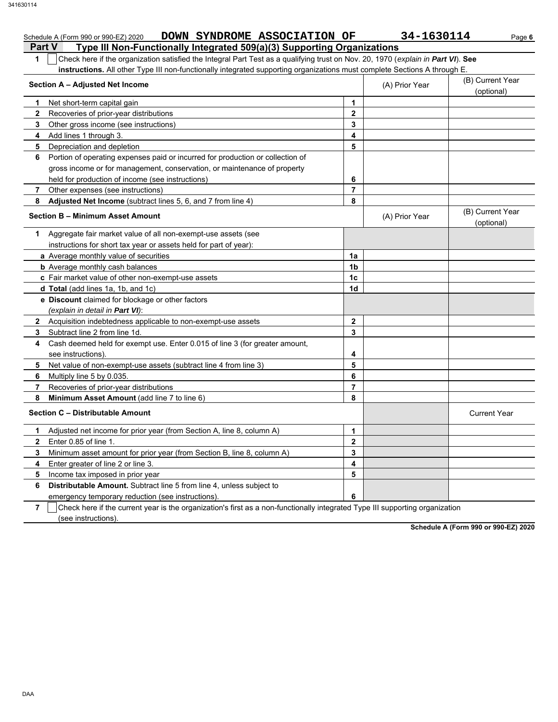| DOWN SYNDROME ASSOCIATION OF<br>Schedule A (Form 990 or 990-EZ) 2020                                                                  |                | 34-1630114     | Page 6                         |
|---------------------------------------------------------------------------------------------------------------------------------------|----------------|----------------|--------------------------------|
| Type III Non-Functionally Integrated 509(a)(3) Supporting Organizations<br><b>Part V</b>                                              |                |                |                                |
| Check here if the organization satisfied the Integral Part Test as a qualifying trust on Nov. 20, 1970 (explain in Part VI). See<br>1 |                |                |                                |
| instructions. All other Type III non-functionally integrated supporting organizations must complete Sections A through E.             |                |                |                                |
| Section A - Adjusted Net Income                                                                                                       |                | (A) Prior Year | (B) Current Year<br>(optional) |
| Net short-term capital gain<br>1                                                                                                      | 1              |                |                                |
| $\mathbf{2}$<br>Recoveries of prior-year distributions                                                                                | $\mathbf{2}$   |                |                                |
| 3<br>Other gross income (see instructions)                                                                                            | 3              |                |                                |
| 4<br>Add lines 1 through 3.                                                                                                           | 4              |                |                                |
| 5<br>Depreciation and depletion                                                                                                       | 5              |                |                                |
| Portion of operating expenses paid or incurred for production or collection of<br>6                                                   |                |                |                                |
| gross income or for management, conservation, or maintenance of property                                                              |                |                |                                |
| held for production of income (see instructions)                                                                                      | 6              |                |                                |
| $\overline{7}$<br>Other expenses (see instructions)                                                                                   | $\overline{7}$ |                |                                |
| Adjusted Net Income (subtract lines 5, 6, and 7 from line 4)<br>8                                                                     | 8              |                |                                |
| Section B - Minimum Asset Amount                                                                                                      |                | (A) Prior Year | (B) Current Year<br>(optional) |
| Aggregate fair market value of all non-exempt-use assets (see<br>1                                                                    |                |                |                                |
| instructions for short tax year or assets held for part of year):                                                                     |                |                |                                |
| a Average monthly value of securities                                                                                                 | 1a             |                |                                |
| <b>b</b> Average monthly cash balances                                                                                                | 1 <sub>b</sub> |                |                                |
| c Fair market value of other non-exempt-use assets                                                                                    | 1c             |                |                                |
| <b>d Total</b> (add lines 1a, 1b, and 1c)                                                                                             | 1d             |                |                                |
| e Discount claimed for blockage or other factors                                                                                      |                |                |                                |
| (explain in detail in <b>Part VI</b> ):                                                                                               |                |                |                                |
| 2 Acquisition indebtedness applicable to non-exempt-use assets                                                                        | $\mathbf 2$    |                |                                |
| Subtract line 2 from line 1d.<br>3                                                                                                    | 3              |                |                                |
| Cash deemed held for exempt use. Enter 0.015 of line 3 (for greater amount,<br>4                                                      |                |                |                                |
| see instructions).                                                                                                                    | 4              |                |                                |
| Net value of non-exempt-use assets (subtract line 4 from line 3)<br>5                                                                 | 5              |                |                                |
| 6<br>Multiply line 5 by 0.035.                                                                                                        | 6              |                |                                |
| $\overline{7}$<br>Recoveries of prior-year distributions                                                                              | $\overline{7}$ |                |                                |
| 8<br>Minimum Asset Amount (add line 7 to line 6)                                                                                      | 8              |                |                                |
| Section C - Distributable Amount                                                                                                      |                |                | <b>Current Year</b>            |
| Adjusted net income for prior year (from Section A, line 8, column A)<br>1                                                            | 1              |                |                                |
| Enter 0.85 of line 1.<br>$\mathbf{2}$                                                                                                 | 2              |                |                                |
| Minimum asset amount for prior year (from Section B, line 8, column A)<br>3                                                           | 3              |                |                                |
| Enter greater of line 2 or line 3.<br>4                                                                                               | 4              |                |                                |
| Income tax imposed in prior year<br>5                                                                                                 | 5              |                |                                |
| 6<br>Distributable Amount. Subtract line 5 from line 4, unless subject to                                                             |                |                |                                |
| emergency temporary reduction (see instructions)                                                                                      | 6              |                |                                |

**7**  $\Box$  Check here if the current year is the organization's first as a non-functionally integrated Type III supporting organization (see instructions).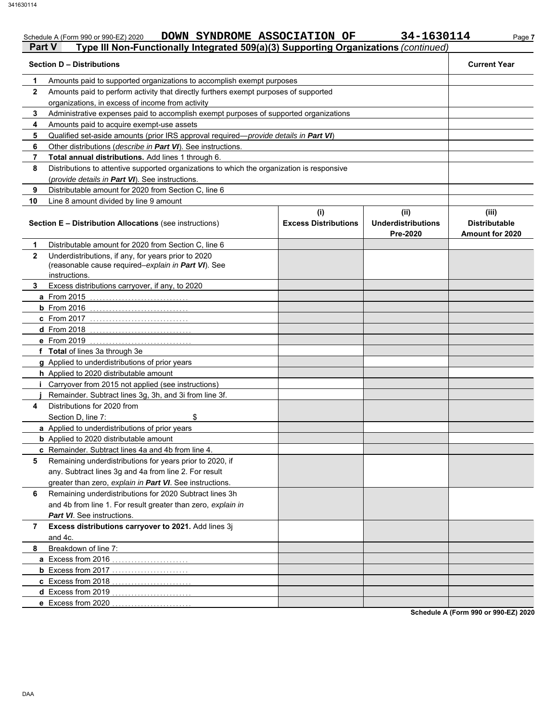#### Schedule A (Form 990 or 990-EZ) 2020 **DOWN SYNDROME ASSOCIATION OF 34-1630114** Page 7 **Part V Type III Non-Functionally Integrated 509(a)(3) Supporting Organizations** *(continued)* **Section D – Distributions Current Year 1 2 3 4 5 6 7 8 9 10** Amounts paid to supported organizations to accomplish exempt purposes Amounts paid to perform activity that directly furthers exempt purposes of supported organizations, in excess of income from activity Administrative expenses paid to accomplish exempt purposes of supported organizations Amounts paid to acquire exempt-use assets Qualified set-aside amounts (prior IRS approval required—*provide details in Part VI*) Other distributions (*describe in Part VI*). See instructions. **Total annual distributions.** Add lines 1 through 6. Distributions to attentive supported organizations to which the organization is responsive (*provide details in Part VI*). See instructions. Distributable amount for 2020 from Section C, line 6 Line 8 amount divided by line 9 amount **Section E – Distribution Allocations** (see instructions) **Excess Distributions (i) (ii) Underdistributions Pre-2020 (iii) Distributable Amount for 2020 8 7 6** Remaining underdistributions for 2020 Subtract lines 3h **5 4 3** Excess distributions carryover, if any, to 2020 **2 1 a** From 2015 . . . . . . . . . . . . . . . . . . . . . . . . . . . . . . . **b** From 2016 . . . . . . . . . . . . . . . . . . . . . . . . . . . . . . . **c** From 2017 . . . . . . . . . . . . . . . . . . . . . . . . . . . . . . . **d** From 2018 . . . . . . . . . . . . . . . . . . . . . . . . . . . . . . . . **e** From 2019 . . . . . . . . . . . . . . . . . . . . . . . . . . . . . . . . **f Total** of lines 3a through 3e **g** Applied to underdistributions of prior years **h** Applied to 2020 distributable amount **i** Carryover from 2015 not applied (see instructions) **j** Remainder. Subtract lines 3g, 3h, and 3i from line 3f. **a** Applied to underdistributions of prior years **b** Applied to 2020 distributable amount **c** Remainder. Subtract lines 4a and 4b from line 4. **a** Excess from 2016 . . . . . . . . . . . . . . . . . . . . . . . . **b** Excess from 2017 . . . . . . . . . . . . . . . . . . . . . . . . **c** Excess from 2018 . . . . . . . . . . . . . . . . . . . . . . . . . **d** Excess from 2019 . . . . . . . . . . . . . . . . . . . . . . . . . **e** Excess from 2020 . . . . . . . . . . . . . . . . . . . . . . . . . Distributable amount for 2020 from Section C, line 6 Underdistributions, if any, for years prior to 2020 (reasonable cause required–*explain in Part VI*). See Distributions for 2020 from Section D, line 7: \$ Remaining underdistributions for years prior to 2020, if any. Subtract lines 3g and 4a from line 2. For result greater than zero, *explain in Part VI*. See instructions. and 4b from line 1. For result greater than zero, *explain in Part VI.* See instructions. **Excess distributions carryover to 2021.** Add lines 3j and 4c. Breakdown of line 7: instructions.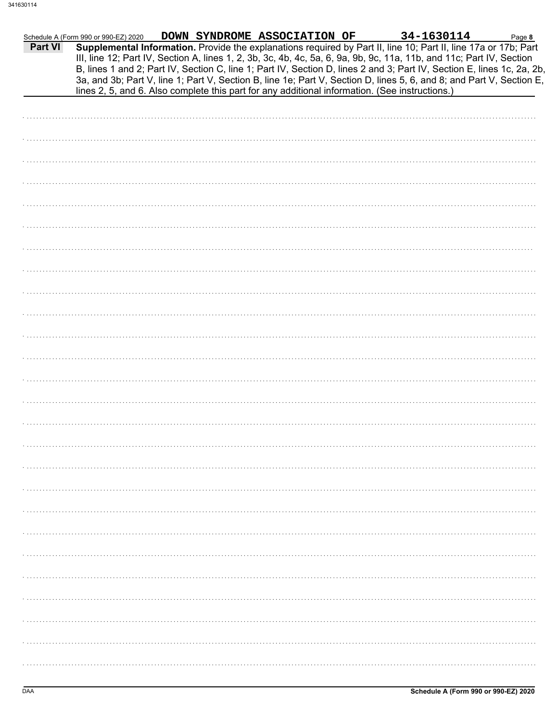|                | Schedule A (Form 990 or 990-EZ) 2020                                                                            | DOWN SYNDROME ASSOCIATION OF |  | 34-1630114                                                                                                                                                                                                                                                                                                                                                             | Page 8 |
|----------------|-----------------------------------------------------------------------------------------------------------------|------------------------------|--|------------------------------------------------------------------------------------------------------------------------------------------------------------------------------------------------------------------------------------------------------------------------------------------------------------------------------------------------------------------------|--------|
| <b>Part VI</b> | Supplemental Information. Provide the explanations required by Part II, line 10; Part II, line 17a or 17b; Part |                              |  | III, line 12; Part IV, Section A, lines 1, 2, 3b, 3c, 4b, 4c, 5a, 6, 9a, 9b, 9c, 11a, 11b, and 11c; Part IV, Section<br>B, lines 1 and 2; Part IV, Section C, line 1; Part IV, Section D, lines 2 and 3; Part IV, Section E, lines 1c, 2a, 2b,<br>3a, and 3b; Part V, line 1; Part V, Section B, line 1e; Part V, Section D, lines 5, 6, and 8; and Part V, Section E, |        |
|                | lines 2, 5, and 6. Also complete this part for any additional information. (See instructions.)                  |                              |  |                                                                                                                                                                                                                                                                                                                                                                        |        |
|                |                                                                                                                 |                              |  |                                                                                                                                                                                                                                                                                                                                                                        |        |
|                |                                                                                                                 |                              |  |                                                                                                                                                                                                                                                                                                                                                                        |        |
|                |                                                                                                                 |                              |  |                                                                                                                                                                                                                                                                                                                                                                        |        |
|                |                                                                                                                 |                              |  |                                                                                                                                                                                                                                                                                                                                                                        |        |
|                |                                                                                                                 |                              |  |                                                                                                                                                                                                                                                                                                                                                                        |        |
|                |                                                                                                                 |                              |  |                                                                                                                                                                                                                                                                                                                                                                        |        |
|                |                                                                                                                 |                              |  |                                                                                                                                                                                                                                                                                                                                                                        |        |
|                |                                                                                                                 |                              |  |                                                                                                                                                                                                                                                                                                                                                                        |        |
|                |                                                                                                                 |                              |  |                                                                                                                                                                                                                                                                                                                                                                        |        |
|                |                                                                                                                 |                              |  |                                                                                                                                                                                                                                                                                                                                                                        |        |
|                |                                                                                                                 |                              |  |                                                                                                                                                                                                                                                                                                                                                                        |        |
|                |                                                                                                                 |                              |  |                                                                                                                                                                                                                                                                                                                                                                        |        |
|                |                                                                                                                 |                              |  |                                                                                                                                                                                                                                                                                                                                                                        |        |
|                |                                                                                                                 |                              |  |                                                                                                                                                                                                                                                                                                                                                                        |        |
|                |                                                                                                                 |                              |  |                                                                                                                                                                                                                                                                                                                                                                        |        |
|                |                                                                                                                 |                              |  |                                                                                                                                                                                                                                                                                                                                                                        |        |
|                |                                                                                                                 |                              |  |                                                                                                                                                                                                                                                                                                                                                                        |        |
|                |                                                                                                                 |                              |  |                                                                                                                                                                                                                                                                                                                                                                        |        |
|                |                                                                                                                 |                              |  |                                                                                                                                                                                                                                                                                                                                                                        |        |
|                |                                                                                                                 |                              |  |                                                                                                                                                                                                                                                                                                                                                                        |        |
|                |                                                                                                                 |                              |  |                                                                                                                                                                                                                                                                                                                                                                        |        |
|                |                                                                                                                 |                              |  |                                                                                                                                                                                                                                                                                                                                                                        |        |
|                |                                                                                                                 |                              |  |                                                                                                                                                                                                                                                                                                                                                                        |        |
|                |                                                                                                                 |                              |  |                                                                                                                                                                                                                                                                                                                                                                        |        |
|                |                                                                                                                 |                              |  |                                                                                                                                                                                                                                                                                                                                                                        |        |
|                |                                                                                                                 |                              |  |                                                                                                                                                                                                                                                                                                                                                                        |        |
|                |                                                                                                                 |                              |  |                                                                                                                                                                                                                                                                                                                                                                        |        |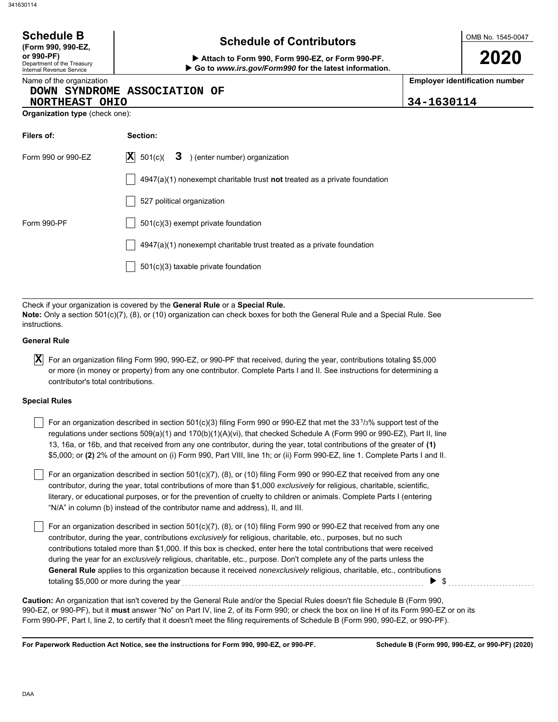| <b>Schedule B</b>  | <b>Schedule of Contributors</b> |
|--------------------|---------------------------------|
| /Earm 000, 000 EZ. |                                 |

**or 990-PF) Attach to Form 990, Form 990-EZ, or Form 990-PF.** ▶ Go to www.irs.gov/Form990 for the latest information. OMB No. 1545-0047

**2020**

**Employer identification number**

|  | <b>DOWN SYNDROME ASSOCIATION OF</b> |  |
|--|-------------------------------------|--|

**NORTHEAST OHIO 34-1630114**

| Organization type (check one): |  |  |
|--------------------------------|--|--|
|                                |  |  |

Department of the Treasury Internal Revenue Service Name of the organization

**(Form 990, 990-EZ,**

| Filers of:         | Section:                                                                    |
|--------------------|-----------------------------------------------------------------------------|
| Form 990 or 990-EZ | $ \mathbf{X} $ 501(c)( <b>3</b> ) (enter number) organization               |
|                    | $4947(a)(1)$ nonexempt charitable trust not treated as a private foundation |
|                    | 527 political organization                                                  |
| Form 990-PF        | $501(c)(3)$ exempt private foundation                                       |
|                    | $4947(a)(1)$ nonexempt charitable trust treated as a private foundation     |
|                    | $501(c)(3)$ taxable private foundation                                      |

Check if your organization is covered by the **General Rule** or a **Special Rule. Note:** Only a section 501(c)(7), (8), or (10) organization can check boxes for both the General Rule and a Special Rule. See instructions.

#### **General Rule**

 $\overline{\textbf{X}}$  For an organization filing Form 990, 990-EZ, or 990-PF that received, during the year, contributions totaling \$5,000 or more (in money or property) from any one contributor. Complete Parts I and II. See instructions for determining a contributor's total contributions.

#### **Special Rules**

For an organization described in section 501(c)(3) filing Form 990 or 990-EZ that met the 33<sup>1</sup>/<sub>3</sub>% support test of the regulations under sections 509(a)(1) and 170(b)(1)(A)(vi), that checked Schedule A (Form 990 or 990-EZ), Part II, line 13, 16a, or 16b, and that received from any one contributor, during the year, total contributions of the greater of **(1)** \$5,000; or **(2)** 2% of the amount on (i) Form 990, Part VIII, line 1h; or (ii) Form 990-EZ, line 1. Complete Parts I and II.

literary, or educational purposes, or for the prevention of cruelty to children or animals. Complete Parts I (entering For an organization described in section 501(c)(7), (8), or (10) filing Form 990 or 990-EZ that received from any one contributor, during the year, total contributions of more than \$1,000 *exclusively* for religious, charitable, scientific, "N/A" in column (b) instead of the contributor name and address), II, and III.

For an organization described in section 501(c)(7), (8), or (10) filing Form 990 or 990-EZ that received from any one contributor, during the year, contributions *exclusively* for religious, charitable, etc., purposes, but no such contributions totaled more than \$1,000. If this box is checked, enter here the total contributions that were received during the year for an *exclusively* religious, charitable, etc., purpose. Don't complete any of the parts unless the **General Rule** applies to this organization because it received *nonexclusively* religious, charitable, etc., contributions totaling \$5,000 or more during the year . . . . . . . . . . . . . . . . . . . . . . . . . . . . . . . . . . . . . . . . . . . . . . . . . . . . . . . . . . . . . . . . . . . . . . . . . . . . \$ . . . . . . . . . . . . . . . . . . . . . . . . . . .

990-EZ, or 990-PF), but it **must** answer "No" on Part IV, line 2, of its Form 990; or check the box on line H of its Form 990-EZ or on its Form 990-PF, Part I, line 2, to certify that it doesn't meet the filing requirements of Schedule B (Form 990, 990-EZ, or 990-PF). **Caution:** An organization that isn't covered by the General Rule and/or the Special Rules doesn't file Schedule B (Form 990,

**For Paperwork Reduction Act Notice, see the instructions for Form 990, 990-EZ, or 990-PF.**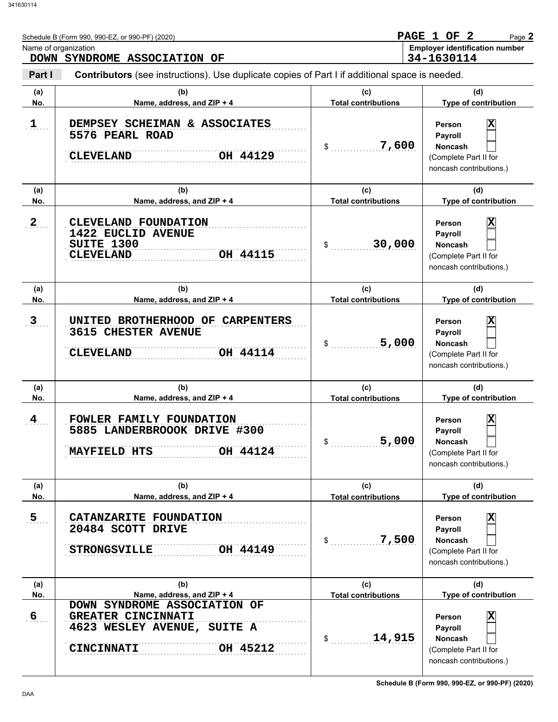|                  | Schedule B (Form 990, 990-EZ, or 990-PF) (2020)                                                                    |                                     | PAGE 1 OF<br>2<br>Page 2                                                                                                            |  |  |  |  |
|------------------|--------------------------------------------------------------------------------------------------------------------|-------------------------------------|-------------------------------------------------------------------------------------------------------------------------------------|--|--|--|--|
|                  | Name of organization<br>DOWN SYNDROME ASSOCIATION OF                                                               |                                     | <b>Employer identification number</b><br>34-1630114                                                                                 |  |  |  |  |
| Part I           | <b>Contributors</b> (see instructions). Use duplicate copies of Part I if additional space is needed.              |                                     |                                                                                                                                     |  |  |  |  |
| (a)<br>No.       | (b)<br>Name, address, and ZIP + 4                                                                                  | (c)<br><b>Total contributions</b>   | (d)<br>Type of contribution                                                                                                         |  |  |  |  |
| 1                | DEMPSEY SCHEIMAN & ASSOCIATES<br>5576 PEARL ROAD<br><b>CLEVELAND</b><br>OH 44129                                   | 7,600<br>\$                         | X<br>Person<br>Payroll<br><b>Noncash</b><br>(Complete Part II for<br>noncash contributions.)                                        |  |  |  |  |
| (a)<br>No.       | (b)<br>Name, address, and ZIP + 4                                                                                  | (c)<br><b>Total contributions</b>   | (d)<br>Type of contribution                                                                                                         |  |  |  |  |
| $\mathbf{2}$     | CLEVELAND FOUNDATION<br>1422 EUCLID AVENUE<br>SUITE 1300<br>OH 44115<br><b>CLEVELAND</b>                           | 30,000<br>\$                        | X<br><b>Person</b><br>Payroll<br><b>Noncash</b><br>(Complete Part II for<br>noncash contributions.)                                 |  |  |  |  |
| (a)<br>No.       | (b)<br>Name, address, and ZIP + 4                                                                                  | (c)<br><b>Total contributions</b>   | (d)<br>Type of contribution                                                                                                         |  |  |  |  |
| $\overline{3}$   | UNITED BROTHERHOOD OF CARPENTERS<br><b>3615 CHESTER AVENUE</b><br>OH 44114<br><b>CLEVELAND</b>                     | 5,000<br>\$                         | x<br><b>Person</b><br>Payroll<br><b>Noncash</b><br>(Complete Part II for<br>noncash contributions.)                                 |  |  |  |  |
| (a)              | (b)                                                                                                                | (c)                                 | (d)                                                                                                                                 |  |  |  |  |
| No.<br>4         | Name, address, and ZIP + 4<br>FOWLER FAMILY FOUNDATION<br>5885 LANDERBROOOK DRIVE #300<br>MAYFIELD HTS<br>OH 44124 | <b>Total contributions</b><br>5,000 | Type of contribution<br>$\overline{\mathbf{x}}$<br>Person<br>Payroll<br>Noncash<br>(Complete Part II for<br>noncash contributions.) |  |  |  |  |
| (a)<br>No.       | (b)<br>Name, address, and ZIP + 4                                                                                  | (c)<br><b>Total contributions</b>   | (d)<br>Type of contribution                                                                                                         |  |  |  |  |
| $\overline{5}$   | CATANZARITE FOUNDATION<br>20484 SCOTT DRIVE<br><b>STRONGSVILLE</b><br>OH 44149                                     | 7,500<br>$\frac{1}{2}$              | X<br>Person<br>Payroll<br>Noncash<br>(Complete Part II for<br>noncash contributions.)                                               |  |  |  |  |
| (a)<br>No.       | (b)<br>Name, address, and ZIP + 4                                                                                  | (c)<br><b>Total contributions</b>   | (d)<br>Type of contribution                                                                                                         |  |  |  |  |
| $6 \overline{6}$ | DOWN SYNDROME ASSOCIATION OF<br>GREATER CINCINNATI<br>4623 WESLEY AVENUE, SUITE A<br>OH 45212<br><b>CINCINNATI</b> | 14,915<br>$\frac{1}{2}$             | X<br>Person<br>Payroll<br>Noncash<br>(Complete Part II for<br>noncash contributions.)                                               |  |  |  |  |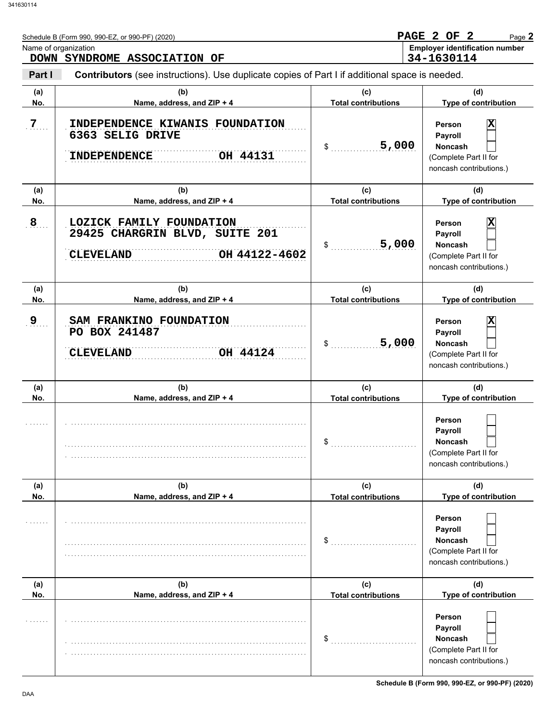|                | Schedule B (Form 990, 990-EZ, or 990-PF) (2020)<br>Name of organization                         |                                   | PAGE 2 OF 2<br>Page 2<br><b>Employer identification number</b>                                              |
|----------------|-------------------------------------------------------------------------------------------------|-----------------------------------|-------------------------------------------------------------------------------------------------------------|
|                | DOWN SYNDROME ASSOCIATION OF                                                                    |                                   | 34-1630114                                                                                                  |
| Part I         | Contributors (see instructions). Use duplicate copies of Part I if additional space is needed.  |                                   |                                                                                                             |
| (a)<br>No.     | (b)<br>Name, address, and ZIP + 4                                                               | (c)<br><b>Total contributions</b> | (d)<br>Type of contribution                                                                                 |
| $\overline{Z}$ | INDEPENDENCE KIWANIS FOUNDATION<br>6363 SELIG DRIVE<br><b>INDEPENDENCE</b><br>OH 44131          | 5,000<br>\$                       | X<br>Person<br>Payroll<br>Noncash<br>(Complete Part II for<br>noncash contributions.)                       |
| (a)<br>No.     | (b)<br>Name, address, and ZIP + 4                                                               | (c)<br><b>Total contributions</b> | (d)<br>Type of contribution                                                                                 |
| $\overline{8}$ | LOZICK FAMILY FOUNDATION<br>29425 CHARGRIN BLVD, SUITE 201<br>OH 44122-4602<br><b>CLEVELAND</b> | 5,000<br>\$                       | $\overline{\mathbf{x}}$<br>Person<br>Payroll<br>Noncash<br>(Complete Part II for<br>noncash contributions.) |
| (a)<br>No.     | (b)<br>Name, address, and ZIP + 4                                                               | (c)<br><b>Total contributions</b> | (d)<br>Type of contribution                                                                                 |
| 9              | SAM FRANKINO FOUNDATION<br>PO BOX 241487<br>OH 44124<br><b>CLEVELAND</b>                        | 5,000<br>\$                       | $\overline{\mathbf{x}}$<br>Person<br>Payroll<br>Noncash<br>(Complete Part II for<br>noncash contributions.) |
| (a)            | (b)                                                                                             | (c)                               | (d)                                                                                                         |
| No.            | Name, address, and ZIP + 4                                                                      | <b>Total contributions</b><br>\$  | Type of contribution<br>Person<br>Payroll<br>Noncash<br>(Complete Part II for<br>noncash contributions.)    |
| (a)<br>No.     | (b)<br>Name, address, and ZIP + 4                                                               | (c)<br><b>Total contributions</b> | (d)<br>Type of contribution                                                                                 |
|                |                                                                                                 | \$                                | Person<br>Payroll<br>Noncash<br>(Complete Part II for<br>noncash contributions.)                            |
| (a)<br>No.     | (b)<br>Name, address, and ZIP + 4                                                               | (c)<br><b>Total contributions</b> | (d)<br>Type of contribution                                                                                 |
|                |                                                                                                 | \$                                | Person<br>Payroll<br>Noncash<br>(Complete Part II for<br>noncash contributions.)                            |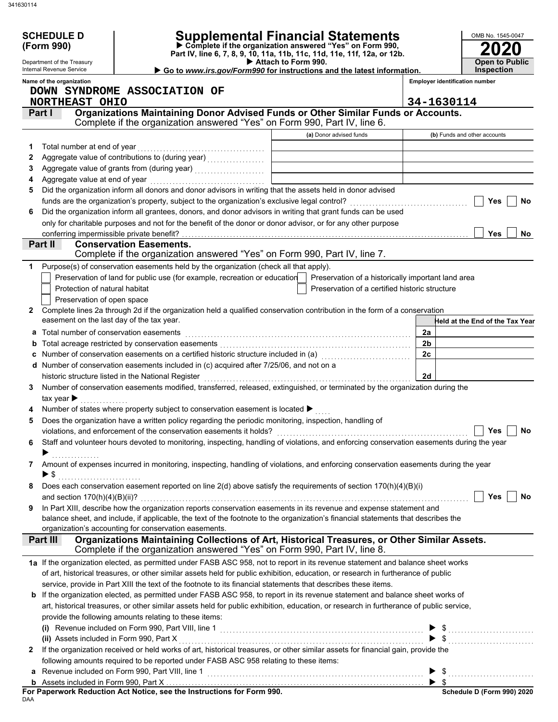|            | <b>SCHEDULE D</b>              |                                                                                                                                               |                     |                                                    |                |                                       | OMB No. 1545-0047       |
|------------|--------------------------------|-----------------------------------------------------------------------------------------------------------------------------------------------|---------------------|----------------------------------------------------|----------------|---------------------------------------|-------------------------|
| (Form 990) |                                |                                                                                                                                               |                     | Supplemental Financial Statements                  |                |                                       |                         |
|            | Department of the Treasury     | Part IV, line 6, 7, 8, 9, 10, 11a, 11b, 11c, 11d, 11e, 11f, 12a, or 12b.                                                                      | Attach to Form 990. |                                                    |                |                                       | <b>Open to Public</b>   |
|            | Internal Revenue Service       | Go to www.irs.gov/Form990 for instructions and the latest information.                                                                        |                     |                                                    |                | <b>Inspection</b>                     |                         |
|            | Name of the organization       |                                                                                                                                               |                     |                                                    |                | <b>Employer identification number</b> |                         |
|            |                                | DOWN SYNDROME ASSOCIATION OF                                                                                                                  |                     |                                                    |                |                                       |                         |
|            | <b>NORTHEAST OHIO</b>          | Organizations Maintaining Donor Advised Funds or Other Similar Funds or Accounts.                                                             |                     |                                                    |                | 34-1630114                            |                         |
| Part I     |                                | Complete if the organization answered "Yes" on Form 990, Part IV, line 6.                                                                     |                     |                                                    |                |                                       |                         |
|            |                                |                                                                                                                                               |                     | (a) Donor advised funds                            |                | (b) Funds and other accounts          |                         |
| 1          | Total number at end of year    |                                                                                                                                               |                     |                                                    |                |                                       |                         |
| 2          |                                |                                                                                                                                               |                     |                                                    |                |                                       |                         |
| 3          |                                |                                                                                                                                               |                     |                                                    |                |                                       |                         |
| 4          |                                |                                                                                                                                               |                     |                                                    |                |                                       |                         |
| 5          |                                | Did the organization inform all donors and donor advisors in writing that the assets held in donor advised                                    |                     |                                                    |                |                                       |                         |
|            |                                |                                                                                                                                               |                     |                                                    |                |                                       | <b>Yes</b><br><b>No</b> |
| 6          |                                | Did the organization inform all grantees, donors, and donor advisors in writing that grant funds can be used                                  |                     |                                                    |                |                                       |                         |
|            |                                | only for charitable purposes and not for the benefit of the donor or donor advisor, or for any other purpose                                  |                     |                                                    |                |                                       |                         |
| Part II    |                                | <b>Conservation Easements.</b>                                                                                                                |                     |                                                    |                |                                       | <b>Yes</b><br>No        |
|            |                                | Complete if the organization answered "Yes" on Form 990, Part IV, line 7.                                                                     |                     |                                                    |                |                                       |                         |
|            |                                | Purpose(s) of conservation easements held by the organization (check all that apply).                                                         |                     |                                                    |                |                                       |                         |
|            |                                | Preservation of land for public use (for example, recreation or education                                                                     |                     | Preservation of a historically important land area |                |                                       |                         |
|            | Protection of natural habitat  |                                                                                                                                               |                     | Preservation of a certified historic structure     |                |                                       |                         |
|            | Preservation of open space     |                                                                                                                                               |                     |                                                    |                |                                       |                         |
| 2          |                                | Complete lines 2a through 2d if the organization held a qualified conservation contribution in the form of a conservation                     |                     |                                                    |                |                                       |                         |
|            |                                | easement on the last day of the tax year.                                                                                                     |                     |                                                    |                | Held at the End of the Tax Year       |                         |
|            |                                | a Total number of conservation easements                                                                                                      |                     |                                                    | 2a             |                                       |                         |
| b          |                                |                                                                                                                                               |                     |                                                    | 2 <sub>b</sub> |                                       |                         |
| c          |                                | Number of conservation easements on a certified historic structure included in (a) [11] Number of conservation                                |                     |                                                    | 2c             |                                       |                         |
|            |                                | d Number of conservation easements included in (c) acquired after 7/25/06, and not on a<br>historic structure listed in the National Register |                     |                                                    | 2d             |                                       |                         |
| 3          |                                | Number of conservation easements modified, transferred, released, extinguished, or terminated by the organization during the                  |                     |                                                    |                |                                       |                         |
|            | tax year $\blacktriangleright$ |                                                                                                                                               |                     |                                                    |                |                                       |                         |
|            |                                | Number of states where property subject to conservation easement is located $\blacktriangleright$                                             |                     |                                                    |                |                                       |                         |
|            |                                | Does the organization have a written policy regarding the periodic monitoring, inspection, handling of                                        |                     |                                                    |                |                                       |                         |
|            |                                | violations, and enforcement of the conservation easements it holds?                                                                           |                     |                                                    |                |                                       | Yes<br>No               |
| 6          |                                | Staff and volunteer hours devoted to monitoring, inspecting, handling of violations, and enforcing conservation easements during the year     |                     |                                                    |                |                                       |                         |
|            |                                |                                                                                                                                               |                     |                                                    |                |                                       |                         |
| 7          |                                | Amount of expenses incurred in monitoring, inspecting, handling of violations, and enforcing conservation easements during the year           |                     |                                                    |                |                                       |                         |
| ▶ \$       |                                |                                                                                                                                               |                     |                                                    |                |                                       |                         |
| 8          |                                | Does each conservation easement reported on line 2(d) above satisfy the requirements of section 170(h)(4)(B)(i)                               |                     |                                                    |                |                                       | Yes<br><b>No</b>        |
| 9          |                                | In Part XIII, describe how the organization reports conservation easements in its revenue and expense statement and                           |                     |                                                    |                |                                       |                         |
|            |                                | balance sheet, and include, if applicable, the text of the footnote to the organization's financial statements that describes the             |                     |                                                    |                |                                       |                         |
|            |                                | organization's accounting for conservation easements.                                                                                         |                     |                                                    |                |                                       |                         |
| Part III   |                                | Organizations Maintaining Collections of Art, Historical Treasures, or Other Similar Assets.                                                  |                     |                                                    |                |                                       |                         |
|            |                                | Complete if the organization answered "Yes" on Form 990, Part IV, line 8.                                                                     |                     |                                                    |                |                                       |                         |
|            |                                | 1a If the organization elected, as permitted under FASB ASC 958, not to report in its revenue statement and balance sheet works               |                     |                                                    |                |                                       |                         |
|            |                                | of art, historical treasures, or other similar assets held for public exhibition, education, or research in furtherance of public             |                     |                                                    |                |                                       |                         |
|            |                                | service, provide in Part XIII the text of the footnote to its financial statements that describes these items.                                |                     |                                                    |                |                                       |                         |
|            |                                | b If the organization elected, as permitted under FASB ASC 958, to report in its revenue statement and balance sheet works of                 |                     |                                                    |                |                                       |                         |
|            |                                | art, historical treasures, or other similar assets held for public exhibition, education, or research in furtherance of public service,       |                     |                                                    |                |                                       |                         |
|            |                                | provide the following amounts relating to these items:<br>(i) Revenue included on Form 990, Part VIII, line 1                                 |                     |                                                    |                |                                       |                         |
|            |                                | (ii) Assets included in Form 990, Part X                                                                                                      |                     |                                                    |                |                                       |                         |
| 2          |                                | If the organization received or held works of art, historical treasures, or other similar assets for financial gain, provide the              |                     |                                                    |                |                                       |                         |
|            |                                | following amounts required to be reported under FASB ASC 958 relating to these items:                                                         |                     |                                                    |                |                                       |                         |
| а          |                                | Revenue included on Form 990, Part VIII, line 1                                                                                               |                     |                                                    |                |                                       |                         |
|            |                                |                                                                                                                                               |                     |                                                    |                |                                       |                         |

| For Paperwork Reduction Act Notice, see the Instructions for Form 990. |  |  |
|------------------------------------------------------------------------|--|--|
| DAA                                                                    |  |  |

341630114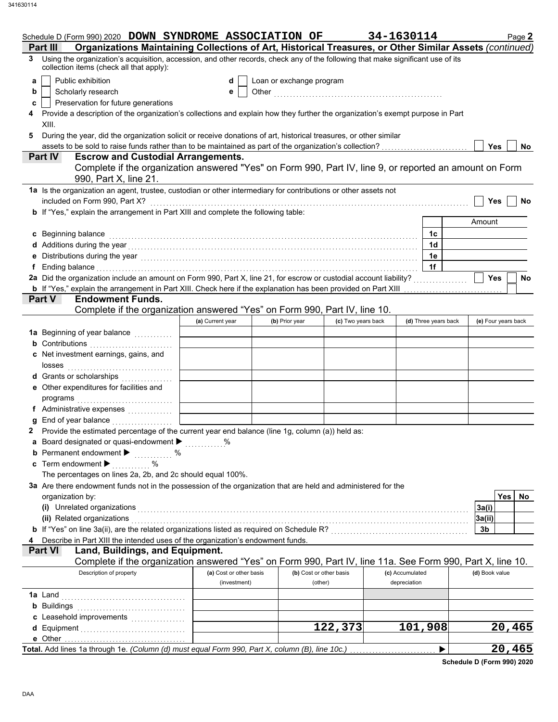| Schedule D (Form 990) 2020 DOWN SYNDROME ASSOCIATION OF                                                                                                                                                                        |                         |                          |                         | 34-1630114                                        | Page 2              |
|--------------------------------------------------------------------------------------------------------------------------------------------------------------------------------------------------------------------------------|-------------------------|--------------------------|-------------------------|---------------------------------------------------|---------------------|
| Organizations Maintaining Collections of Art, Historical Treasures, or Other Similar Assets (continued)<br><b>Part III</b>                                                                                                     |                         |                          |                         |                                                   |                     |
| Using the organization's acquisition, accession, and other records, check any of the following that make significant use of its<br>3<br>collection items (check all that apply):                                               |                         |                          |                         |                                                   |                     |
| Public exhibition<br>a                                                                                                                                                                                                         | d                       | Loan or exchange program |                         |                                                   |                     |
| Scholarly research<br>b                                                                                                                                                                                                        | е                       |                          |                         | Other <b>Other CONSERVING THE CONSERVING TERM</b> |                     |
| Preservation for future generations<br>c                                                                                                                                                                                       |                         |                          |                         |                                                   |                     |
| Provide a description of the organization's collections and explain how they further the organization's exempt purpose in Part<br>4                                                                                            |                         |                          |                         |                                                   |                     |
| XIII.                                                                                                                                                                                                                          |                         |                          |                         |                                                   |                     |
| During the year, did the organization solicit or receive donations of art, historical treasures, or other similar<br>5                                                                                                         |                         |                          |                         |                                                   |                     |
|                                                                                                                                                                                                                                |                         |                          |                         |                                                   | Yes<br>No.          |
| Part IV<br><b>Escrow and Custodial Arrangements.</b>                                                                                                                                                                           |                         |                          |                         |                                                   |                     |
| Complete if the organization answered "Yes" on Form 990, Part IV, line 9, or reported an amount on Form                                                                                                                        |                         |                          |                         |                                                   |                     |
| 990, Part X, line 21.                                                                                                                                                                                                          |                         |                          |                         |                                                   |                     |
| 1a Is the organization an agent, trustee, custodian or other intermediary for contributions or other assets not                                                                                                                |                         |                          |                         |                                                   |                     |
| included on Form 990, Part X?                                                                                                                                                                                                  |                         |                          |                         |                                                   | Yes<br>No           |
| b If "Yes," explain the arrangement in Part XIII and complete the following table:                                                                                                                                             |                         |                          |                         |                                                   |                     |
|                                                                                                                                                                                                                                |                         |                          |                         |                                                   | Amount              |
| c Beginning balance                                                                                                                                                                                                            |                         |                          |                         | 1c                                                |                     |
|                                                                                                                                                                                                                                |                         |                          |                         | 1 <sub>d</sub>                                    |                     |
|                                                                                                                                                                                                                                |                         |                          |                         |                                                   |                     |
|                                                                                                                                                                                                                                |                         |                          |                         | 1e                                                |                     |
| f Ending balance encourance and a series of the contract of the contract of the contract of the contract of the contract of the contract of the contract of the contract of the contract of the contract of the contract of th |                         |                          |                         | 1f                                                |                     |
| 2a Did the organization include an amount on Form 990, Part X, line 21, for escrow or custodial account liability?                                                                                                             |                         |                          |                         |                                                   | Yes<br>No           |
| <b>b</b> If "Yes," explain the arrangement in Part XIII. Check here if the explanation has been provided on Part XIII                                                                                                          |                         |                          |                         |                                                   |                     |
| Part V<br><b>Endowment Funds.</b>                                                                                                                                                                                              |                         |                          |                         |                                                   |                     |
| Complete if the organization answered "Yes" on Form 990, Part IV, line 10.                                                                                                                                                     |                         |                          |                         |                                                   |                     |
|                                                                                                                                                                                                                                | (a) Current year        | (b) Prior year           | (c) Two years back      | (d) Three years back                              | (e) Four years back |
| 1a Beginning of year balance                                                                                                                                                                                                   |                         |                          |                         |                                                   |                     |
| <b>b</b> Contributions <b>contributions</b>                                                                                                                                                                                    |                         |                          |                         |                                                   |                     |
| c Net investment earnings, gains, and                                                                                                                                                                                          |                         |                          |                         |                                                   |                     |
| losses                                                                                                                                                                                                                         |                         |                          |                         |                                                   |                     |
| d Grants or scholarships                                                                                                                                                                                                       |                         |                          |                         |                                                   |                     |
| e Other expenditures for facilities and                                                                                                                                                                                        |                         |                          |                         |                                                   |                     |
| programs                                                                                                                                                                                                                       |                         |                          |                         |                                                   |                     |
| f Administrative expenses                                                                                                                                                                                                      |                         |                          |                         |                                                   |                     |
|                                                                                                                                                                                                                                |                         |                          |                         |                                                   |                     |
| Provide the estimated percentage of the current year end balance (line 1g, column (a)) held as:<br>2                                                                                                                           |                         |                          |                         |                                                   |                     |
| a Board designated or quasi-endowment >                                                                                                                                                                                        | ℅                       |                          |                         |                                                   |                     |
| Permanent endowment ▶                                                                                                                                                                                                          |                         |                          |                         |                                                   |                     |
| $\%$<br>c Term endowment $\blacktriangleright$                                                                                                                                                                                 |                         |                          |                         |                                                   |                     |
| The percentages on lines 2a, 2b, and 2c should equal 100%.                                                                                                                                                                     |                         |                          |                         |                                                   |                     |
| 3a Are there endowment funds not in the possession of the organization that are held and administered for the                                                                                                                  |                         |                          |                         |                                                   |                     |
|                                                                                                                                                                                                                                |                         |                          |                         |                                                   | Yes                 |
| organization by:                                                                                                                                                                                                               |                         |                          |                         |                                                   | No.                 |
| (i) Unrelated organizations                                                                                                                                                                                                    |                         |                          |                         |                                                   | 3a(i)               |
| (ii) Related organizations                                                                                                                                                                                                     |                         |                          |                         |                                                   | 3a(ii)              |
| b If "Yes" on line 3a(ii), are the related organizations listed as required on Schedule R? [[[[[[[[[[[[[[[[[[[                                                                                                                 |                         |                          |                         |                                                   | 3b                  |
| Describe in Part XIII the intended uses of the organization's endowment funds.                                                                                                                                                 |                         |                          |                         |                                                   |                     |
| Land, Buildings, and Equipment.<br><b>Part VI</b>                                                                                                                                                                              |                         |                          |                         |                                                   |                     |
| Complete if the organization answered "Yes" on Form 990, Part IV, line 11a. See Form 990, Part X, line 10.                                                                                                                     |                         |                          |                         |                                                   |                     |
| Description of property                                                                                                                                                                                                        | (a) Cost or other basis |                          | (b) Cost or other basis | (c) Accumulated                                   | (d) Book value      |
|                                                                                                                                                                                                                                | (investment)            |                          | (other)                 | depreciation                                      |                     |
| 1a Land                                                                                                                                                                                                                        |                         |                          |                         |                                                   |                     |
|                                                                                                                                                                                                                                |                         |                          |                         |                                                   |                     |
|                                                                                                                                                                                                                                |                         |                          |                         |                                                   |                     |
|                                                                                                                                                                                                                                |                         |                          | 122,373                 | 101,908                                           | 20,465              |
|                                                                                                                                                                                                                                |                         |                          |                         |                                                   |                     |
|                                                                                                                                                                                                                                |                         |                          |                         |                                                   | 20,465<br>▶         |

**Schedule D (Form 990) 2020**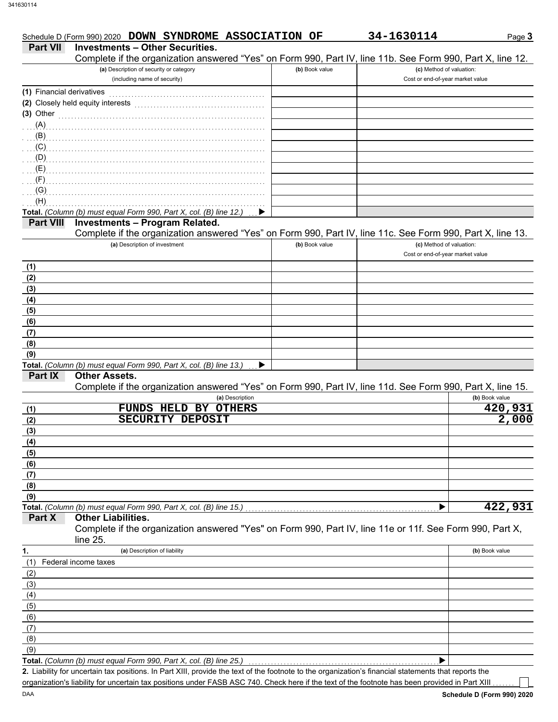| <b>Part VII</b>                        | Schedule D (Form 990) 2020 DOWN SYNDROME ASSOCIATION OF                                                                                              |                | 34-1630114                       | Page 3               |
|----------------------------------------|------------------------------------------------------------------------------------------------------------------------------------------------------|----------------|----------------------------------|----------------------|
|                                        | <b>Investments - Other Securities.</b><br>Complete if the organization answered "Yes" on Form 990, Part IV, line 11b. See Form 990, Part X, line 12. |                |                                  |                      |
|                                        | (a) Description of security or category                                                                                                              | (b) Book value | (c) Method of valuation:         |                      |
|                                        | (including name of security)                                                                                                                         |                | Cost or end-of-year market value |                      |
| (1) Financial derivatives              |                                                                                                                                                      |                |                                  |                      |
|                                        | (2) Closely held equity interests                                                                                                                    |                |                                  |                      |
| $(3)$ Other                            |                                                                                                                                                      |                |                                  |                      |
| (A)                                    |                                                                                                                                                      |                |                                  |                      |
|                                        |                                                                                                                                                      |                |                                  |                      |
| $(C)$ (C)                              |                                                                                                                                                      |                |                                  |                      |
| $\ldots$ (D) $\ldots$                  |                                                                                                                                                      |                |                                  |                      |
| $\ldots$ (E) $\ldots$                  |                                                                                                                                                      |                |                                  |                      |
| $\ldots$ (F) $\ldots$<br>(G)           |                                                                                                                                                      |                |                                  |                      |
| (H)                                    |                                                                                                                                                      |                |                                  |                      |
|                                        | Total. (Column (b) must equal Form 990, Part X, col. (B) line 12.)                                                                                   |                |                                  |                      |
| <b>Part VIII</b>                       | <b>Investments - Program Related.</b>                                                                                                                |                |                                  |                      |
|                                        | Complete if the organization answered "Yes" on Form 990, Part IV, line 11c. See Form 990, Part X, line 13.                                           |                |                                  |                      |
|                                        | (a) Description of investment                                                                                                                        | (b) Book value | (c) Method of valuation:         |                      |
|                                        |                                                                                                                                                      |                | Cost or end-of-year market value |                      |
| (1)                                    |                                                                                                                                                      |                |                                  |                      |
| (2)                                    |                                                                                                                                                      |                |                                  |                      |
| (3)                                    |                                                                                                                                                      |                |                                  |                      |
| (4)                                    |                                                                                                                                                      |                |                                  |                      |
| (5)                                    |                                                                                                                                                      |                |                                  |                      |
| (6)                                    |                                                                                                                                                      |                |                                  |                      |
| (7)                                    |                                                                                                                                                      |                |                                  |                      |
| (8)                                    |                                                                                                                                                      |                |                                  |                      |
| (9)                                    |                                                                                                                                                      |                |                                  |                      |
|                                        | Total. (Column (b) must equal Form 990, Part X, col. (B) line 13.)                                                                                   | ▶              |                                  |                      |
| Part IX                                | <b>Other Assets.</b><br>Complete if the organization answered "Yes" on Form 990, Part IV, line 11d. See Form 990, Part X, line 15.                   |                |                                  |                      |
|                                        | (a) Description                                                                                                                                      |                |                                  | (b) Book value       |
| (1)                                    | FUNDS HELD BY OTHERS                                                                                                                                 |                |                                  | 420,931              |
| (2)                                    | SECURITY DEPOSIT                                                                                                                                     |                |                                  |                      |
|                                        |                                                                                                                                                      |                |                                  |                      |
|                                        |                                                                                                                                                      |                |                                  |                      |
|                                        |                                                                                                                                                      |                |                                  |                      |
|                                        |                                                                                                                                                      |                |                                  |                      |
|                                        |                                                                                                                                                      |                |                                  |                      |
|                                        |                                                                                                                                                      |                |                                  |                      |
|                                        |                                                                                                                                                      |                |                                  |                      |
| (3)<br>(4)<br>(5)<br>(6)<br>(7)<br>(8) |                                                                                                                                                      |                |                                  | $\overline{2}$ ,000  |
| (9)                                    | Total. (Column (b) must equal Form 990, Part X, col. (B) line 15.)                                                                                   |                |                                  | $4\overline{22,931}$ |
| Part X                                 | <b>Other Liabilities.</b>                                                                                                                            |                |                                  |                      |
|                                        | Complete if the organization answered "Yes" on Form 990, Part IV, line 11e or 11f. See Form 990, Part X,                                             |                |                                  |                      |
|                                        | line 25.                                                                                                                                             |                |                                  |                      |
|                                        | (a) Description of liability                                                                                                                         |                |                                  | (b) Book value       |
|                                        | Federal income taxes                                                                                                                                 |                |                                  |                      |
|                                        |                                                                                                                                                      |                |                                  |                      |
| 1.<br>(1)<br>(2)<br>(3)                |                                                                                                                                                      |                |                                  |                      |
|                                        |                                                                                                                                                      |                |                                  |                      |
| (4)<br>(5)                             |                                                                                                                                                      |                |                                  |                      |
| (6)                                    |                                                                                                                                                      |                |                                  |                      |
|                                        |                                                                                                                                                      |                |                                  |                      |
| (7)<br>(8)<br>(9)                      |                                                                                                                                                      |                |                                  |                      |

Liability for uncertain tax positions. In Part XIII, provide the text of the footnote to the organization's financial statements that reports the **2.** organization's liability for uncertain tax positions under FASB ASC 740. Check here if the text of the footnote has been provided in Part XIII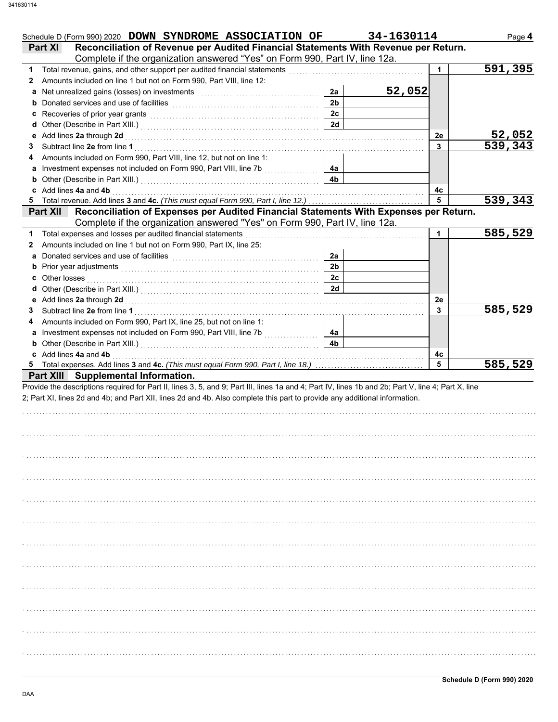| Schedule D (Form 990) 2020 DOWN SYNDROME ASSOCIATION OF<br>Reconciliation of Revenue per Audited Financial Statements With Revenue per Return.<br>Part XI                                                                           |                      | 34-1630114 |         | Page 4                   |
|-------------------------------------------------------------------------------------------------------------------------------------------------------------------------------------------------------------------------------------|----------------------|------------|---------|--------------------------|
| Complete if the organization answered "Yes" on Form 990, Part IV, line 12a.                                                                                                                                                         |                      |            |         |                          |
| Total revenue, gains, and other support per audited financial statements                                                                                                                                                            |                      |            | 1       | 591,395                  |
| Amounts included on line 1 but not on Form 990, Part VIII, line 12:<br>$\mathbf{2}$                                                                                                                                                 |                      |            |         |                          |
| Net unrealized gains (losses) on investments [11] with the uncontraction of the uncontraction of the uncontraction of the uncontraction of the uncontraction of the uncontraction of the uncontraction of the uncontraction of<br>a | 2a                   | 52,052     |         |                          |
|                                                                                                                                                                                                                                     | 2 <sub>b</sub>       |            |         |                          |
| c Recoveries of prior year grants [11] resonance contracts and resonance contracts and resonance contracts are resonance contracts and resonance contracts are resonance contracts and resonance contracts are resonance contr      | 2c                   |            |         |                          |
|                                                                                                                                                                                                                                     | 2d                   |            |         |                          |
| Add lines 2a through 2d [[[[[[[[[[[[[[[[[[[[[[[[[]]]]]]]]]] Add lines 2a through 2d                                                                                                                                                 |                      |            | 2e      | $\frac{52,052}{539,343}$ |
| 3                                                                                                                                                                                                                                   |                      |            | 3       |                          |
| Amounts included on Form 990, Part VIII, line 12, but not on line 1:                                                                                                                                                                |                      |            |         |                          |
| Investment expenses not included on Form 990, Part VIII, line 7b [[[[[[[[[[[[[[[[[[[[[[[[[]]]]]]]]]                                                                                                                                 | 4a                   |            |         |                          |
|                                                                                                                                                                                                                                     | 4 <sub>b</sub>       |            |         |                          |
| c Add lines 4a and 4b                                                                                                                                                                                                               |                      |            | 4с      |                          |
|                                                                                                                                                                                                                                     |                      |            | 5       | 539,343                  |
| Reconciliation of Expenses per Audited Financial Statements With Expenses per Return.<br>Part XII                                                                                                                                   |                      |            |         |                          |
| Complete if the organization answered "Yes" on Form 990, Part IV, line 12a.                                                                                                                                                         |                      |            |         |                          |
| Total expenses and losses per audited financial statements                                                                                                                                                                          |                      |            | 1.      | 585,529                  |
| Amounts included on line 1 but not on Form 990, Part IX, line 25:<br>2                                                                                                                                                              |                      |            |         |                          |
| Donated services and use of facilities<br>a                                                                                                                                                                                         | 2a                   |            |         |                          |
| b Prior year adjustments <b>contained</b> and the contained and the contained and contained and prior of the contained and contained and contained and contained and contained and contained and contained and contained and contai | 2 <sub>b</sub>       |            |         |                          |
| c Other losses                                                                                                                                                                                                                      | 2c                   |            |         |                          |
|                                                                                                                                                                                                                                     | 2d                   |            |         |                          |
| Add lines 2a through 2d [11, 12] Add lines 2a through 2d [11, 12] Add lines 2a through 2d [11, 12] Add lines 2                                                                                                                      |                      |            | 2e      |                          |
| 3                                                                                                                                                                                                                                   |                      |            | 3       | 585,529                  |
| Amounts included on Form 990, Part IX, line 25, but not on line 1:                                                                                                                                                                  |                      |            |         |                          |
| a Investment expenses not included on Form 990, Part VIII, line 7b                                                                                                                                                                  | 4a<br>4 <sub>b</sub> |            |         |                          |
| c Add lines 4a and 4b                                                                                                                                                                                                               |                      |            |         |                          |
| 5 Total expenses. Add lines 3 and 4c. (This must equal Form 990, Part I, line 18.)                                                                                                                                                  |                      |            | 4c<br>5 | 585,529                  |
| Part XIII Supplemental Information.                                                                                                                                                                                                 |                      |            |         |                          |
| 2; Part XI, lines 2d and 4b; and Part XII, lines 2d and 4b. Also complete this part to provide any additional information.                                                                                                          |                      |            |         |                          |
|                                                                                                                                                                                                                                     |                      |            |         |                          |
|                                                                                                                                                                                                                                     |                      |            |         |                          |
|                                                                                                                                                                                                                                     |                      |            |         |                          |
|                                                                                                                                                                                                                                     |                      |            |         |                          |
|                                                                                                                                                                                                                                     |                      |            |         |                          |
|                                                                                                                                                                                                                                     |                      |            |         |                          |
|                                                                                                                                                                                                                                     |                      |            |         |                          |
|                                                                                                                                                                                                                                     |                      |            |         |                          |
|                                                                                                                                                                                                                                     |                      |            |         |                          |
|                                                                                                                                                                                                                                     |                      |            |         |                          |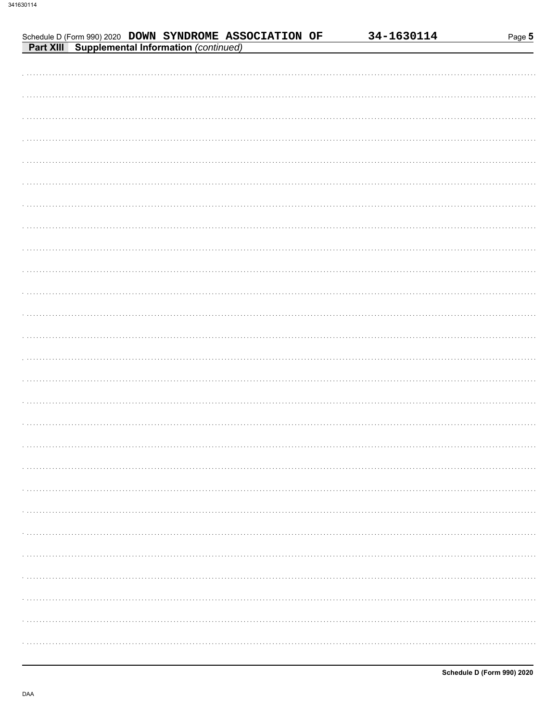| Schedule D (Form 990) 2020 DOWN SYNDROME ASSOCIATION OF Part XIII Supplemental Information (continued) | 34-1630114 | Page 5 |
|--------------------------------------------------------------------------------------------------------|------------|--------|
|                                                                                                        |            |        |
|                                                                                                        |            |        |
|                                                                                                        |            |        |
|                                                                                                        |            |        |
|                                                                                                        |            |        |
|                                                                                                        |            |        |
|                                                                                                        |            |        |
|                                                                                                        |            |        |
|                                                                                                        |            |        |
|                                                                                                        |            |        |
|                                                                                                        |            |        |
|                                                                                                        |            |        |
|                                                                                                        |            |        |
|                                                                                                        |            |        |
|                                                                                                        |            |        |
|                                                                                                        |            |        |
|                                                                                                        |            |        |
|                                                                                                        |            |        |
|                                                                                                        |            |        |
|                                                                                                        |            |        |
|                                                                                                        |            |        |
|                                                                                                        |            |        |
|                                                                                                        |            |        |
|                                                                                                        |            |        |
|                                                                                                        |            |        |
|                                                                                                        |            |        |
|                                                                                                        |            |        |
|                                                                                                        |            |        |
|                                                                                                        |            |        |
|                                                                                                        |            |        |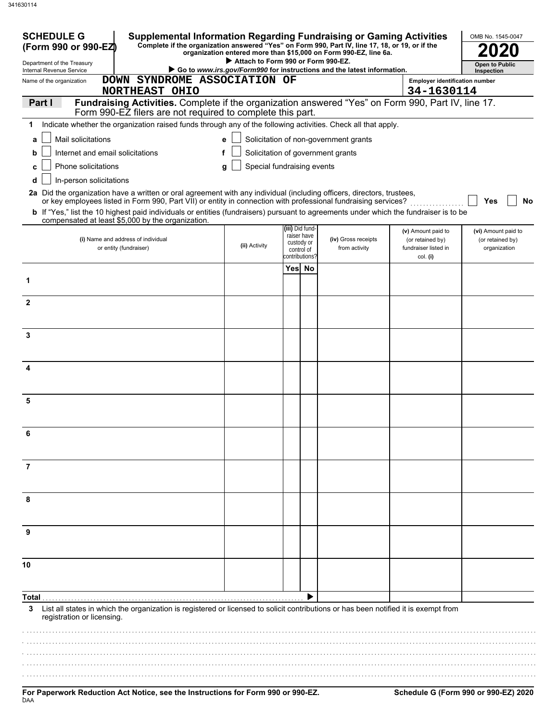| <b>SCHEDULE G</b><br><b>Supplemental Information Regarding Fundraising or Gaming Activities</b><br>Complete if the organization answered "Yes" on Form 990, Part IV, line 17, 18, or 19, or if the<br>(Form 990 or 990-EZ)               |                                    |                              |                                                                        |                                                     | OMB No. 1545-0047                       |
|------------------------------------------------------------------------------------------------------------------------------------------------------------------------------------------------------------------------------------------|------------------------------------|------------------------------|------------------------------------------------------------------------|-----------------------------------------------------|-----------------------------------------|
|                                                                                                                                                                                                                                          | Attach to Form 990 or Form 990-EZ. |                              | organization entered more than \$15,000 on Form 990-EZ, line 6a.       |                                                     |                                         |
| Department of the Treasury<br>Internal Revenue Service                                                                                                                                                                                   |                                    |                              | Go to www.irs.gov/Form990 for instructions and the latest information. |                                                     | <b>Open to Public</b><br>Inspection     |
| DOWN SYNDROME ASSOCIATION OF<br>Name of the organization<br><b>NORTHEAST OHIO</b>                                                                                                                                                        |                                    |                              |                                                                        | <b>Employer identification number</b><br>34-1630114 |                                         |
| Fundraising Activities. Complete if the organization answered "Yes" on Form 990, Part IV, line 17.<br>Part I                                                                                                                             |                                    |                              |                                                                        |                                                     |                                         |
| Form 990-EZ filers are not required to complete this part.                                                                                                                                                                               |                                    |                              |                                                                        |                                                     |                                         |
| Indicate whether the organization raised funds through any of the following activities. Check all that apply.<br>1                                                                                                                       |                                    |                              |                                                                        |                                                     |                                         |
| Mail solicitations<br>a                                                                                                                                                                                                                  | e                                  |                              | Solicitation of non-government grants                                  |                                                     |                                         |
| Internet and email solicitations<br>b                                                                                                                                                                                                    | f                                  |                              | Solicitation of government grants                                      |                                                     |                                         |
| Phone solicitations<br>c                                                                                                                                                                                                                 | Special fundraising events<br>a    |                              |                                                                        |                                                     |                                         |
| In-person solicitations<br>d                                                                                                                                                                                                             |                                    |                              |                                                                        |                                                     |                                         |
| 2a Did the organization have a written or oral agreement with any individual (including officers, directors, trustees,<br>or key employees listed in Form 990, Part VII) or entity in connection with professional fundraising services? |                                    |                              |                                                                        |                                                     | Yes<br>No                               |
| b If "Yes," list the 10 highest paid individuals or entities (fundraisers) pursuant to agreements under which the fundraiser is to be                                                                                                    |                                    |                              |                                                                        |                                                     |                                         |
| compensated at least \$5,000 by the organization.                                                                                                                                                                                        |                                    | (iii) Did fund-              |                                                                        |                                                     |                                         |
| (i) Name and address of individual                                                                                                                                                                                                       |                                    | raiser have<br>custody or    | (iv) Gross receipts                                                    | (v) Amount paid to<br>(or retained by)              | (vi) Amount paid to<br>(or retained by) |
| or entity (fundraiser)                                                                                                                                                                                                                   | (ii) Activity                      | control of<br>contributions? | from activity                                                          | fundraiser listed in                                | organization                            |
|                                                                                                                                                                                                                                          |                                    | Yes No                       |                                                                        | col. (i)                                            |                                         |
| 1                                                                                                                                                                                                                                        |                                    |                              |                                                                        |                                                     |                                         |
|                                                                                                                                                                                                                                          |                                    |                              |                                                                        |                                                     |                                         |
| $\mathbf{2}$                                                                                                                                                                                                                             |                                    |                              |                                                                        |                                                     |                                         |
|                                                                                                                                                                                                                                          |                                    |                              |                                                                        |                                                     |                                         |
| 3                                                                                                                                                                                                                                        |                                    |                              |                                                                        |                                                     |                                         |
|                                                                                                                                                                                                                                          |                                    |                              |                                                                        |                                                     |                                         |
|                                                                                                                                                                                                                                          |                                    |                              |                                                                        |                                                     |                                         |
| 4                                                                                                                                                                                                                                        |                                    |                              |                                                                        |                                                     |                                         |
|                                                                                                                                                                                                                                          |                                    |                              |                                                                        |                                                     |                                         |
| 5                                                                                                                                                                                                                                        |                                    |                              |                                                                        |                                                     |                                         |
|                                                                                                                                                                                                                                          |                                    |                              |                                                                        |                                                     |                                         |
|                                                                                                                                                                                                                                          |                                    |                              |                                                                        |                                                     |                                         |
|                                                                                                                                                                                                                                          |                                    |                              |                                                                        |                                                     |                                         |
|                                                                                                                                                                                                                                          |                                    |                              |                                                                        |                                                     |                                         |
| 7                                                                                                                                                                                                                                        |                                    |                              |                                                                        |                                                     |                                         |
|                                                                                                                                                                                                                                          |                                    |                              |                                                                        |                                                     |                                         |
| 8                                                                                                                                                                                                                                        |                                    |                              |                                                                        |                                                     |                                         |
|                                                                                                                                                                                                                                          |                                    |                              |                                                                        |                                                     |                                         |
|                                                                                                                                                                                                                                          |                                    |                              |                                                                        |                                                     |                                         |
| 9                                                                                                                                                                                                                                        |                                    |                              |                                                                        |                                                     |                                         |
|                                                                                                                                                                                                                                          |                                    |                              |                                                                        |                                                     |                                         |
| 10                                                                                                                                                                                                                                       |                                    |                              |                                                                        |                                                     |                                         |
|                                                                                                                                                                                                                                          |                                    |                              |                                                                        |                                                     |                                         |
| Total                                                                                                                                                                                                                                    |                                    |                              |                                                                        |                                                     |                                         |
| List all states in which the organization is registered or licensed to solicit contributions or has been notified it is exempt from<br>3                                                                                                 |                                    |                              |                                                                        |                                                     |                                         |
| registration or licensing.                                                                                                                                                                                                               |                                    |                              |                                                                        |                                                     |                                         |
|                                                                                                                                                                                                                                          |                                    |                              |                                                                        |                                                     |                                         |
|                                                                                                                                                                                                                                          |                                    |                              |                                                                        |                                                     |                                         |
|                                                                                                                                                                                                                                          |                                    |                              |                                                                        |                                                     |                                         |
|                                                                                                                                                                                                                                          |                                    |                              |                                                                        |                                                     |                                         |
|                                                                                                                                                                                                                                          |                                    |                              |                                                                        |                                                     |                                         |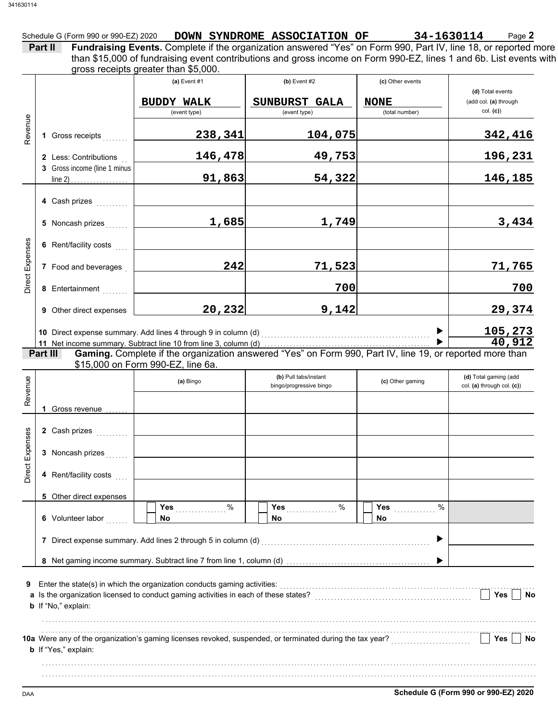# Schedule G (Form 990 or 990-EZ) 2020 **DOWN SYNDROME ASSOCIATION OF 34-1630114** Page 2

| Part II | <b>Fundraising Events.</b> Complete if the organization answered "Yes" on Form 990, Part IV, line 18, or reported more |
|---------|------------------------------------------------------------------------------------------------------------------------|
|         | than \$15,000 of fundraising event contributions and gross income on Form 990-EZ, lines 1 and 6b. List events with     |
|         | gross receipts greater than \$5,000.                                                                                   |

|                 |                                                       | gross receipts greater than \$0,000.                                                                           |                               |                               |                                   |
|-----------------|-------------------------------------------------------|----------------------------------------------------------------------------------------------------------------|-------------------------------|-------------------------------|-----------------------------------|
|                 |                                                       | (a) Event $#1$                                                                                                 | $(b)$ Event #2                | (c) Other events              |                                   |
|                 |                                                       |                                                                                                                |                               |                               | (d) Total events                  |
|                 |                                                       | <b>BUDDY WALK</b><br>(event type)                                                                              | SUNBURST GALA<br>(event type) | <b>NONE</b><br>(total number) | (add col. (a) through<br>col. (c) |
|                 |                                                       |                                                                                                                |                               |                               |                                   |
| Revenue         |                                                       | 238,341                                                                                                        | 104,075                       |                               | 342,416                           |
|                 | 1 Gross receipts                                      |                                                                                                                |                               |                               |                                   |
|                 |                                                       | 146,478                                                                                                        | 49,753                        |                               | 196,231                           |
|                 | 2 Less: Contributions<br>3 Gross income (line 1 minus |                                                                                                                |                               |                               |                                   |
|                 |                                                       | 91,863                                                                                                         | 54,322                        |                               | 146,185                           |
|                 | line 2) $\ldots$                                      |                                                                                                                |                               |                               |                                   |
|                 | 4 Cash prizes                                         |                                                                                                                |                               |                               |                                   |
|                 |                                                       |                                                                                                                |                               |                               |                                   |
|                 | 5 Noncash prizes                                      | 1,685                                                                                                          | 1,749                         |                               | 3,434                             |
|                 |                                                       |                                                                                                                |                               |                               |                                   |
|                 | 6 Rent/facility costs                                 |                                                                                                                |                               |                               |                                   |
|                 |                                                       |                                                                                                                |                               |                               |                                   |
|                 | 7 Food and beverages                                  | 242                                                                                                            | 71,523                        |                               | 71,765                            |
|                 |                                                       |                                                                                                                |                               |                               |                                   |
| Direct Expenses | 8 Entertainment                                       |                                                                                                                | 700                           |                               | 700                               |
|                 |                                                       |                                                                                                                |                               |                               |                                   |
|                 | <b>9</b> Other direct expenses                        | 20,232                                                                                                         | 9,142                         |                               | 29,374                            |
|                 |                                                       |                                                                                                                |                               |                               |                                   |
|                 |                                                       | 10 Direct expense summary. Add lines 4 through 9 in column (d) [11] content to content the summary of Direct P |                               | ▶                             | 105,273                           |
|                 |                                                       |                                                                                                                |                               |                               | 40,912                            |
|                 | Part III                                              | Gaming. Complete if the organization answered "Yes" on Form 990, Part IV, line 19, or reported more than       |                               |                               |                                   |
|                 |                                                       | \$15,000 on Form 990-EZ, line 6a.                                                                              |                               |                               |                                   |
|                 |                                                       | (a) Bingo                                                                                                      | (b) Pull tabs/instant         | (c) Other gaming              | (d) Total gaming (add             |
|                 |                                                       |                                                                                                                | bingo/progressive bingo       |                               | col. (a) through col. (c))        |
| Revenue         |                                                       |                                                                                                                |                               |                               |                                   |
|                 | 1 Gross revenue                                       |                                                                                                                |                               |                               |                                   |
|                 |                                                       |                                                                                                                |                               |                               |                                   |
|                 | 2 Cash prizes<br><u>.</u>                             |                                                                                                                |                               |                               |                                   |
| Direct Expenses |                                                       |                                                                                                                |                               |                               |                                   |
|                 | 3 Noncash prizes                                      |                                                                                                                |                               |                               |                                   |
|                 |                                                       |                                                                                                                |                               |                               |                                   |
|                 | 4 Rent/facility costs                                 |                                                                                                                |                               |                               |                                   |
|                 |                                                       |                                                                                                                |                               |                               |                                   |
|                 | 5 Other direct expenses                               |                                                                                                                |                               |                               |                                   |
|                 |                                                       | %<br>Yes                                                                                                       | %<br>Yes                      | $\%$<br>Yes                   |                                   |
|                 |                                                       |                                                                                                                |                               | No.                           |                                   |
|                 | 6 Volunteer labor                                     | No                                                                                                             | No                            |                               |                                   |
|                 |                                                       |                                                                                                                |                               |                               |                                   |
|                 |                                                       | 7 Direct expense summary. Add lines 2 through 5 in column (d)                                                  |                               |                               |                                   |
|                 |                                                       |                                                                                                                |                               |                               |                                   |
|                 |                                                       |                                                                                                                |                               |                               |                                   |
|                 |                                                       |                                                                                                                |                               |                               |                                   |
|                 |                                                       | Enter the state(s) in which the organization conducts gaming activities:                                       |                               |                               |                                   |
|                 |                                                       | a Is the organization licensed to conduct gaming activities in each of these states?                           |                               |                               | Yes<br>No                         |
|                 | b If "No," explain:                                   |                                                                                                                |                               |                               |                                   |
|                 |                                                       |                                                                                                                |                               |                               |                                   |
|                 |                                                       |                                                                                                                |                               |                               | Yes<br>No                         |
|                 | b If "Yes," explain:                                  | 10a Were any of the organization's gaming licenses revoked, suspended, or terminated during the tax year?      |                               |                               |                                   |
|                 |                                                       |                                                                                                                |                               |                               |                                   |

. . . . . . . . . . . . . . . . . . . . . . . . . . . . . . . . . . . . . . . . . . . . . . . . . . . . . . . . . . . . . . . . . . . . . . . . . . . . . . . . . . . . . . . . . . . . . . . . . . . . . . . . . . . . . . . . . . . . . . . . . . . . . . . . . . . . . . . . . . . . . . . . . . . . . . . . . . .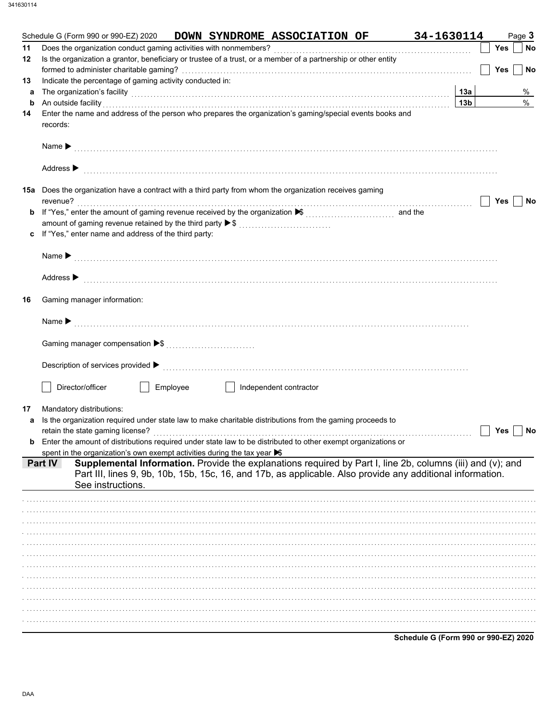|    | Schedule G (Form 990 or 990-EZ) 2020 DOWN SYNDROME ASSOCIATION OF                                                                                                                                                                                               | 34-1630114                           |                 |            | Page 3 |      |
|----|-----------------------------------------------------------------------------------------------------------------------------------------------------------------------------------------------------------------------------------------------------------------|--------------------------------------|-----------------|------------|--------|------|
| 11 | Does the organization conduct gaming activities with nonmembers?                                                                                                                                                                                                |                                      |                 | <b>Yes</b> |        | No   |
| 12 | Is the organization a grantor, beneficiary or trustee of a trust, or a member of a partnership or other entity                                                                                                                                                  |                                      |                 | Yes        |        | No   |
| 13 | Indicate the percentage of gaming activity conducted in:                                                                                                                                                                                                        |                                      |                 |            |        |      |
| a  | The organization's facility with the contract of the contract of the contract of the contract of the contract of the contract of the contract of the contract of the contract of the contract of the contract of the contract                                   |                                      | 13a             |            |        | %    |
| b  | An outside facility                                                                                                                                                                                                                                             |                                      | 13 <sub>b</sub> |            |        | $\%$ |
| 14 | Enter the name and address of the person who prepares the organization's gaming/special events books and<br>records:                                                                                                                                            |                                      |                 |            |        |      |
|    | Name $\blacktriangleright$                                                                                                                                                                                                                                      |                                      |                 |            |        |      |
|    | Address $\blacktriangleright$                                                                                                                                                                                                                                   |                                      |                 |            |        |      |
|    | 15a Does the organization have a contract with a third party from whom the organization receives gaming<br>revenue?                                                                                                                                             |                                      |                 | Yes        |        | No   |
| b  | If "Yes," enter the amount of gaming revenue received by the organization ▶ [ <i>[[[[[[[]]</i> ]]                                                                                                                                                               |                                      |                 |            |        |      |
|    | amount of gaming revenue retained by the third party ▶ \$                                                                                                                                                                                                       |                                      |                 |            |        |      |
| C  | If "Yes," enter name and address of the third party:                                                                                                                                                                                                            |                                      |                 |            |        |      |
|    |                                                                                                                                                                                                                                                                 |                                      |                 |            |        |      |
|    | Name > 2000 compared to the contract of the contract of the contract of the contract of the contract of the contract of the contract of the contract of the contract of the contract of the contract of the contract of the co                                  |                                      |                 |            |        |      |
|    |                                                                                                                                                                                                                                                                 |                                      |                 |            |        |      |
|    | Address ▶                                                                                                                                                                                                                                                       |                                      |                 |            |        |      |
| 16 | Gaming manager information:                                                                                                                                                                                                                                     |                                      |                 |            |        |      |
|    | Name $\blacktriangleright$                                                                                                                                                                                                                                      |                                      |                 |            |        |      |
|    |                                                                                                                                                                                                                                                                 |                                      |                 |            |        |      |
|    |                                                                                                                                                                                                                                                                 |                                      |                 |            |        |      |
|    | Director/officer<br>Employee<br>Independent contractor                                                                                                                                                                                                          |                                      |                 |            |        |      |
| 17 | Mandatory distributions:                                                                                                                                                                                                                                        |                                      |                 |            |        |      |
| a  | Is the organization required under state law to make charitable distributions from the gaming proceeds to                                                                                                                                                       |                                      |                 |            |        |      |
|    | retain the state gaming license?                                                                                                                                                                                                                                |                                      |                 | <b>Yes</b> |        | No   |
|    | <b>b</b> Enter the amount of distributions required under state law to be distributed to other exempt organizations or                                                                                                                                          |                                      |                 |            |        |      |
|    | spent in the organization's own exempt activities during the tax year $\blacktriangleright$                                                                                                                                                                     |                                      |                 |            |        |      |
|    | Supplemental Information. Provide the explanations required by Part I, line 2b, columns (iii) and (v); and<br><b>Part IV</b><br>Part III, lines 9, 9b, 10b, 15b, 15c, 16, and 17b, as applicable. Also provide any additional information.<br>See instructions. |                                      |                 |            |        |      |
|    |                                                                                                                                                                                                                                                                 |                                      |                 |            |        |      |
|    |                                                                                                                                                                                                                                                                 |                                      |                 |            |        |      |
|    |                                                                                                                                                                                                                                                                 |                                      |                 |            |        |      |
|    |                                                                                                                                                                                                                                                                 |                                      |                 |            |        |      |
|    |                                                                                                                                                                                                                                                                 |                                      |                 |            |        |      |
|    |                                                                                                                                                                                                                                                                 |                                      |                 |            |        |      |
|    |                                                                                                                                                                                                                                                                 |                                      |                 |            |        |      |
|    |                                                                                                                                                                                                                                                                 |                                      |                 |            |        |      |
|    |                                                                                                                                                                                                                                                                 |                                      |                 |            |        |      |
|    |                                                                                                                                                                                                                                                                 |                                      |                 |            |        |      |
|    |                                                                                                                                                                                                                                                                 |                                      |                 |            |        |      |
|    |                                                                                                                                                                                                                                                                 |                                      |                 |            |        |      |
|    |                                                                                                                                                                                                                                                                 | Schodule G (Form 990 or 990 F7) 2020 |                 |            |        |      |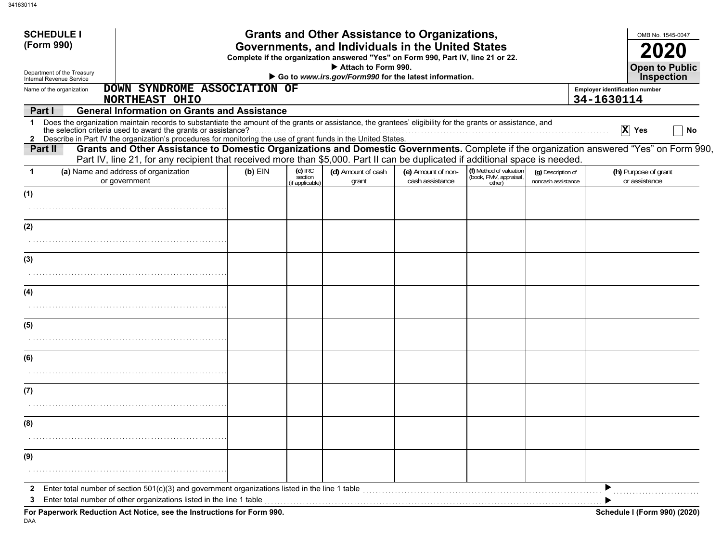341630114

| <b>SCHEDULE I</b><br>(Form 990)                        |                                                                                                                                                                                                                                                                                                                                                 |           |                                         | <b>Grants and Other Assistance to Organizations,</b><br>Governments, and Individuals in the United States<br>Complete if the organization answered "Yes" on Form 990, Part IV, line 21 or 22.<br>Attach to Form 990. |                                       |                                                             |                                          |                                       | OMB No. 1545-0047<br>2020<br><b>Open to Public</b> |    |
|--------------------------------------------------------|-------------------------------------------------------------------------------------------------------------------------------------------------------------------------------------------------------------------------------------------------------------------------------------------------------------------------------------------------|-----------|-----------------------------------------|----------------------------------------------------------------------------------------------------------------------------------------------------------------------------------------------------------------------|---------------------------------------|-------------------------------------------------------------|------------------------------------------|---------------------------------------|----------------------------------------------------|----|
| Department of the Treasury<br>Internal Revenue Service |                                                                                                                                                                                                                                                                                                                                                 |           |                                         | Go to www.irs.gov/Form990 for the latest information.                                                                                                                                                                |                                       |                                                             |                                          |                                       | <b>Inspection</b>                                  |    |
| Name of the organization                               | DOWN SYNDROME ASSOCIATION OF                                                                                                                                                                                                                                                                                                                    |           |                                         |                                                                                                                                                                                                                      |                                       |                                                             |                                          | <b>Employer identification number</b> |                                                    |    |
| Part I                                                 | NORTHEAST OHIO<br><b>General Information on Grants and Assistance</b>                                                                                                                                                                                                                                                                           |           |                                         |                                                                                                                                                                                                                      |                                       |                                                             |                                          | 34-1630114                            |                                                    |    |
| 1                                                      | Does the organization maintain records to substantiate the amount of the grants or assistance, the grantees' eligibility for the grants or assistance, and<br>The selection criteria used to award the grants or assistance?<br>2 Describe in Part IV the organization's procedures for monitoring the use of grant funds in the United States. |           |                                         |                                                                                                                                                                                                                      |                                       |                                                             |                                          |                                       | $ \mathbf{X} $ Yes                                 | No |
| Part II                                                | Grants and Other Assistance to Domestic Organizations and Domestic Governments. Complete if the organization answered "Yes" on Form 990,<br>Part IV, line 21, for any recipient that received more than \$5,000. Part II can be duplicated if additional space is needed.                                                                       |           |                                         |                                                                                                                                                                                                                      |                                       |                                                             |                                          |                                       |                                                    |    |
| $\mathbf{1}$                                           | (a) Name and address of organization<br>or government                                                                                                                                                                                                                                                                                           | $(b)$ EIN | $(c)$ IRC<br>section<br>(if applicable) | (d) Amount of cash<br>grant                                                                                                                                                                                          | (e) Amount of non-<br>cash assistance | (f) Method of valuation<br>(book, FMV, appraisal,<br>other) | (g) Description of<br>noncash assistance |                                       | (h) Purpose of grant<br>or assistance              |    |
| (1)                                                    |                                                                                                                                                                                                                                                                                                                                                 |           |                                         |                                                                                                                                                                                                                      |                                       |                                                             |                                          |                                       |                                                    |    |
|                                                        |                                                                                                                                                                                                                                                                                                                                                 |           |                                         |                                                                                                                                                                                                                      |                                       |                                                             |                                          |                                       |                                                    |    |
| (2)                                                    |                                                                                                                                                                                                                                                                                                                                                 |           |                                         |                                                                                                                                                                                                                      |                                       |                                                             |                                          |                                       |                                                    |    |
| (3)                                                    |                                                                                                                                                                                                                                                                                                                                                 |           |                                         |                                                                                                                                                                                                                      |                                       |                                                             |                                          |                                       |                                                    |    |
|                                                        |                                                                                                                                                                                                                                                                                                                                                 |           |                                         |                                                                                                                                                                                                                      |                                       |                                                             |                                          |                                       |                                                    |    |
| (4)                                                    |                                                                                                                                                                                                                                                                                                                                                 |           |                                         |                                                                                                                                                                                                                      |                                       |                                                             |                                          |                                       |                                                    |    |
|                                                        |                                                                                                                                                                                                                                                                                                                                                 |           |                                         |                                                                                                                                                                                                                      |                                       |                                                             |                                          |                                       |                                                    |    |
| (5)                                                    |                                                                                                                                                                                                                                                                                                                                                 |           |                                         |                                                                                                                                                                                                                      |                                       |                                                             |                                          |                                       |                                                    |    |
| (6)                                                    |                                                                                                                                                                                                                                                                                                                                                 |           |                                         |                                                                                                                                                                                                                      |                                       |                                                             |                                          |                                       |                                                    |    |
|                                                        |                                                                                                                                                                                                                                                                                                                                                 |           |                                         |                                                                                                                                                                                                                      |                                       |                                                             |                                          |                                       |                                                    |    |
| (7)                                                    |                                                                                                                                                                                                                                                                                                                                                 |           |                                         |                                                                                                                                                                                                                      |                                       |                                                             |                                          |                                       |                                                    |    |
|                                                        |                                                                                                                                                                                                                                                                                                                                                 |           |                                         |                                                                                                                                                                                                                      |                                       |                                                             |                                          |                                       |                                                    |    |
| (8)                                                    |                                                                                                                                                                                                                                                                                                                                                 |           |                                         |                                                                                                                                                                                                                      |                                       |                                                             |                                          |                                       |                                                    |    |
| (9)                                                    |                                                                                                                                                                                                                                                                                                                                                 |           |                                         |                                                                                                                                                                                                                      |                                       |                                                             |                                          |                                       |                                                    |    |
|                                                        |                                                                                                                                                                                                                                                                                                                                                 |           |                                         |                                                                                                                                                                                                                      |                                       |                                                             |                                          |                                       |                                                    |    |
| 2<br>3                                                 | Enter total number of section $501(c)(3)$ and government organizations listed in the line 1 table<br>Enter total number of other organizations listed in the line 1 table                                                                                                                                                                       |           |                                         |                                                                                                                                                                                                                      |                                       |                                                             |                                          |                                       |                                                    |    |
|                                                        | For Paperwork Reduction Act Notice, see the Instructions for Form 990.                                                                                                                                                                                                                                                                          |           |                                         |                                                                                                                                                                                                                      |                                       |                                                             |                                          |                                       | Schedule I (Form 990) (2020)                       |    |

DAA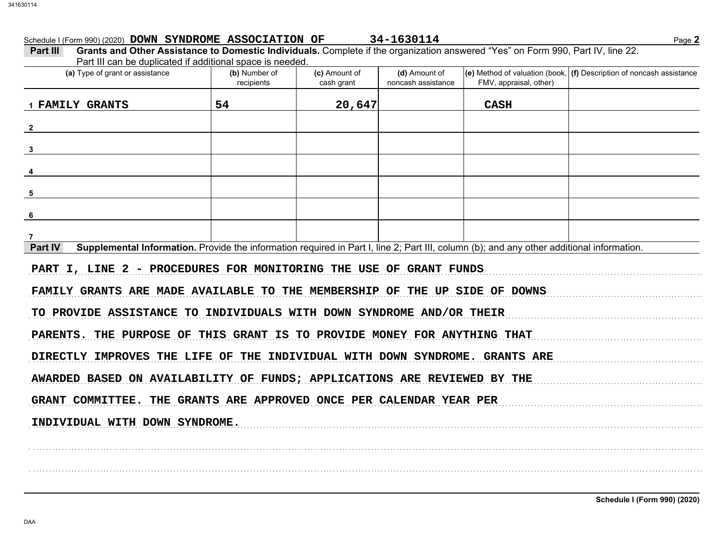$\frac{1}{2}$ 

|          | Schedule I (Form 990) (2020) DOWN SYNDROME ASSOCIATION OF                                                                       | 34-1630114 | Page $\angle$ |
|----------|---------------------------------------------------------------------------------------------------------------------------------|------------|---------------|
| Part III | Grants and Other Assistance to Domestic Individuals. Complete if the organization answered "Yes" on Form 990, Part IV, line 22. |            |               |
|          | David III, and has alcoholizated if additional appears in product                                                               |            |               |

| <b>GOOD TO A LOOK COLORED AND AND ADDUCTIVE TON OF</b>                                                                                    |               |               |               | ⊥auc z                                                                               |
|-------------------------------------------------------------------------------------------------------------------------------------------|---------------|---------------|---------------|--------------------------------------------------------------------------------------|
| rt III<br>Grants and Other Assistance to Domestic Individuals. Complete if the organization answered "Yes" on Form 990, Part IV, line 22. |               |               |               |                                                                                      |
| Part III can be duplicated if additional space is needed.                                                                                 |               |               |               |                                                                                      |
| (a) Type of grant or assistance                                                                                                           | (b) Number of | (c) Amount of | (d) Amount of | $\vert$ (e) Method of valuation (book, $\vert$ (f) Description of noncash assistance |

| (a) Type of grant or assistance                                                                                                                      | <b>INTIANIIINGI OI</b><br>recipients | $\mathbf{v}$ and $\mathbf{v}$<br>cash grant | $191$ Theorical Property of $\overline{a}$<br>noncash assistance | FMV, appraisal, other) | (C) McGIOG OF Valuation (DOOK, FIT) Description of Honcash assistance |
|------------------------------------------------------------------------------------------------------------------------------------------------------|--------------------------------------|---------------------------------------------|------------------------------------------------------------------|------------------------|-----------------------------------------------------------------------|
| 1 FAMILY GRANTS                                                                                                                                      | 54                                   | 20,647                                      |                                                                  | <b>CASH</b>            |                                                                       |
| - 2                                                                                                                                                  |                                      |                                             |                                                                  |                        |                                                                       |
|                                                                                                                                                      |                                      |                                             |                                                                  |                        |                                                                       |
|                                                                                                                                                      |                                      |                                             |                                                                  |                        |                                                                       |
|                                                                                                                                                      |                                      |                                             |                                                                  |                        |                                                                       |
| 6                                                                                                                                                    |                                      |                                             |                                                                  |                        |                                                                       |
|                                                                                                                                                      |                                      |                                             |                                                                  |                        |                                                                       |
| Supplemental Information. Provide the information required in Part I, line 2; Part III, column (b); and any other additional information.<br>Part IV |                                      |                                             |                                                                  |                        |                                                                       |
| PART I, LINE 2 - PROCEDURES FOR MONITORING THE USE OF GRANT FUNDS                                                                                    |                                      |                                             |                                                                  |                        |                                                                       |
| FAMILY GRANTS ARE MADE AVAILABLE TO THE MEMBERSHIP OF THE UP SIDE OF DOWNS                                                                           |                                      |                                             |                                                                  |                        |                                                                       |
| TO PROVIDE ASSISTANCE TO INDIVIDUALS WITH DOWN SYNDROME AND/OR THEIR                                                                                 |                                      |                                             |                                                                  |                        |                                                                       |
| PARENTS. THE PURPOSE OF THIS GRANT IS TO PROVIDE MONEY FOR ANYTHING THAT                                                                             |                                      |                                             |                                                                  |                        |                                                                       |
| DIRECTLY IMPROVES THE LIFE OF THE INDIVIDUAL WITH DOWN SYNDROME. GRANTS ARE                                                                          |                                      |                                             |                                                                  |                        |                                                                       |
| AWARDED BASED ON AVAILABILITY OF FUNDS; APPLICATIONS ARE REVIEWED BY THE                                                                             |                                      |                                             |                                                                  |                        |                                                                       |
| GRANT COMMITTEE. THE GRANTS ARE APPROVED ONCE PER CALENDAR YEAR PER                                                                                  |                                      |                                             |                                                                  |                        |                                                                       |
| INDIVIDUAL WITH DOWN SYNDROME.                                                                                                                       |                                      |                                             |                                                                  |                        |                                                                       |
|                                                                                                                                                      |                                      |                                             |                                                                  |                        |                                                                       |
|                                                                                                                                                      |                                      |                                             |                                                                  |                        |                                                                       |
|                                                                                                                                                      |                                      |                                             |                                                                  |                        |                                                                       |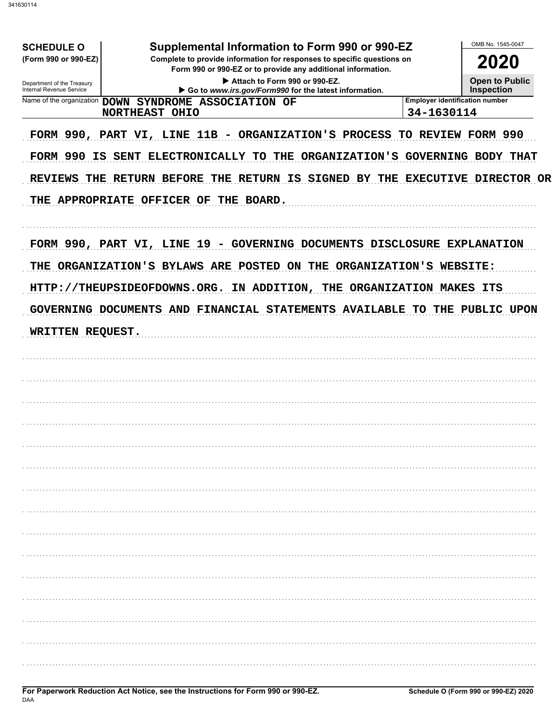341630114

| <b>Inspection</b><br>Internal Revenue Service<br>Go to www.irs.gov/Form990 for the latest information.<br>Name of the organization DOWN SYNDROME ASSOCIATION OF<br><b>Employer identification number</b><br>34-1630114<br>NORTHEAST OHIO<br>FORM 990, PART VI, LINE 11B - ORGANIZATION'S PROCESS<br>TO REVIEW FORM 990<br>FORM 990 IS<br>SENT ELECTRONICALLY TO THE<br><b>ORGANIZATION'S</b><br><b>GOVERNING BODY THAT</b><br>THE RETURN IS<br>SIGNED BY THE EXECUTIVE DIRECTOR OR<br><b>REVIEWS</b><br><b>THE</b><br><b>RETURN BEFORE</b><br>THE APPROPRIATE OFFICER OF THE BOARD.<br>FORM 990, PART VI, LINE 19 - GOVERNING DOCUMENTS DISCLOSURE EXPLANATION<br>ORGANIZATION'S BYLAWS ARE POSTED ON THE ORGANIZATION'S WEBSITE:<br>THE<br>HTTP://THEUPSIDEOFDOWNS.ORG. IN ADDITION, THE ORGANIZATION MAKES ITS |
|------------------------------------------------------------------------------------------------------------------------------------------------------------------------------------------------------------------------------------------------------------------------------------------------------------------------------------------------------------------------------------------------------------------------------------------------------------------------------------------------------------------------------------------------------------------------------------------------------------------------------------------------------------------------------------------------------------------------------------------------------------------------------------------------------------------|
|                                                                                                                                                                                                                                                                                                                                                                                                                                                                                                                                                                                                                                                                                                                                                                                                                  |
|                                                                                                                                                                                                                                                                                                                                                                                                                                                                                                                                                                                                                                                                                                                                                                                                                  |
|                                                                                                                                                                                                                                                                                                                                                                                                                                                                                                                                                                                                                                                                                                                                                                                                                  |
|                                                                                                                                                                                                                                                                                                                                                                                                                                                                                                                                                                                                                                                                                                                                                                                                                  |
|                                                                                                                                                                                                                                                                                                                                                                                                                                                                                                                                                                                                                                                                                                                                                                                                                  |
|                                                                                                                                                                                                                                                                                                                                                                                                                                                                                                                                                                                                                                                                                                                                                                                                                  |
|                                                                                                                                                                                                                                                                                                                                                                                                                                                                                                                                                                                                                                                                                                                                                                                                                  |
|                                                                                                                                                                                                                                                                                                                                                                                                                                                                                                                                                                                                                                                                                                                                                                                                                  |
|                                                                                                                                                                                                                                                                                                                                                                                                                                                                                                                                                                                                                                                                                                                                                                                                                  |
| GOVERNING DOCUMENTS AND FINANCIAL STATEMENTS AVAILABLE TO THE PUBLIC UPON                                                                                                                                                                                                                                                                                                                                                                                                                                                                                                                                                                                                                                                                                                                                        |
| WRITTEN REQUEST.                                                                                                                                                                                                                                                                                                                                                                                                                                                                                                                                                                                                                                                                                                                                                                                                 |
|                                                                                                                                                                                                                                                                                                                                                                                                                                                                                                                                                                                                                                                                                                                                                                                                                  |
|                                                                                                                                                                                                                                                                                                                                                                                                                                                                                                                                                                                                                                                                                                                                                                                                                  |
|                                                                                                                                                                                                                                                                                                                                                                                                                                                                                                                                                                                                                                                                                                                                                                                                                  |
|                                                                                                                                                                                                                                                                                                                                                                                                                                                                                                                                                                                                                                                                                                                                                                                                                  |
|                                                                                                                                                                                                                                                                                                                                                                                                                                                                                                                                                                                                                                                                                                                                                                                                                  |
|                                                                                                                                                                                                                                                                                                                                                                                                                                                                                                                                                                                                                                                                                                                                                                                                                  |
|                                                                                                                                                                                                                                                                                                                                                                                                                                                                                                                                                                                                                                                                                                                                                                                                                  |
|                                                                                                                                                                                                                                                                                                                                                                                                                                                                                                                                                                                                                                                                                                                                                                                                                  |
|                                                                                                                                                                                                                                                                                                                                                                                                                                                                                                                                                                                                                                                                                                                                                                                                                  |
|                                                                                                                                                                                                                                                                                                                                                                                                                                                                                                                                                                                                                                                                                                                                                                                                                  |
|                                                                                                                                                                                                                                                                                                                                                                                                                                                                                                                                                                                                                                                                                                                                                                                                                  |
|                                                                                                                                                                                                                                                                                                                                                                                                                                                                                                                                                                                                                                                                                                                                                                                                                  |
|                                                                                                                                                                                                                                                                                                                                                                                                                                                                                                                                                                                                                                                                                                                                                                                                                  |
|                                                                                                                                                                                                                                                                                                                                                                                                                                                                                                                                                                                                                                                                                                                                                                                                                  |
|                                                                                                                                                                                                                                                                                                                                                                                                                                                                                                                                                                                                                                                                                                                                                                                                                  |
|                                                                                                                                                                                                                                                                                                                                                                                                                                                                                                                                                                                                                                                                                                                                                                                                                  |
|                                                                                                                                                                                                                                                                                                                                                                                                                                                                                                                                                                                                                                                                                                                                                                                                                  |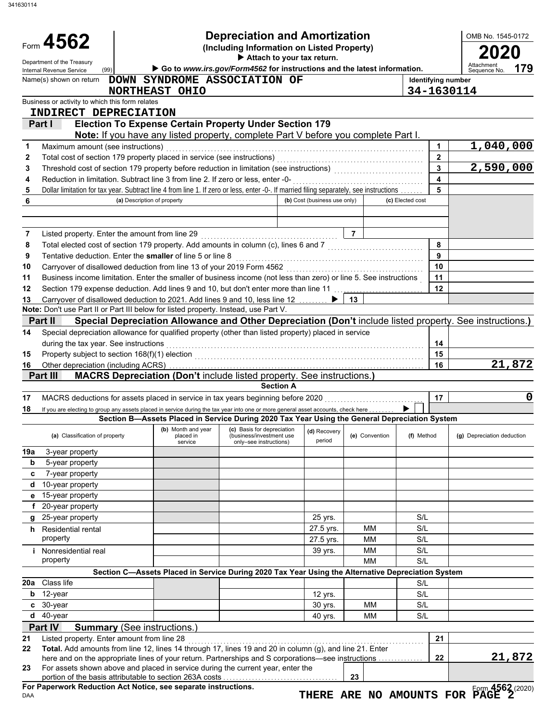341630114

|     | Form $4562$                                                                                                                                                                           | <b>Depreciation and Amortization</b><br>(Including Information on Listed Property)<br>Attach to your tax return. |                                                                                  |                              |                |                    |              | OMB No. 1545-0172          |
|-----|---------------------------------------------------------------------------------------------------------------------------------------------------------------------------------------|------------------------------------------------------------------------------------------------------------------|----------------------------------------------------------------------------------|------------------------------|----------------|--------------------|--------------|----------------------------|
|     | Department of the Treasury                                                                                                                                                            |                                                                                                                  | Go to www.irs.gov/Form4562 for instructions and the latest information.          |                              |                |                    |              | Attachment<br>179          |
|     | (99)<br>Internal Revenue Service<br>Name(s) shown on return                                                                                                                           | DOWN SYNDROME ASSOCIATION OF                                                                                     |                                                                                  |                              |                | Identifying number |              | Sequence No.               |
|     |                                                                                                                                                                                       | NORTHEAST OHIO                                                                                                   |                                                                                  |                              |                |                    |              | 34-1630114                 |
|     | Business or activity to which this form relates                                                                                                                                       |                                                                                                                  |                                                                                  |                              |                |                    |              |                            |
|     | INDIRECT DEPRECIATION                                                                                                                                                                 |                                                                                                                  |                                                                                  |                              |                |                    |              |                            |
|     | Part I                                                                                                                                                                                | <b>Election To Expense Certain Property Under Section 179</b>                                                    |                                                                                  |                              |                |                    |              |                            |
|     |                                                                                                                                                                                       | Note: If you have any listed property, complete Part V before you complete Part I.                               |                                                                                  |                              |                |                    |              |                            |
| 1   | Maximum amount (see instructions)                                                                                                                                                     |                                                                                                                  |                                                                                  |                              |                |                    | 1            | 1,040,000                  |
| 2   | Total cost of section 179 property placed in service (see instructions)                                                                                                               |                                                                                                                  |                                                                                  |                              |                |                    | $\mathbf{2}$ |                            |
| 3   | Threshold cost of section 179 property before reduction in limitation (see instructions)                                                                                              |                                                                                                                  |                                                                                  |                              |                |                    | $\mathbf{3}$ | 2,590,000                  |
| 4   | Reduction in limitation. Subtract line 3 from line 2. If zero or less, enter -0-                                                                                                      |                                                                                                                  |                                                                                  |                              |                |                    | 4            |                            |
| 5   | Dollar limitation for tax year. Subtract line 4 from line 1. If zero or less, enter -0-. If married filing separately, see instructions                                               |                                                                                                                  |                                                                                  |                              |                |                    | 5            |                            |
| 6   |                                                                                                                                                                                       | (a) Description of property                                                                                      |                                                                                  | (b) Cost (business use only) |                | (c) Elected cost   |              |                            |
|     |                                                                                                                                                                                       |                                                                                                                  |                                                                                  |                              |                |                    |              |                            |
|     |                                                                                                                                                                                       |                                                                                                                  |                                                                                  |                              |                |                    |              |                            |
| 7   | Listed property. Enter the amount from line 29                                                                                                                                        |                                                                                                                  |                                                                                  |                              | $\overline{7}$ |                    |              |                            |
| 8   | Total elected cost of section 179 property. Add amounts in column (c), lines 6 and 7                                                                                                  |                                                                                                                  |                                                                                  |                              |                |                    | 8            |                            |
| 9   | Tentative deduction. Enter the smaller of line 5 or line 8                                                                                                                            |                                                                                                                  |                                                                                  |                              |                |                    | 9            |                            |
| 10  | Carryover of disallowed deduction from line 13 of your 2019 Form 4562                                                                                                                 |                                                                                                                  |                                                                                  |                              |                |                    | 10           |                            |
| 11  | Business income limitation. Enter the smaller of business income (not less than zero) or line 5. See instructions                                                                     |                                                                                                                  |                                                                                  |                              |                |                    | 11           |                            |
| 12  | Section 179 expense deduction. Add lines 9 and 10, but don't enter more than line 11                                                                                                  |                                                                                                                  |                                                                                  |                              |                |                    | 12           |                            |
| 13  | Carryover of disallowed deduction to 2021. Add lines 9 and 10, less line 12                                                                                                           |                                                                                                                  |                                                                                  |                              | 13             |                    |              |                            |
|     | Note: Don't use Part II or Part III below for listed property. Instead, use Part V.                                                                                                   |                                                                                                                  |                                                                                  |                              |                |                    |              |                            |
|     | Part II                                                                                                                                                                               | Special Depreciation Allowance and Other Depreciation (Don't include listed property. See instructions.)         |                                                                                  |                              |                |                    |              |                            |
| 14  | Special depreciation allowance for qualified property (other than listed property) placed in service                                                                                  |                                                                                                                  |                                                                                  |                              |                |                    |              |                            |
|     | during the tax year. See instructions                                                                                                                                                 |                                                                                                                  |                                                                                  |                              |                |                    | 14           |                            |
| 15  | Property subject to section 168(f)(1) election                                                                                                                                        |                                                                                                                  |                                                                                  |                              |                |                    | 15           |                            |
| 16  |                                                                                                                                                                                       |                                                                                                                  |                                                                                  |                              |                |                    | 16           | 21,872                     |
|     | Part III                                                                                                                                                                              | MACRS Depreciation (Don't include listed property. See instructions.)                                            |                                                                                  |                              |                |                    |              |                            |
|     |                                                                                                                                                                                       |                                                                                                                  | <b>Section A</b>                                                                 |                              |                |                    |              |                            |
| 17  | MACRS deductions for assets placed in service in tax years beginning before 2020                                                                                                      |                                                                                                                  |                                                                                  |                              |                |                    | 17           | $\mathbf 0$                |
| 18  | If you are electing to group any assets placed in service during the tax year into one or more general asset accounts, check here                                                     |                                                                                                                  |                                                                                  |                              |                |                    |              |                            |
|     |                                                                                                                                                                                       | Section B-Assets Placed in Service During 2020 Tax Year Using the General Depreciation System                    |                                                                                  |                              |                |                    |              |                            |
|     | (a) Classification of property                                                                                                                                                        | (b) Month and year<br>placed in<br>service                                                                       | (c) Basis for depreciation<br>(business/investment use<br>only-see instructions) | (d) Recovery<br>period       | (e) Convention | (f) Method         |              | (g) Depreciation deduction |
| 19a | 3-year property                                                                                                                                                                       |                                                                                                                  |                                                                                  |                              |                |                    |              |                            |
| b   | 5-year property                                                                                                                                                                       |                                                                                                                  |                                                                                  |                              |                |                    |              |                            |
| c   | 7-year property                                                                                                                                                                       |                                                                                                                  |                                                                                  |                              |                |                    |              |                            |
|     | 10-year property                                                                                                                                                                      |                                                                                                                  |                                                                                  |                              |                |                    |              |                            |
| d   | 15-year property                                                                                                                                                                      |                                                                                                                  |                                                                                  |                              |                |                    |              |                            |
| е   |                                                                                                                                                                                       |                                                                                                                  |                                                                                  |                              |                |                    |              |                            |
| f   | 20-year property                                                                                                                                                                      |                                                                                                                  |                                                                                  |                              |                |                    |              |                            |
| g   | 25-year property                                                                                                                                                                      |                                                                                                                  |                                                                                  |                              |                | S/L                |              |                            |
|     |                                                                                                                                                                                       |                                                                                                                  |                                                                                  | 25 yrs.                      | <b>MM</b>      | S/L                |              |                            |
|     | h Residential rental<br>property                                                                                                                                                      |                                                                                                                  |                                                                                  | 27.5 yrs.                    | <b>MM</b>      | S/L                |              |                            |
|     |                                                                                                                                                                                       |                                                                                                                  |                                                                                  | 27.5 yrs.<br>39 yrs.         | <b>MM</b>      | S/L                |              |                            |
|     | <i>i</i> Nonresidential real<br>property                                                                                                                                              |                                                                                                                  |                                                                                  |                              | <b>MM</b>      | S/L                |              |                            |
|     |                                                                                                                                                                                       | Section C-Assets Placed in Service During 2020 Tax Year Using the Alternative Depreciation System                |                                                                                  |                              |                |                    |              |                            |
| 20a | Class life                                                                                                                                                                            |                                                                                                                  |                                                                                  |                              |                | S/L                |              |                            |
| b   | 12-year                                                                                                                                                                               |                                                                                                                  |                                                                                  | 12 yrs.                      |                | S/L                |              |                            |
| c   | 30-year                                                                                                                                                                               |                                                                                                                  |                                                                                  | 30 yrs.                      | MМ             | S/L                |              |                            |
|     | $d$ 40-year                                                                                                                                                                           |                                                                                                                  |                                                                                  | 40 yrs.                      | MМ             | S/L                |              |                            |
|     | Part IV                                                                                                                                                                               |                                                                                                                  |                                                                                  |                              |                |                    |              |                            |
| 21  | <b>Summary (See instructions.)</b><br>Listed property. Enter amount from line 28                                                                                                      |                                                                                                                  |                                                                                  |                              |                |                    | 21           |                            |
| 22  | Total. Add amounts from line 12, lines 14 through 17, lines 19 and 20 in column (g), and line 21. Enter                                                                               |                                                                                                                  |                                                                                  |                              |                |                    |              |                            |
| 23  | here and on the appropriate lines of your return. Partnerships and S corporations-see instructions<br>For assets shown above and placed in service during the current year, enter the |                                                                                                                  |                                                                                  |                              |                |                    | 22           | 21,872                     |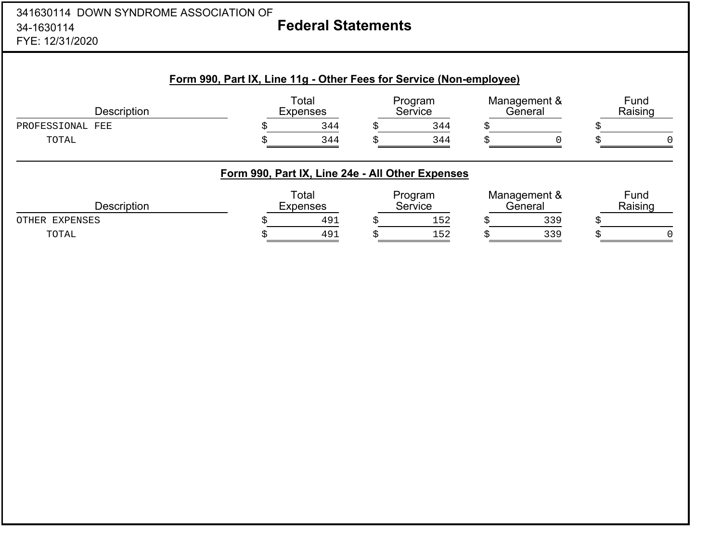| 341630114 DOWN SYNDROME ASSOCIATION OF<br>34-1630114<br>FYE: 12/31/2020 |                                                                     | <b>Federal Statements</b> |   |                    |                         |                 |
|-------------------------------------------------------------------------|---------------------------------------------------------------------|---------------------------|---|--------------------|-------------------------|-----------------|
|                                                                         | Form 990, Part IX, Line 11g - Other Fees for Service (Non-employee) |                           |   |                    |                         |                 |
| <b>Description</b>                                                      |                                                                     | Total<br><b>Expenses</b>  |   | Program<br>Service | Management &<br>General | Fund<br>Raising |
| PROFESSIONAL<br>FEE                                                     |                                                                     | 344                       | S | 344                |                         |                 |
| TOTAL                                                                   |                                                                     | 344                       |   | 344                |                         |                 |
|                                                                         | Form 990, Part IX, Line 24e - All Other Expenses                    |                           |   |                    |                         |                 |
| <b>Description</b>                                                      |                                                                     | Total<br><b>Expenses</b>  |   | Program<br>Service | Management &<br>General | Fund<br>Raising |
| OTHER EXPENSES                                                          |                                                                     | 491                       |   | 152                | 339                     |                 |
| TOTAL                                                                   |                                                                     | 491                       |   | 152                | 339                     |                 |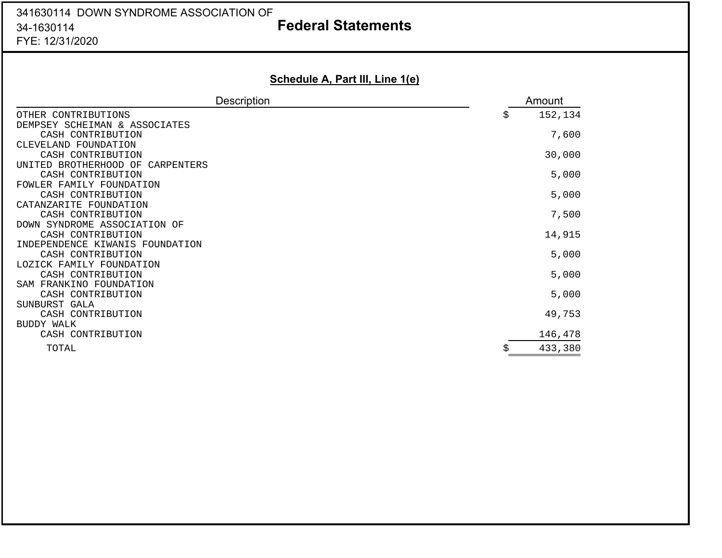#### 341630114 DOWN SYNDROME ASSOCIATION OF 34-1630114 **Federal Statements** FYE: 12/31/2020

# **Schedule A, Part III, Line 1(e)**

| <b>Description</b>                          | Amount        |
|---------------------------------------------|---------------|
| OTHER CONTRIBUTIONS                         | \$<br>152,134 |
| DEMPSEY SCHEIMAN & ASSOCIATES               |               |
| CASH CONTRIBUTION                           | 7,600         |
| CLEVELAND FOUNDATION                        |               |
| CASH CONTRIBUTION                           | 30,000        |
| UNITED BROTHERHOOD OF<br>CARPENTERS         |               |
| CASH CONTRIBUTION                           | 5,000         |
| FOWLER FAMILY FOUNDATION                    |               |
| CASH CONTRIBUTION                           | 5,000         |
| CATANZARITE FOUNDATION<br>CASH CONTRIBUTION | 7,500         |
| DOWN SYNDROME ASSOCIATION OF                |               |
| CASH CONTRIBUTION                           | 14,915        |
| INDEPENDENCE KIWANIS FOUNDATION             |               |
| CASH CONTRIBUTION                           | 5,000         |
| LOZICK FAMILY FOUNDATION                    |               |
| CASH CONTRIBUTION                           | 5,000         |
| SAM FRANKINO FOUNDATION                     |               |
| CASH CONTRIBUTION                           | 5,000         |
| SUNBURST GALA                               |               |
| CASH CONTRIBUTION                           | 49,753        |
| BUDDY WALK                                  |               |
| CASH CONTRIBUTION                           | 146,478       |
| TOTAL                                       | 433,380       |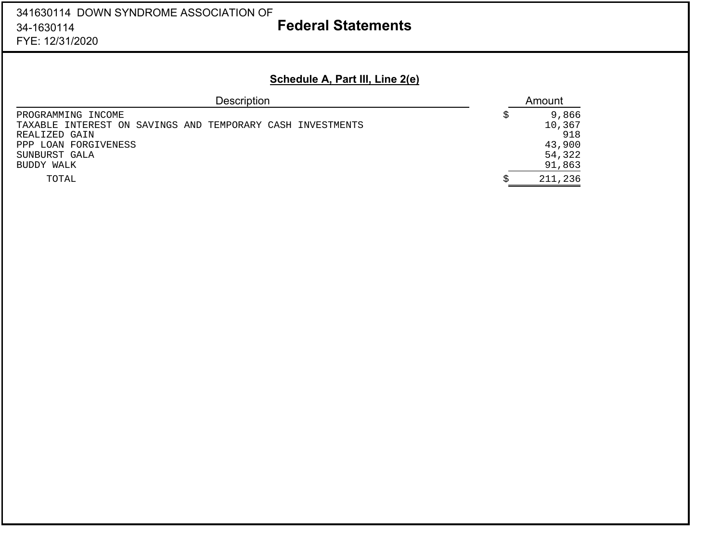#### 341630114 DOWN SYNDROME ASSOCIATION OF 34-1630114 **Federal Statements** FYE: 12/31/2020

# **Schedule A, Part III, Line 2(e)**

| Description                                                | Amount  |
|------------------------------------------------------------|---------|
| PROGRAMMING INCOME                                         | 9,866   |
| TAXABLE INTEREST ON SAVINGS AND TEMPORARY CASH INVESTMENTS | 10,367  |
| REALIZED GAIN                                              | 918     |
| PPP LOAN FORGIVENESS                                       | 43,900  |
| SUNBURST GALA                                              | 54,322  |
| BUDDY WALK                                                 | 91,863  |
| TOTAL                                                      | 211,236 |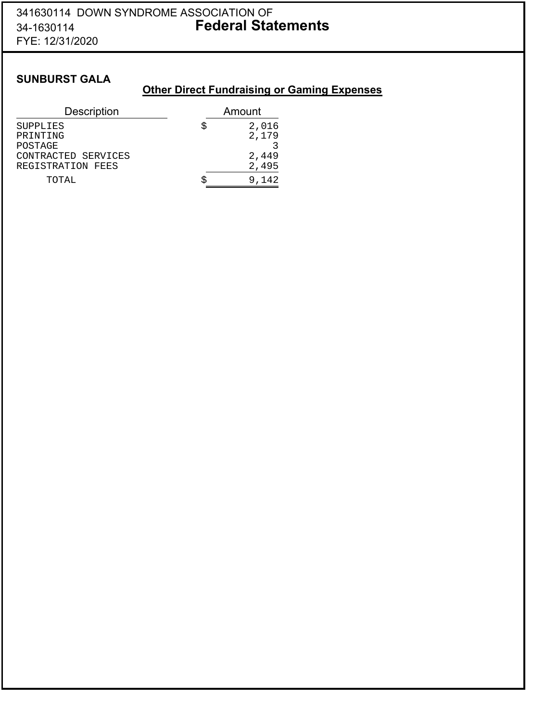# **SUNBURST GALA**

# **Other Direct Fundraising or Gaming Expenses**

| <b>Description</b>  | Amount |  |  |
|---------------------|--------|--|--|
| SUPPLIES            | 2,016  |  |  |
| PRINTING            | 2,179  |  |  |
| POSTAGE             |        |  |  |
| CONTRACTED SERVICES | 2,449  |  |  |
| REGISTRATION FEES   | 2,495  |  |  |
| TOTAL.              | 142    |  |  |